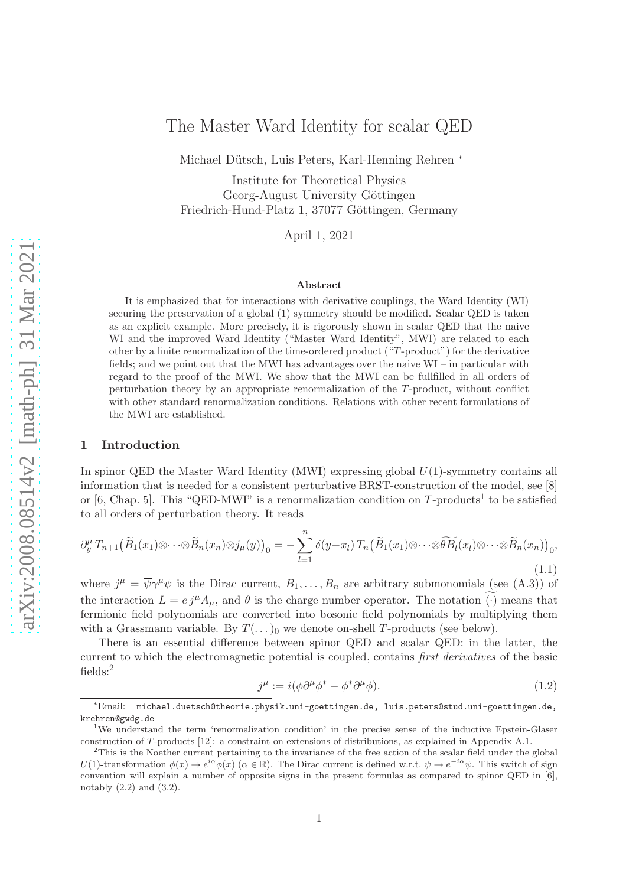# The Master Ward Identity for scalar QED

Michael Dütsch, Luis Peters, Karl-Henning Rehren \*

Institute for Theoretical Physics Georg-August University Göttingen Friedrich-Hund-Platz 1, 37077 Göttingen, Germany

April 1, 2021

#### Abstract

It is emphasized that for interactions with derivative couplings, the Ward Identity (WI) securing the preservation of a global (1) symmetry should be modified. Scalar QED is taken as an explicit example. More precisely, it is rigorously shown in scalar QED that the naive WI and the improved Ward Identity ("Master Ward Identity", MWI) are related to each other by a finite renormalization of the time-ordered product ("T -product") for the derivative fields; and we point out that the MWI has advantages over the naive WI – in particular with regard to the proof of the MWI. We show that the MWI can be fullfilled in all orders of perturbation theory by an appropriate renormalization of the T -product, without conflict with other standard renormalization conditions. Relations with other recent formulations of the MWI are established.

#### 1 Introduction

In spinor QED the Master Ward Identity (MWI) expressing global  $U(1)$ -symmetry contains all information that is needed for a consistent perturbative BRST-construction of the model, see [8] or [6, Chap. 5]. This "QED-MWI" is a renormalization condition on T-products<sup>1</sup> to be satisfied to all orders of perturbation theory. It reads

$$
\partial_y^{\mu} T_{n+1} \big( \widetilde{B}_1(x_1) \otimes \cdots \otimes \widetilde{B}_n(x_n) \otimes j_{\mu}(y) \big)_0 = - \sum_{l=1}^n \delta(y - x_l) T_n \big( \widetilde{B}_1(x_1) \otimes \cdots \otimes \widetilde{B}_l(x_l) \otimes \cdots \otimes \widetilde{B}_n(x_n) \big)_0,
$$
\n(1.1)

where  $j^{\mu} = \overline{\psi} \gamma^{\mu} \psi$  is the Dirac current,  $B_1, \ldots, B_n$  are arbitrary submonomials (see (A.3)) of the interaction  $L = e j^{\mu} A_{\mu}$ , and  $\theta$  is the charge number operator. The notation ( $\cdot$ ) means that fermionic field polynomials are converted into bosonic field polynomials by multiplying them with a Grassmann variable. By  $T(\ldots)$  we denote on-shell T-products (see below).

There is an essential difference between spinor QED and scalar QED: in the latter, the current to which the electromagnetic potential is coupled, contains *first derivatives* of the basic fields:<sup>2</sup>

$$
j^{\mu} := i(\phi \partial^{\mu} \phi^* - \phi^* \partial^{\mu} \phi). \tag{1.2}
$$

<sup>∗</sup>Email: michael.duetsch@theorie.physik.uni-goettingen.de, luis.peters@stud.uni-goettingen.de, krehren@gwdg.de

<sup>1</sup>We understand the term 'renormalization condition' in the precise sense of the inductive Epstein-Glaser construction of T-products [12]: a constraint on extensions of distributions, as explained in Appendix A.1.

<sup>&</sup>lt;sup>2</sup>This is the Noether current pertaining to the invariance of the free action of the scalar field under the global U(1)-transformation  $\phi(x) \to e^{i\alpha} \phi(x)$  ( $\alpha \in \mathbb{R}$ ). The Dirac current is defined w.r.t.  $\psi \to e^{-i\alpha} \psi$ . This switch of sign convention will explain a number of opposite signs in the present formulas as compared to spinor QED in [6], notably (2.2) and (3.2).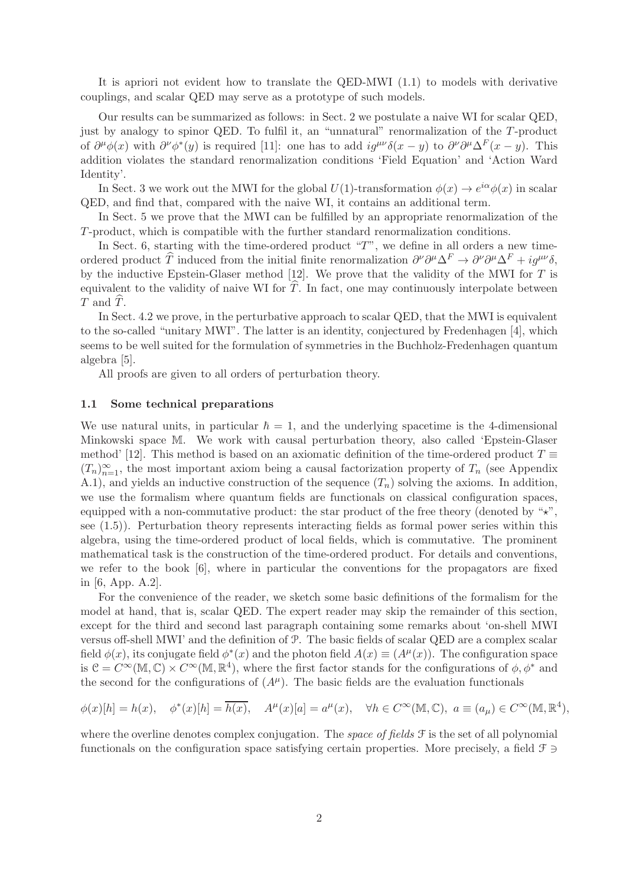It is apriori not evident how to translate the QED-MWI (1.1) to models with derivative couplings, and scalar QED may serve as a prototype of such models.

Our results can be summarized as follows: in Sect. 2 we postulate a naive WI for scalar QED, just by analogy to spinor QED. To fulfil it, an "unnatural" renormalization of the T-product of  $\partial^{\mu}\phi(x)$  with  $\partial^{\nu}\phi^*(y)$  is required [11]: one has to add  $ig^{\mu\nu}\delta(x-y)$  to  $\partial^{\nu}\partial^{\mu}\Delta^F(x-y)$ . This addition violates the standard renormalization conditions 'Field Equation' and 'Action Ward Identity'.

In Sect. 3 we work out the MWI for the global  $U(1)$ -transformation  $\phi(x) \to e^{i\alpha} \phi(x)$  in scalar QED, and find that, compared with the naive WI, it contains an additional term.

In Sect. 5 we prove that the MWI can be fulfilled by an appropriate renormalization of the T-product, which is compatible with the further standard renormalization conditions.

In Sect. 6, starting with the time-ordered product "T", we define in all orders a new timeordered product  $\hat{T}$  induced from the initial finite renormalization  $\partial^{\nu}\partial^{\mu}\Delta^{F} \rightarrow \partial^{\nu}\partial^{\mu}\Delta^{F} + ig^{\mu\nu}\delta$ , by the inductive Epstein-Glaser method  $[12]$ . We prove that the validity of the MWI for T is equivalent to the validity of naive WI for  $\hat{T}$ . In fact, one may continuously interpolate between  $T$  and  $T$ .

In Sect. 4.2 we prove, in the perturbative approach to scalar QED, that the MWI is equivalent to the so-called "unitary MWI". The latter is an identity, conjectured by Fredenhagen [4], which seems to be well suited for the formulation of symmetries in the Buchholz-Fredenhagen quantum algebra [5].

All proofs are given to all orders of perturbation theory.

#### 1.1 Some technical preparations

We use natural units, in particular  $\hbar = 1$ , and the underlying spacetime is the 4-dimensional Minkowski space M. We work with causal perturbation theory, also called 'Epstein-Glaser method' [12]. This method is based on an axiomatic definition of the time-ordered product  $T \equiv$  $(T_n)_{n=1}^{\infty}$ , the most important axiom being a causal factorization property of  $T_n$  (see Appendix A.1), and yields an inductive construction of the sequence  $(T_n)$  solving the axioms. In addition, we use the formalism where quantum fields are functionals on classical configuration spaces, equipped with a non-commutative product: the star product of the free theory (denoted by " $\star$ ", see (1.5)). Perturbation theory represents interacting fields as formal power series within this algebra, using the time-ordered product of local fields, which is commutative. The prominent mathematical task is the construction of the time-ordered product. For details and conventions, we refer to the book [6], where in particular the conventions for the propagators are fixed in [6, App. A.2].

For the convenience of the reader, we sketch some basic definitions of the formalism for the model at hand, that is, scalar QED. The expert reader may skip the remainder of this section, except for the third and second last paragraph containing some remarks about 'on-shell MWI versus off-shell MWI' and the definition of P. The basic fields of scalar QED are a complex scalar field  $\phi(x)$ , its conjugate field  $\phi^*(x)$  and the photon field  $A(x) \equiv (A^{\mu}(x))$ . The configuration space is  $C = C^{\infty}(\mathbb{M}, \mathbb{C}) \times C^{\infty}(\mathbb{M}, \mathbb{R}^{4})$ , where the first factor stands for the configurations of  $\phi, \phi^*$  and the second for the configurations of  $(A^{\mu})$ . The basic fields are the evaluation functionals

$$
\phi(x)[h] = h(x), \quad \phi^*(x)[h] = \overline{h(x)}, \quad A^\mu(x)[a] = a^\mu(x), \quad \forall h \in C^\infty(\mathbb{M}, \mathbb{C}), \ a \equiv (a_\mu) \in C^\infty(\mathbb{M}, \mathbb{R}^4),
$$

where the overline denotes complex conjugation. The *space of fields* F is the set of all polynomial functionals on the configuration space satisfying certain properties. More precisely, a field  $\mathcal{F} \ni$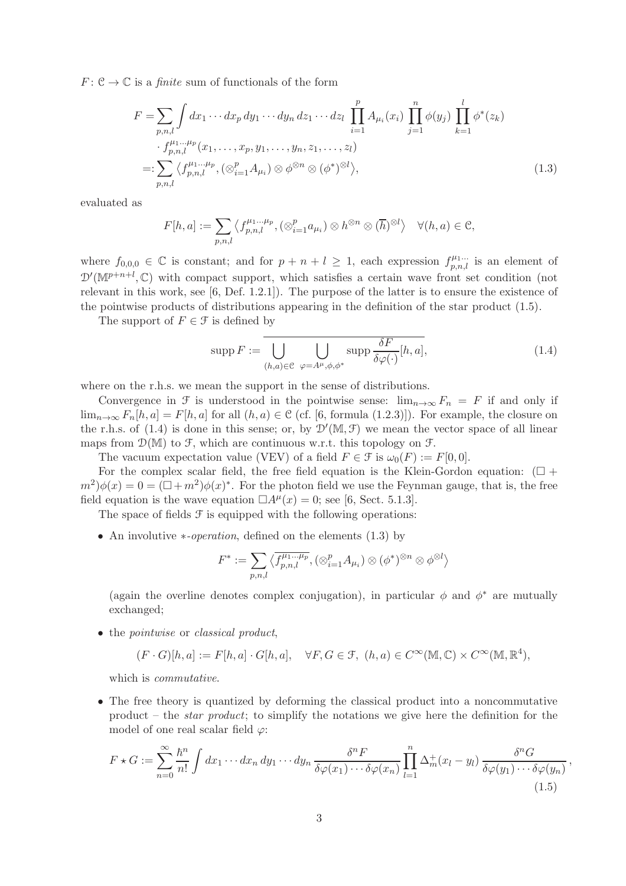$F: \mathcal{C} \to \mathbb{C}$  is a *finite* sum of functionals of the form

$$
F = \sum_{p,n,l} \int dx_1 \cdots dx_p \, dy_1 \cdots dy_n \, dz_1 \cdots dz_l \, \prod_{i=1}^p A_{\mu_i}(x_i) \, \prod_{j=1}^n \phi(y_j) \, \prod_{k=1}^l \phi^*(z_k) \n\cdot f_{p,n,l}^{\mu_1 \ldots \mu_p}(x_1, \ldots, x_p, y_1, \ldots, y_n, z_1, \ldots, z_l) \n=: \sum_{p,n,l} \langle f_{p,n,l}^{\mu_1 \ldots \mu_p}, (\otimes_{i=1}^p A_{\mu_i}) \otimes \phi^{\otimes n} \otimes (\phi^*)^{\otimes l} \rangle,
$$
\n(1.3)

evaluated as

$$
F[h,a] := \sum_{p,n,l} \left\langle f_{p,n,l}^{\mu_1 \dots \mu_p}, \left( \otimes_{i=1}^p a_{\mu_i} \right) \otimes h^{\otimes n} \otimes (\overline{h})^{\otimes l} \right\rangle \quad \forall (h,a) \in \mathcal{C},
$$

where  $f_{0,0,0} \in \mathbb{C}$  is constant; and for  $p + n + l \geq 1$ , each expression  $f_{p,n,l}^{\mu_1...}$  is an element of  $\mathcal{D}'(\mathbb{M}^{p+n+l},\mathbb{C})$  with compact support, which satisfies a certain wave front set condition (not relevant in this work, see [6, Def. 1.2.1]). The purpose of the latter is to ensure the existence of the pointwise products of distributions appearing in the definition of the star product (1.5).

The support of  $F \in \mathcal{F}$  is defined by

$$
\operatorname{supp} F := \bigcup_{(h,a)\in\mathcal{C}} \bigcup_{\varphi = A^{\mu}, \phi, \phi^*} \operatorname{supp} \frac{\delta F}{\delta \varphi(\cdot)} [h, a], \tag{1.4}
$$

where on the r.h.s. we mean the support in the sense of distributions.

Convergence in F is understood in the pointwise sense:  $\lim_{n\to\infty} F_n = F$  if and only if  $\lim_{n\to\infty} F_n[h,a] = F[h,a]$  for all  $(h,a) \in \mathcal{C}$  (cf. [6, formula (1.2.3)]). For example, the closure on the r.h.s. of (1.4) is done in this sense; or, by  $\mathcal{D}'(\mathbb{M}, \mathcal{F})$  we mean the vector space of all linear maps from  $\mathcal{D}(\mathbb{M})$  to  $\mathcal{F}$ , which are continuous w.r.t. this topology on  $\mathcal{F}$ .

The vacuum expectation value (VEV) of a field  $F \in \mathcal{F}$  is  $\omega_0(F) := F[0, 0].$ 

For the complex scalar field, the free field equation is the Klein-Gordon equation:  $(\Box +$  $(m^2)\phi(x) = 0 = (\Box + m^2)\phi(x)^*$ . For the photon field we use the Feynman gauge, that is, the free field equation is the wave equation  $\Box A^{\mu}(x) = 0$ ; see [6, Sect. 5.1.3].

The space of fields  $\mathcal F$  is equipped with the following operations:

• An involutive ∗*-operation*, defined on the elements (1.3) by

$$
F^* := \sum_{p,n,l} \langle \overline{f_{p,n,l}^{\mu_1 \dots \mu_p}}, (\otimes_{i=1}^p A_{\mu_i}) \otimes (\phi^*)^{\otimes n} \otimes \phi^{\otimes l} \rangle
$$

(again the overline denotes complex conjugation), in particular  $\phi$  and  $\phi^*$  are mutually exchanged;

• the *pointwise* or *classical product*,

$$
(F \cdot G)[h, a] := F[h, a] \cdot G[h, a], \quad \forall F, G \in \mathcal{F}, \ (h, a) \in C^{\infty}(\mathbb{M}, \mathbb{C}) \times C^{\infty}(\mathbb{M}, \mathbb{R}^{4}),
$$

which is *commutative*.

• The free theory is quantized by deforming the classical product into a noncommutative product – the *star product*; to simplify the notations we give here the definition for the model of one real scalar field  $\varphi$ :

$$
F \star G := \sum_{n=0}^{\infty} \frac{\hbar^n}{n!} \int dx_1 \cdots dx_n \, dy_1 \cdots dy_n \, \frac{\delta^n F}{\delta \varphi(x_1) \cdots \delta \varphi(x_n)} \prod_{l=1}^n \Delta_m^+(x_l - y_l) \, \frac{\delta^n G}{\delta \varphi(y_1) \cdots \delta \varphi(y_n)}\,,\tag{1.5}
$$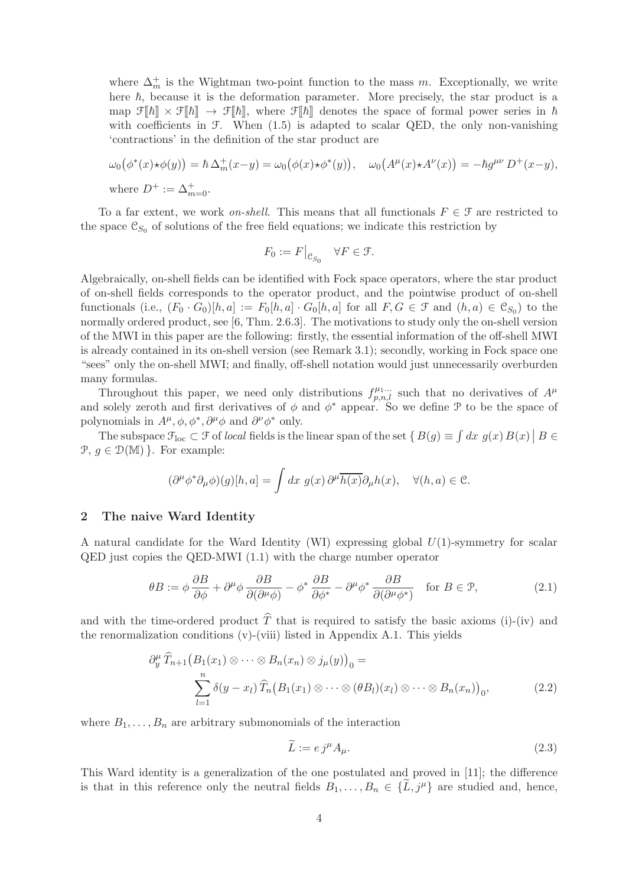where  $\Delta_m^+$  is the Wightman two-point function to the mass m. Exceptionally, we write here  $\hbar$ , because it is the deformation parameter. More precisely, the star product is a map  $\mathcal{F}[\![\hbar]\!] \times \mathcal{F}[\![\hbar]\!] \rightarrow \mathcal{F}[\![\hbar]\!]$ , where  $\mathcal{F}[\![\hbar]\!]$  denotes the space of formal power series in  $\hbar$ with coefficients in  $F$ . When  $(1.5)$  is adapted to scalar QED, the only non-vanishing 'contractions' in the definition of the star product are

$$
\omega_0(\phi^*(x)\star\phi(y)) = \hbar \Delta_m^+(x-y) = \omega_0(\phi(x)\star\phi^*(y)), \quad \omega_0(A^\mu(x)\star A^\nu(x)) = -\hbar g^{\mu\nu} D^+(x-y),
$$
  
where  $D^+ := \Delta_{m=0}^+.$ 

To a far extent, we work *on-shell*. This means that all functionals  $F \in \mathcal{F}$  are restricted to the space  $\mathfrak{C}_{S_0}$  of solutions of the free field equations; we indicate this restriction by

$$
F_0:=F\big|_{\mathcal{C}_{S_0}}\quad \forall F\in \mathcal{F}.
$$

Algebraically, on-shell fields can be identified with Fock space operators, where the star product of on-shell fields corresponds to the operator product, and the pointwise product of on-shell functionals (i.e.,  $(F_0 \cdot G_0)[h, a] := F_0[h, a] \cdot G_0[h, a]$  for all  $F, G \in \mathcal{F}$  and  $(h, a) \in \mathcal{C}_{S_0}$ ) to the normally ordered product, see [6, Thm. 2.6.3]. The motivations to study only the on-shell version of the MWI in this paper are the following: firstly, the essential information of the off-shell MWI is already contained in its on-shell version (see Remark 3.1); secondly, working in Fock space one "sees" only the on-shell MWI; and finally, off-shell notation would just unnecessarily overburden many formulas.

Throughout this paper, we need only distributions  $f_{p,n,l}^{\mu_1...\mu}$  such that no derivatives of  $A^{\mu}$ and solely zeroth and first derivatives of  $\phi$  and  $\phi^*$  appear. So we define  $\mathcal P$  to be the space of polynomials in  $A^{\mu}, \phi, \phi^*, \partial^{\mu} \phi$  and  $\partial^{\nu} \phi^*$  only.

The subspace  $\mathcal{F}_{loc} \subset \mathcal{F}$  of *local* fields is the linear span of the set  $\{B(g) \equiv \int dx \ g(x) B(x) \mid B \in \mathcal{F}$  $\mathcal{P}, g \in \mathcal{D}(\mathbb{M})$ . For example:

$$
(\partial^{\mu}\phi^*\partial_{\mu}\phi)(g)[h,a] = \int dx \ g(x) \partial^{\mu}\overline{h(x)}\partial_{\mu}h(x), \quad \forall (h,a) \in \mathcal{C}.
$$

#### 2 The naive Ward Identity

A natural candidate for the Ward Identity (WI) expressing global  $U(1)$ -symmetry for scalar QED just copies the QED-MWI (1.1) with the charge number operator

$$
\theta B := \phi \frac{\partial B}{\partial \phi} + \partial^{\mu} \phi \frac{\partial B}{\partial (\partial^{\mu} \phi)} - \phi^* \frac{\partial B}{\partial \phi^*} - \partial^{\mu} \phi^* \frac{\partial B}{\partial (\partial^{\mu} \phi^*)} \quad \text{for } B \in \mathcal{P}, \tag{2.1}
$$

and with the time-ordered product  $\hat{T}$  that is required to satisfy the basic axioms (i)-(iv) and the renormalization conditions (v)-(viii) listed in Appendix A.1. This yields

$$
\partial_y^{\mu} \widehat{T}_{n+1} \big( B_1(x_1) \otimes \cdots \otimes B_n(x_n) \otimes j_{\mu}(y) \big)_0 =
$$
  

$$
\sum_{l=1}^n \delta(y - x_l) \widehat{T}_n \big( B_1(x_1) \otimes \cdots \otimes ( \theta B_l)(x_l) \otimes \cdots \otimes B_n(x_n) \big)_0,
$$
 (2.2)

where  $B_1, \ldots, B_n$  are arbitrary submonomials of the interaction

$$
\widetilde{L} := e \, j^{\mu} A_{\mu}.
$$
\n<sup>(2.3)</sup>

This Ward identity is a generalization of the one postulated and proved in [11]; the difference is that in this reference only the neutral fields  $B_1, \ldots, B_n \in \{L, j^{\mu}\}\$ are studied and, hence,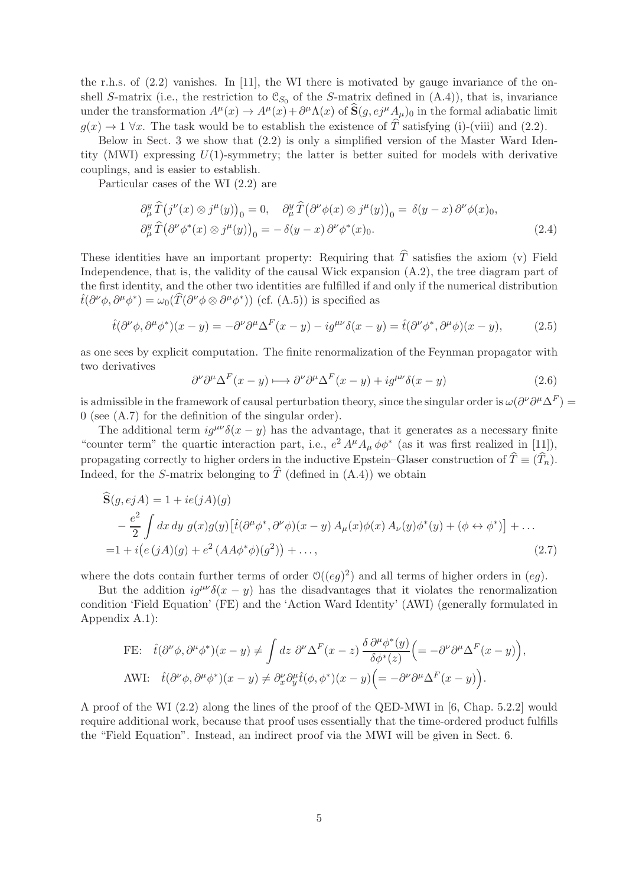the r.h.s. of  $(2.2)$  vanishes. In [11], the WI there is motivated by gauge invariance of the onshell S-matrix (i.e., the restriction to  $\mathfrak{C}_{S_0}$  of the S-matrix defined in  $(A.4)$ ), that is, invariance under the transformation  $A^{\mu}(x) \to A^{\mu}(x) + \partial^{\mu} \Lambda(x)$  of  $\hat{\mathbf{S}}(g, e^{j\mu} A_{\mu})_0$  in the formal adiabatic limit  $g(x) \to 1 \,\forall x$ . The task would be to establish the existence of  $\widehat{T}$  satisfying (i)-(viii) and (2.2).

Below in Sect. 3 we show that (2.2) is only a simplified version of the Master Ward Identity (MWI) expressing  $U(1)$ -symmetry; the latter is better suited for models with derivative couplings, and is easier to establish.

Particular cases of the WI (2.2) are

$$
\partial_{\mu}^{y} \hat{T}(j^{\nu}(x) \otimes j^{\mu}(y))_{0} = 0, \quad \partial_{\mu}^{y} \hat{T}(\partial^{\nu} \phi(x) \otimes j^{\mu}(y))_{0} = \delta(y - x) \partial^{\nu} \phi(x)_{0},
$$
  

$$
\partial_{\mu}^{y} \hat{T}(\partial^{\nu} \phi^{*}(x) \otimes j^{\mu}(y))_{0} = -\delta(y - x) \partial^{\nu} \phi^{*}(x)_{0}.
$$
 (2.4)

These identities have an important property: Requiring that  $\hat{T}$  satisfies the axiom (v) Field Independence, that is, the validity of the causal Wick expansion (A.2), the tree diagram part of the first identity, and the other two identities are fulfilled if and only if the numerical distribution  $\hat{t}(\partial^{\nu}\phi, \partial^{\mu}\phi^*) = \omega_0(\hat{T}(\partial^{\nu}\phi \otimes \partial^{\mu}\phi^*))$  (cf. (A.5)) is specified as

$$
\hat{t}(\partial^{\nu}\phi, \partial^{\mu}\phi^{*})(x - y) = -\partial^{\nu}\partial^{\mu}\Delta^{F}(x - y) - ig^{\mu\nu}\delta(x - y) = \hat{t}(\partial^{\nu}\phi^{*}, \partial^{\mu}\phi)(x - y), \tag{2.5}
$$

as one sees by explicit computation. The finite renormalization of the Feynman propagator with two derivatives

$$
\partial^{\nu} \partial^{\mu} \Delta^{F}(x - y) \longmapsto \partial^{\nu} \partial^{\mu} \Delta^{F}(x - y) + ig^{\mu \nu} \delta(x - y) \tag{2.6}
$$

is admissible in the framework of causal perturbation theory, since the singular order is  $\omega(\partial^{\nu}\partial^{\mu}\Delta^F)$  = 0 (see (A.7) for the definition of the singular order).

The additional term  $ig^{\mu\nu}\delta(x-y)$  has the advantage, that it generates as a necessary finite "counter term" the quartic interaction part, i.e.,  $e^2 A^{\mu} A_{\mu} \phi \phi^*$  (as it was first realized in [11]), propagating correctly to higher orders in the inductive Epstein–Glaser construction of  $\hat{T} \equiv (\hat{T}_n)$ . Indeed, for the S-matrix belonging to  $\hat{T}$  (defined in (A.4)) we obtain

$$
\begin{split} \widehat{\mathbf{S}}(g,ejA) &= 1 + ie(jA)(g) \\ &- \frac{e^2}{2} \int dx \, dy \, g(x)g(y) \left[ \widehat{t}(\partial^{\mu}\phi^*, \partial^{\nu}\phi)(x-y) \, A_{\mu}(x)\phi(x) \, A_{\nu}(y)\phi^*(y) + (\phi \leftrightarrow \phi^*) \right] + \dots \\ &= 1 + i\big(e\,(jA)(g) + e^2\,(AA\phi^*\phi)(g^2)\big) + \dots, \end{split} \tag{2.7}
$$

where the dots contain further terms of order  $O((eg)^2)$  and all terms of higher orders in  $(eg)$ .

But the addition  $ig^{\mu\nu}\delta(x-y)$  has the disadvantages that it violates the renormalization condition 'Field Equation' (FE) and the 'Action Ward Identity' (AWI) (generally formulated in Appendix A.1):

FE: 
$$
\hat{t}(\partial^{\nu}\phi, \partial^{\mu}\phi^{*})(x - y) \neq \int dz \ \partial^{\nu}\Delta^{F}(x - z) \frac{\delta \partial^{\mu}\phi^{*}(y)}{\delta\phi^{*}(z)} \Big( = -\partial^{\nu}\partial^{\mu}\Delta^{F}(x - y) \Big),
$$
  
AWI:  $\hat{t}(\partial^{\nu}\phi, \partial^{\mu}\phi^{*})(x - y) \neq \partial^{\nu}_{x}\partial^{u}_{y}\hat{t}(\phi, \phi^{*})(x - y) \Big( = -\partial^{\nu}\partial^{\mu}\Delta^{F}(x - y) \Big).$ 

A proof of the WI (2.2) along the lines of the proof of the QED-MWI in [6, Chap. 5.2.2] would require additional work, because that proof uses essentially that the time-ordered product fulfills the "Field Equation". Instead, an indirect proof via the MWI will be given in Sect. 6.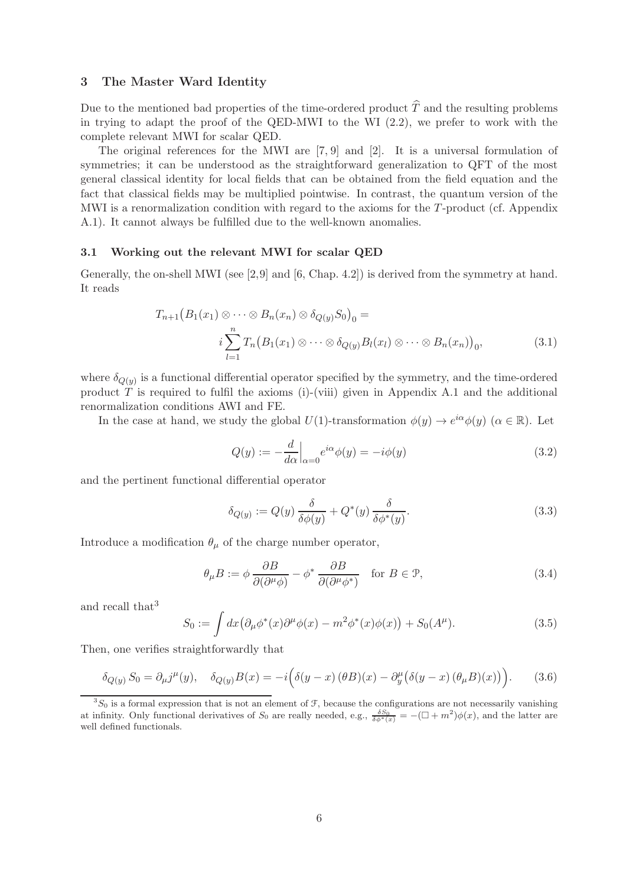#### 3 The Master Ward Identity

Due to the mentioned bad properties of the time-ordered product  $\hat{T}$  and the resulting problems in trying to adapt the proof of the QED-MWI to the WI (2.2), we prefer to work with the complete relevant MWI for scalar QED.

The original references for the MWI are [7, 9] and [2]. It is a universal formulation of symmetries; it can be understood as the straightforward generalization to QFT of the most general classical identity for local fields that can be obtained from the field equation and the fact that classical fields may be multiplied pointwise. In contrast, the quantum version of the MWI is a renormalization condition with regard to the axioms for the T-product (cf. Appendix A.1). It cannot always be fulfilled due to the well-known anomalies.

#### 3.1 Working out the relevant MWI for scalar QED

Generally, the on-shell MWI (see [2,9] and [6, Chap. 4.2]) is derived from the symmetry at hand. It reads

$$
T_{n+1}\big(B_1(x_1)\otimes\cdots\otimes B_n(x_n)\otimes \delta_{Q(y)}S_0\big)_0 =
$$
  
\n
$$
i\sum_{l=1}^n T_n\big(B_1(x_1)\otimes\cdots\otimes \delta_{Q(y)}B_l(x_l)\otimes\cdots\otimes B_n(x_n)\big)_0,
$$
\n(3.1)

where  $\delta_{Q(y)}$  is a functional differential operator specified by the symmetry, and the time-ordered product  $T$  is required to fulfil the axioms (i)-(viii) given in Appendix A.1 and the additional renormalization conditions AWI and FE.

In the case at hand, we study the global  $U(1)$ -transformation  $\phi(y) \to e^{i\alpha} \phi(y)$  ( $\alpha \in \mathbb{R}$ ). Let

$$
Q(y) := -\frac{d}{d\alpha}\Big|_{\alpha=0} e^{i\alpha} \phi(y) = -i\phi(y) \tag{3.2}
$$

and the pertinent functional differential operator

$$
\delta_{Q(y)} := Q(y) \frac{\delta}{\delta \phi(y)} + Q^*(y) \frac{\delta}{\delta \phi^*(y)}.
$$
\n(3.3)

Introduce a modification  $\theta_{\mu}$  of the charge number operator,

$$
\theta_{\mu}B := \phi \frac{\partial B}{\partial(\partial^{\mu}\phi)} - \phi^* \frac{\partial B}{\partial(\partial^{\mu}\phi^*)} \quad \text{for } B \in \mathcal{P}, \tag{3.4}
$$

and recall that<sup>3</sup>

$$
S_0 := \int dx \big(\partial_{\mu} \phi^*(x) \partial^{\mu} \phi(x) - m^2 \phi^*(x) \phi(x)\big) + S_0(A^{\mu}).
$$
\n(3.5)

Then, one verifies straightforwardly that

$$
\delta_{Q(y)} S_0 = \partial_\mu j^\mu(y), \quad \delta_{Q(y)} B(x) = -i \Big( \delta(y-x) \left( \theta B \right)(x) - \partial_y^\mu \left( \delta(y-x) \left( \theta_\mu B \right)(x) \right) \Big). \tag{3.6}
$$

 $3S_0$  is a formal expression that is not an element of  $\mathcal{F}$ , because the configurations are not necessarily vanishing at infinity. Only functional derivatives of  $S_0$  are really needed, e.g.,  $\frac{\delta S_0}{\delta \phi^*(x)} = -(\Box + m^2)\phi(x)$ , and the latter are well defined functionals.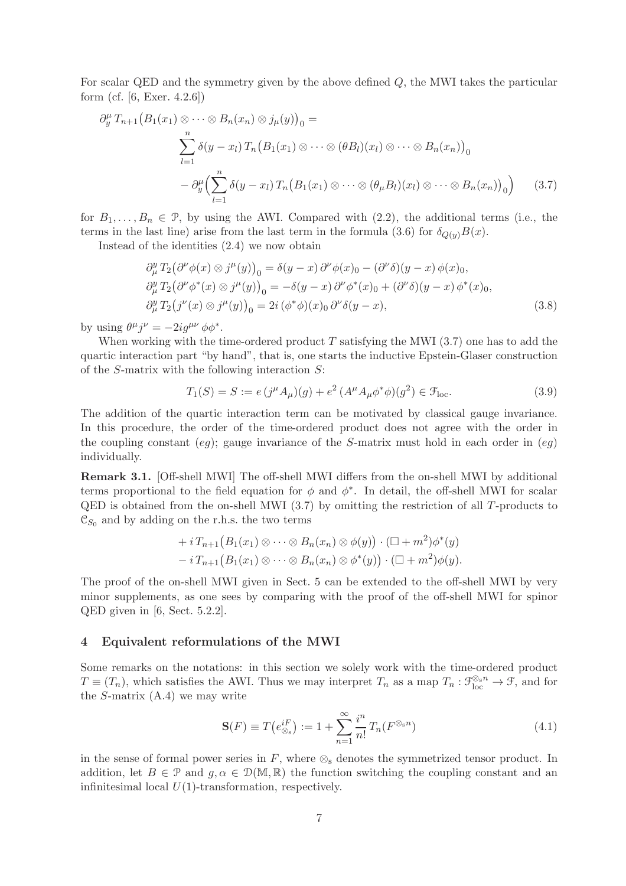For scalar QED and the symmetry given by the above defined Q, the MWI takes the particular form (cf. [6, Exer. 4.2.6])

$$
\partial_y^{\mu} T_{n+1} (B_1(x_1) \otimes \cdots \otimes B_n(x_n) \otimes j_{\mu}(y))_0 =
$$
  

$$
\sum_{l=1}^n \delta(y - x_l) T_n (B_1(x_1) \otimes \cdots \otimes (\theta B_l)(x_l) \otimes \cdots \otimes B_n(x_n))_0
$$
  

$$
- \partial_y^{\mu} \Biggl(\sum_{l=1}^n \delta(y - x_l) T_n (B_1(x_1) \otimes \cdots \otimes (\theta_{\mu} B_l)(x_l) \otimes \cdots \otimes B_n(x_n))_0\Biggr) \qquad (3.7)
$$

for  $B_1, \ldots, B_n \in \mathcal{P}$ , by using the AWI. Compared with  $(2.2)$ , the additional terms (i.e., the terms in the last line) arise from the last term in the formula (3.6) for  $\delta_{Q(y)}B(x)$ .

Instead of the identities (2.4) we now obtain

$$
\partial_{\mu}^{y} T_{2} (\partial^{\nu} \phi(x) \otimes j^{\mu}(y))_{0} = \delta(y - x) \partial^{\nu} \phi(x)_{0} - (\partial^{\nu} \delta)(y - x) \phi(x)_{0}, \n\partial_{\mu}^{y} T_{2} (\partial^{\nu} \phi^{*}(x) \otimes j^{\mu}(y))_{0} = -\delta(y - x) \partial^{\nu} \phi^{*}(x)_{0} + (\partial^{\nu} \delta)(y - x) \phi^{*}(x)_{0}, \n\partial_{\mu}^{y} T_{2} (j^{\nu}(x) \otimes j^{\mu}(y))_{0} = 2i (\phi^{*} \phi)(x)_{0} \partial^{\nu} \delta(y - x),
$$
\n(3.8)

by using  $\theta^{\mu} j^{\nu} = -2ig^{\mu\nu} \phi \phi^*$ .

When working with the time-ordered product  $T$  satisfying the MWI (3.7) one has to add the quartic interaction part "by hand", that is, one starts the inductive Epstein-Glaser construction of the S-matrix with the following interaction  $S$ :

$$
T_1(S) = S := e(j^{\mu} A_{\mu})(g) + e^2 (A^{\mu} A_{\mu} \phi^* \phi)(g^2) \in \mathcal{F}_{loc}. \tag{3.9}
$$

The addition of the quartic interaction term can be motivated by classical gauge invariance. In this procedure, the order of the time-ordered product does not agree with the order in the coupling constant  $(eg)$ ; gauge invariance of the S-matrix must hold in each order in  $(eg)$ individually.

Remark 3.1. [Off-shell MWI] The off-shell MWI differs from the on-shell MWI by additional terms proportional to the field equation for  $\phi$  and  $\phi^*$ . In detail, the off-shell MWI for scalar QED is obtained from the on-shell MWI (3.7) by omitting the restriction of all T-products to  $\mathfrak{C}_{S_0}$  and by adding on the r.h.s. the two terms

+ 
$$
i T_{n+1}(B_1(x_1) \otimes \cdots \otimes B_n(x_n) \otimes \phi(y)) \cdot (\square + m^2) \phi^*(y)
$$
  
-  $i T_{n+1}(B_1(x_1) \otimes \cdots \otimes B_n(x_n) \otimes \phi^*(y)) \cdot (\square + m^2) \phi(y).$ 

The proof of the on-shell MWI given in Sect. 5 can be extended to the off-shell MWI by very minor supplements, as one sees by comparing with the proof of the off-shell MWI for spinor QED given in [6, Sect. 5.2.2].

#### 4 Equivalent reformulations of the MWI

Some remarks on the notations: in this section we solely work with the time-ordered product  $T \equiv (T_n)$ , which satisfies the AWI. Thus we may interpret  $T_n$  as a map  $T_n : \mathfrak{F}_{loc}^{\otimes s_n} \to \mathfrak{F}$ , and for the S-matrix  $(A.4)$  we may write

$$
\mathbf{S}(F) \equiv T\left(e_{\otimes_{\mathbf{s}}}^{iF}\right) := 1 + \sum_{n=1}^{\infty} \frac{i^n}{n!} T_n(F^{\otimes_{\mathbf{s}} n}) \tag{4.1}
$$

in the sense of formal power series in  $F$ , where  $\otimes_{\mathbf{s}}$  denotes the symmetrized tensor product. In addition, let  $B \in \mathcal{P}$  and  $g, \alpha \in \mathcal{D}(\mathbb{M}, \mathbb{R})$  the function switching the coupling constant and an infinitesimal local  $U(1)$ -transformation, respectively.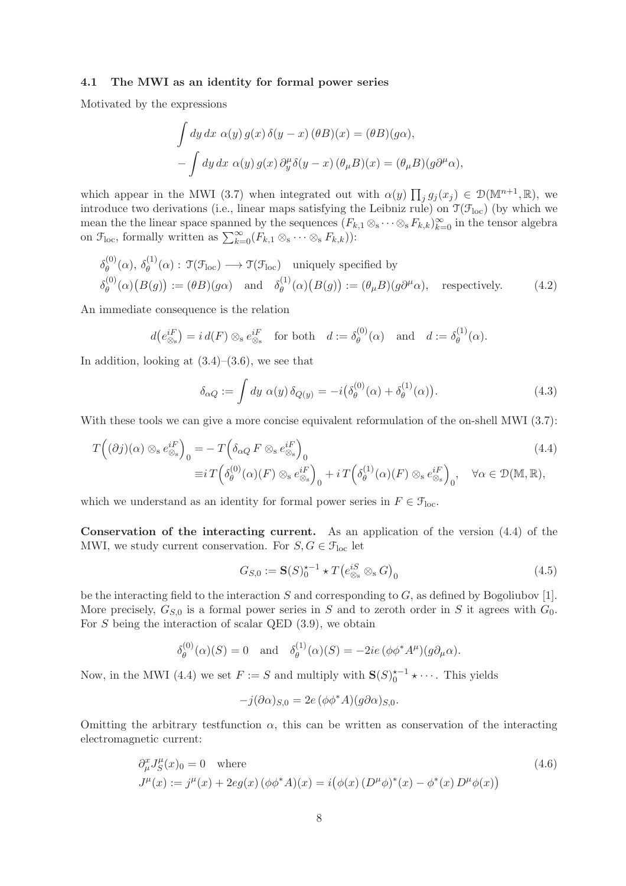#### 4.1 The MWI as an identity for formal power series

Motivated by the expressions

$$
\int dy dx \alpha(y) g(x) \delta(y - x) (\theta B)(x) = (\theta B)(g\alpha),
$$

$$
-\int dy dx \alpha(y) g(x) \partial_y^{\mu} \delta(y - x) (\theta_{\mu} B)(x) = (\theta_{\mu} B)(g\partial^{\mu} \alpha),
$$

which appear in the MWI (3.7) when integrated out with  $\alpha(y) \prod_j g_j(x_j) \in \mathcal{D}(\mathbb{M}^{n+1}, \mathbb{R})$ , we introduce two derivations (i.e., linear maps satisfying the Leibniz rule) on  $\mathfrak{T}(\mathcal{F}_{\text{loc}})$  (by which we mean the the linear space spanned by the sequences  $(F_{k,1} \otimes_s \cdots \otimes_s F_{k,k})_{k=0}^{\infty}$  in the tensor algebra on  $\mathcal{F}_{loc}$ , formally written as  $\sum_{k=0}^{\infty} (F_{k,1} \otimes_{s} \cdots \otimes_{s} F_{k,k}))$ :

$$
\delta_{\theta}^{(0)}(\alpha), \delta_{\theta}^{(1)}(\alpha) : \mathfrak{T}(\mathfrak{F}_{\mathrm{loc}}) \longrightarrow \mathfrak{T}(\mathfrak{F}_{\mathrm{loc}}) \text{ uniquely specified by}
$$
\n
$$
\delta_{\theta}^{(0)}(\alpha)(B(g)) := (\theta B)(g\alpha) \text{ and } \delta_{\theta}^{(1)}(\alpha)(B(g)) := (\theta_{\mu}B)(g\partial^{\mu}\alpha), \text{ respectively.}
$$
\n(4.2)

An immediate consequence is the relation

$$
d(e_{\otimes s}^{iF}) = i d(F) \otimes_s e_{\otimes s}^{iF}
$$
 for both  $d := \delta_{\theta}^{(0)}(\alpha)$  and  $d := \delta_{\theta}^{(1)}(\alpha)$ .

In addition, looking at  $(3.4)$ – $(3.6)$ , we see that

$$
\delta_{\alpha Q} := \int dy \; \alpha(y) \, \delta_{Q(y)} = -i \big( \delta_{\theta}^{(0)}(\alpha) + \delta_{\theta}^{(1)}(\alpha) \big). \tag{4.3}
$$

With these tools we can give a more concise equivalent reformulation of the on-shell MWI (3.7):

$$
T((\partial j)(\alpha) \otimes_{s} e_{\otimes_{s}}^{iF})_{0} = -T(\delta_{\alpha Q} F \otimes_{s} e_{\otimes_{s}}^{iF})_{0}
$$
  
\n
$$
\equiv i T(\delta_{\theta}^{(0)}(\alpha)(F) \otimes_{s} e_{\otimes_{s}}^{iF})_{0} + i T(\delta_{\theta}^{(1)}(\alpha)(F) \otimes_{s} e_{\otimes_{s}}^{iF})_{0}, \quad \forall \alpha \in \mathcal{D}(\mathbb{M}, \mathbb{R}),
$$
\n(4.4)

which we understand as an identity for formal power series in  $F \in \mathcal{F}_{loc}$ .

Conservation of the interacting current. As an application of the version (4.4) of the MWI, we study current conservation. For  $S, G \in \mathcal{F}_{loc}$  let

$$
G_{S,0} := \mathbf{S}(S)^{\star -1}_{0} \star T\left(e_{\otimes_{\mathbf{s}}}^{iS} \otimes_{\mathbf{s}} G\right)_{0} \tag{4.5}
$$

be the interacting field to the interaction  $S$  and corresponding to  $G$ , as defined by Bogoliubov [1]. More precisely,  $G_{S,0}$  is a formal power series in S and to zeroth order in S it agrees with  $G_0$ . For  $S$  being the interaction of scalar QED  $(3.9)$ , we obtain

$$
\delta_{\theta}^{(0)}(\alpha)(S) = 0 \quad \text{and} \quad \delta_{\theta}^{(1)}(\alpha)(S) = -2ie\left(\phi\phi^*A^{\mu}\right)(g\partial_{\mu}\alpha).
$$

Now, in the MWI (4.4) we set  $F := S$  and multiply with  $S(S)_0^{k-1} \star \cdots$ . This yields

$$
-j(\partial \alpha)_{S,0} = 2e(\phi \phi^* A)(g \partial \alpha)_{S,0}.
$$

Omitting the arbitrary test function  $\alpha$ , this can be written as conservation of the interacting electromagnetic current:

$$
\partial_{\mu}^{x} J_{S}^{\mu}(x)_{0} = 0 \quad \text{where}
$$
\n
$$
J^{\mu}(x) := j^{\mu}(x) + 2eg(x) \left(\phi \phi^{*} A\right)(x) = i \left(\phi(x) \left(D^{\mu} \phi\right)^{*}(x) - \phi^{*}(x) D^{\mu} \phi(x)\right)
$$
\n
$$
(4.6)
$$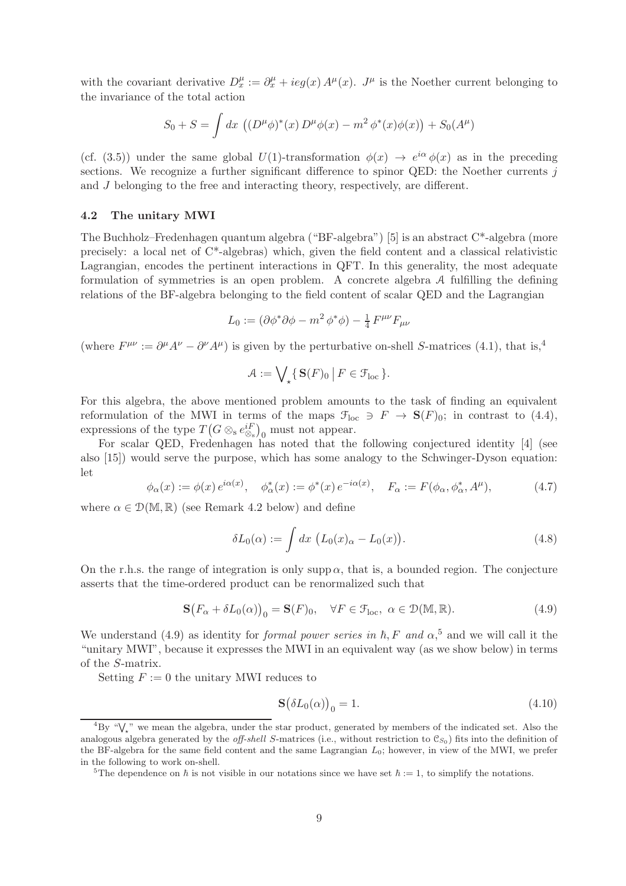with the covariant derivative  $D_x^{\mu} := \partial_x^{\mu} + i e g(x) A^{\mu}(x)$ .  $J^{\mu}$  is the Noether current belonging to the invariance of the total action

$$
S_0 + S = \int dx \, ((D^{\mu} \phi)^*(x) D^{\mu} \phi(x) - m^2 \phi^*(x) \phi(x)) + S_0(A^{\mu})
$$

(cf. (3.5)) under the same global  $U(1)$ -transformation  $\phi(x) \to e^{i\alpha} \phi(x)$  as in the preceding sections. We recognize a further significant difference to spinor QED: the Noether currents  $j$ and J belonging to the free and interacting theory, respectively, are different.

#### 4.2 The unitary MWI

The Buchholz–Fredenhagen quantum algebra ("BF-algebra") [5] is an abstract C\*-algebra (more precisely: a local net of C\*-algebras) which, given the field content and a classical relativistic Lagrangian, encodes the pertinent interactions in QFT. In this generality, the most adequate formulation of symmetries is an open problem. A concrete algebra A fulfilling the defining relations of the BF-algebra belonging to the field content of scalar QED and the Lagrangian

$$
L_0 := (\partial \phi^* \partial \phi - m^2 \phi^* \phi) - \frac{1}{4} F^{\mu \nu} F_{\mu \nu}
$$

(where  $F^{\mu\nu} := \partial^{\mu}A^{\nu} - \partial^{\nu}A^{\mu}$ ) is given by the perturbative on-shell S-matrices (4.1), that is,<sup>4</sup>

$$
\mathcal{A} := \bigvee_{\star} \{ \, \mathbf{S}(F)_0 \, \big| \, F \in \mathcal{F}_{\text{loc}} \, \}.
$$

For this algebra, the above mentioned problem amounts to the task of finding an equivalent reformulation of the MWI in terms of the maps  $\mathcal{F}_{\text{loc}} \ni F \to \mathbf{S}(F)_0$ ; in contrast to (4.4), expressions of the type  $T(G \otimes_{s} e_{\otimes_{s}}^{iF})$ <sub>0</sub> must not appear.

For scalar QED, Fredenhagen has noted that the following conjectured identity [4] (see also [15]) would serve the purpose, which has some analogy to the Schwinger-Dyson equation: let

$$
\phi_{\alpha}(x) := \phi(x) e^{i\alpha(x)}, \quad \phi_{\alpha}^*(x) := \phi^*(x) e^{-i\alpha(x)}, \quad F_{\alpha} := F(\phi_{\alpha}, \phi_{\alpha}^*, A^{\mu}), \tag{4.7}
$$

where  $\alpha \in \mathcal{D}(\mathbb{M}, \mathbb{R})$  (see Remark 4.2 below) and define

$$
\delta L_0(\alpha) := \int dx \, \left( L_0(x)_{\alpha} - L_0(x) \right). \tag{4.8}
$$

On the r.h.s. the range of integration is only supp  $\alpha$ , that is, a bounded region. The conjecture asserts that the time-ordered product can be renormalized such that

$$
\mathbf{S}(F_{\alpha} + \delta L_0(\alpha))_0 = \mathbf{S}(F)_0, \quad \forall F \in \mathcal{F}_{\text{loc}}, \ \alpha \in \mathcal{D}(\mathbb{M}, \mathbb{R}). \tag{4.9}
$$

We understand (4.9) as identity for *formal power series in*  $\hbar$ , F and  $\alpha$ <sup>5</sup>, and we will call it the "unitary MWI", because it expresses the MWI in an equivalent way (as we show below) in terms of the S-matrix.

Setting  $F := 0$  the unitary MWI reduces to

$$
\mathbf{S}(\delta L_0(\alpha))_0 = 1. \tag{4.10}
$$

 ${}^{4}$ By " $\mathsf{V}_{\star}$ " we mean the algebra, under the star product, generated by members of the indicated set. Also the analogous algebra generated by the *off-shell* S-matrices (i.e., without restriction to  $\mathcal{C}_{S_0}$ ) fits into the definition of the BF-algebra for the same field content and the same Lagrangian  $L_0$ ; however, in view of the MWI, we prefer in the following to work on-shell.

<sup>&</sup>lt;sup>5</sup>The dependence on  $\hbar$  is not visible in our notations since we have set  $\hbar := 1$ , to simplify the notations.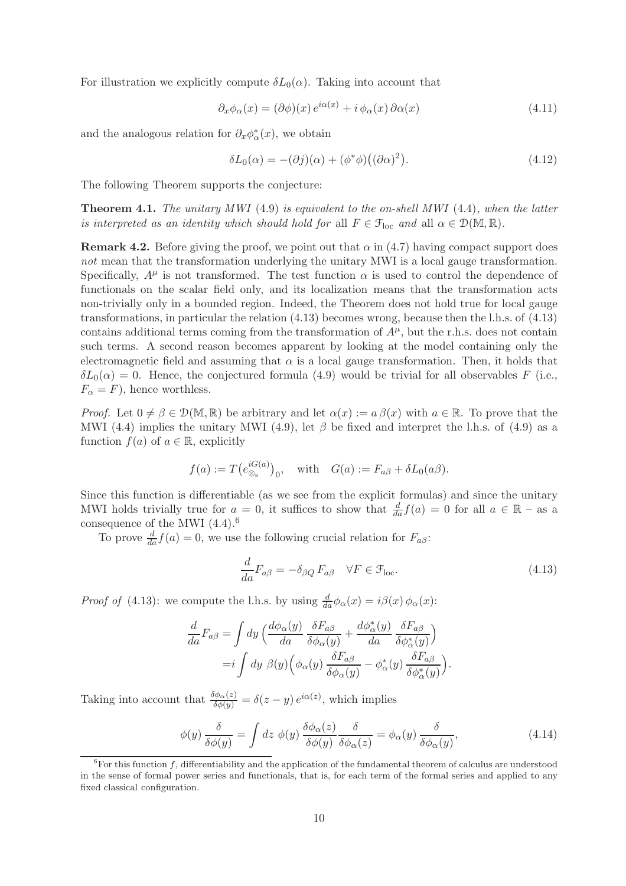For illustration we explicitly compute  $\delta L_0(\alpha)$ . Taking into account that

$$
\partial_x \phi_\alpha(x) = (\partial \phi)(x) e^{i\alpha(x)} + i \phi_\alpha(x) \partial \alpha(x) \tag{4.11}
$$

and the analogous relation for  $\partial_x \phi^*_{\alpha}(x)$ , we obtain

$$
\delta L_0(\alpha) = -(\partial j)(\alpha) + (\phi^* \phi) ((\partial \alpha)^2). \tag{4.12}
$$

The following Theorem supports the conjecture:

Theorem 4.1. *The unitary MWI* (4.9) *is equivalent to the on-shell MWI* (4.4)*, when the latter is interpreted as an identity which should hold for* all  $F \in \mathcal{F}_{loc}$  *and* all  $\alpha \in \mathcal{D}(\mathbb{M}, \mathbb{R})$ *.* 

**Remark 4.2.** Before giving the proof, we point out that  $\alpha$  in (4.7) having compact support does *not* mean that the transformation underlying the unitary MWI is a local gauge transformation. Specifically,  $A^{\mu}$  is not transformed. The test function  $\alpha$  is used to control the dependence of functionals on the scalar field only, and its localization means that the transformation acts non-trivially only in a bounded region. Indeed, the Theorem does not hold true for local gauge transformations, in particular the relation (4.13) becomes wrong, because then the l.h.s. of (4.13) contains additional terms coming from the transformation of  $A^{\mu}$ , but the r.h.s. does not contain such terms. A second reason becomes apparent by looking at the model containing only the electromagnetic field and assuming that  $\alpha$  is a local gauge transformation. Then, it holds that  $\delta L_0(\alpha) = 0$ . Hence, the conjectured formula (4.9) would be trivial for all observables F (i.e.,  $F_{\alpha} = F$ , hence worthless.

*Proof.* Let  $0 \neq \beta \in \mathcal{D}(\mathbb{M}, \mathbb{R})$  be arbitrary and let  $\alpha(x) := a \beta(x)$  with  $a \in \mathbb{R}$ . To prove that the MWI (4.4) implies the unitary MWI (4.9), let  $\beta$  be fixed and interpret the l.h.s. of (4.9) as a function  $f(a)$  of  $a \in \mathbb{R}$ , explicitly

$$
f(a) := T(e_{\otimes_{s}}^{iG(a)})_{0}
$$
, with  $G(a) := F_{a\beta} + \delta L_{0}(a\beta)$ .

Since this function is differentiable (as we see from the explicit formulas) and since the unitary MWI holds trivially true for  $a = 0$ , it suffices to show that  $\frac{d}{da}f(a) = 0$  for all  $a \in \mathbb{R}$  – as a consequence of the MWI  $(4.4).<sup>6</sup>$ 

To prove  $\frac{d}{da} f(a) = 0$ , we use the following crucial relation for  $F_{a\beta}$ :

$$
\frac{d}{da}F_{a\beta} = -\delta_{\beta Q} F_{a\beta} \quad \forall F \in \mathcal{F}_{loc}.\tag{4.13}
$$

*Proof of* (4.13): we compute the l.h.s. by using  $\frac{d}{da}\phi_{\alpha}(x) = i\beta(x)\phi_{\alpha}(x)$ :

$$
\frac{d}{da}F_{a\beta} = \int dy \left(\frac{d\phi_{\alpha}(y)}{da} \frac{\delta F_{a\beta}}{\delta \phi_{\alpha}(y)} + \frac{d\phi_{\alpha}^{*}(y)}{da} \frac{\delta F_{a\beta}}{\delta \phi_{\alpha}^{*}(y)}\right)
$$

$$
= i \int dy \ \beta(y) \left(\phi_{\alpha}(y) \frac{\delta F_{a\beta}}{\delta \phi_{\alpha}(y)} - \phi_{\alpha}^{*}(y) \frac{\delta F_{a\beta}}{\delta \phi_{\alpha}^{*}(y)}\right).
$$

Taking into account that  $\frac{\delta \phi_{\alpha}(z)}{\delta \phi(y)} = \delta(z-y) e^{i\alpha(z)}$ , which implies

$$
\phi(y)\frac{\delta}{\delta\phi(y)} = \int dz \ \phi(y) \frac{\delta\phi_{\alpha}(z)}{\delta\phi(y)} \frac{\delta}{\delta\phi_{\alpha}(z)} = \phi_{\alpha}(y) \frac{\delta}{\delta\phi_{\alpha}(y)},\tag{4.14}
$$

 $6$ For this function f, differentiability and the application of the fundamental theorem of calculus are understood in the sense of formal power series and functionals, that is, for each term of the formal series and applied to any fixed classical configuration.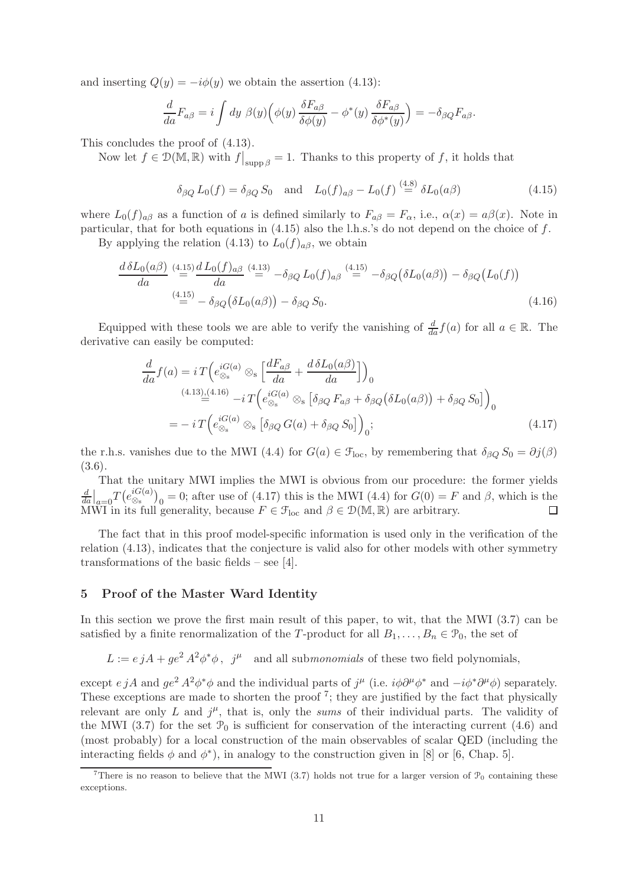and inserting  $Q(y) = -i\phi(y)$  we obtain the assertion (4.13):

$$
\frac{d}{da}F_{a\beta} = i \int dy \; \beta(y) \Big( \phi(y) \frac{\delta F_{a\beta}}{\delta \phi(y)} - \phi^*(y) \frac{\delta F_{a\beta}}{\delta \phi^*(y)} \Big) = -\delta_{\beta Q} F_{a\beta}.
$$

This concludes the proof of (4.13).

Now let  $f \in \mathcal{D}(\overline{M}, \mathbb{R})$  with  $f|_{\text{supp }\beta} = 1$ . Thanks to this property of f, it holds that

$$
\delta_{\beta Q} L_0(f) = \delta_{\beta Q} S_0
$$
 and  $L_0(f)_{\alpha \beta} - L_0(f) \stackrel{(4.8)}{=} \delta L_0(\alpha \beta)$  (4.15)

where  $L_0(f)_{\alpha\beta}$  as a function of a is defined similarly to  $F_{\alpha\beta} = F_{\alpha}$ , i.e.,  $\alpha(x) = a\beta(x)$ . Note in particular, that for both equations in  $(4.15)$  also the l.h.s.'s do not depend on the choice of f.

By applying the relation (4.13) to  $L_0(f)_{a\beta}$ , we obtain

$$
\frac{d\,\delta L_0(a\beta)}{da} \stackrel{(4.15)}{=} \frac{d\,L_0(f)_{a\beta}}{da} \stackrel{(4.13)}{=} -\delta_{\beta Q} L_0(f)_{a\beta} \stackrel{(4.15)}{=} -\delta_{\beta Q} (\delta L_0(a\beta)) - \delta_{\beta Q} (L_0(f))
$$
\n
$$
\stackrel{(4.15)}{=} -\delta_{\beta Q} (\delta L_0(a\beta)) - \delta_{\beta Q} S_0.
$$
\n(4.16)

Equipped with these tools we are able to verify the vanishing of  $\frac{d}{da} f(a)$  for all  $a \in \mathbb{R}$ . The derivative can easily be computed:

$$
\frac{d}{da}f(a) = iT\left(e_{\otimes_{s}}^{iG(a)}\otimes_{s}\left[\frac{dF_{a\beta}}{da} + \frac{d\delta L_{0}(a\beta)}{da}\right]\right)_{0}
$$
\n
$$
\xrightarrow{(4.13),(4.16)} -iT\left(e_{\otimes_{s}}^{iG(a)}\otimes_{s}\left[\delta_{\beta Q}F_{a\beta} + \delta_{\beta Q}(\delta L_{0}(a\beta)) + \delta_{\beta Q}S_{0}\right]\right)_{0}
$$
\n
$$
= -iT\left(e_{\otimes_{s}}^{iG(a)}\otimes_{s}\left[\delta_{\beta Q}G(a) + \delta_{\beta Q}S_{0}\right]\right)_{0};
$$
\n
$$
(4.17)
$$

the r.h.s. vanishes due to the MWI (4.4) for  $G(a) \in \mathcal{F}_{loc}$ , by remembering that  $\delta_{\beta Q} S_0 = \partial j(\beta)$ (3.6).

That the unitary MWI implies the MWI is obvious from our procedure: the former yields  $\frac{d}{da}\big|_{a=0}T\big(e^{iG(a)}_{\otimes_{\mathrm{s}}}$  $\binom{iG(a)}{8s}$ <sub>0</sub> = 0; after use of (4.17) this is the MWI (4.4) for  $G(0) = F$  and  $\beta$ , which is the d MWI in its full generality, because  $F \in \mathcal{F}_{loc}$  and  $\beta \in \mathcal{D}(\mathbb{M}, \mathbb{R})$  are arbitrary.  $\Box$ 

The fact that in this proof model-specific information is used only in the verification of the relation (4.13), indicates that the conjecture is valid also for other models with other symmetry transformations of the basic fields – see [4].

#### 5 Proof of the Master Ward Identity

In this section we prove the first main result of this paper, to wit, that the MWI (3.7) can be satisfied by a finite renormalization of the T-product for all  $B_1, \ldots, B_n \in \mathcal{P}_0$ , the set of

 $L := e j A + g e^2 A^2 \phi^* \phi$ ,  $j^{\mu}$  and all sub*monomials* of these two field polynomials,

except  $e \, jA$  and  $g e^2 A^2 \phi^* \phi$  and the individual parts of  $j^{\mu}$  (i.e.  $i\phi \partial^{\mu} \phi^*$  and  $-i\phi^* \partial^{\mu} \phi$ ) separately. These exceptions are made to shorten the proof<sup>7</sup>; they are justified by the fact that physically relevant are only  $L$  and  $j^{\mu}$ , that is, only the *sums* of their individual parts. The validity of the MWI (3.7) for the set  $\mathcal{P}_0$  is sufficient for conservation of the interacting current (4.6) and (most probably) for a local construction of the main observables of scalar QED (including the interacting fields  $\phi$  and  $\phi^*$ ), in analogy to the construction given in [8] or [6, Chap. 5].

There is no reason to believe that the MWI (3.7) holds not true for a larger version of  $\mathcal{P}_0$  containing these exceptions.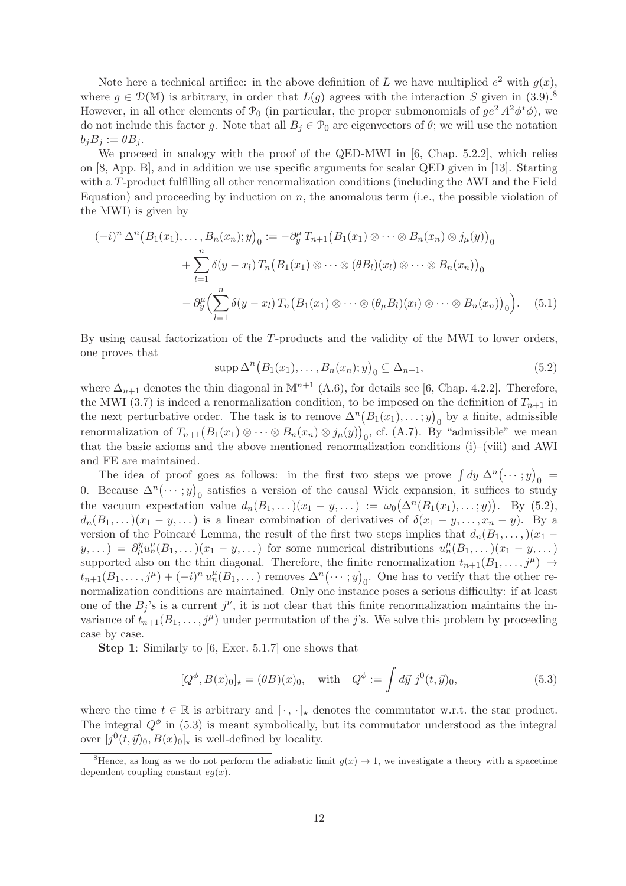Note here a technical artifice: in the above definition of L we have multiplied  $e^2$  with  $g(x)$ , where  $g \in \mathcal{D}(\mathbb{M})$  is arbitrary, in order that  $L(g)$  agrees with the interaction S given in (3.9).<sup>8</sup> However, in all other elements of  $\mathcal{P}_0$  (in particular, the proper submonomials of  $ge^2 A^2 \phi^* \phi$ ), we do not include this factor g. Note that all  $B_j \in \mathcal{P}_0$  are eigenvectors of  $\theta$ ; we will use the notation  $b_i B_j := \theta B_j$ .

We proceed in analogy with the proof of the QED-MWI in [6, Chap. 5.2.2], which relies on [8, App. B], and in addition we use specific arguments for scalar QED given in [13]. Starting with a T-product fulfilling all other renormalization conditions (including the AWI and the Field Equation) and proceeding by induction on  $n$ , the anomalous term (i.e., the possible violation of the MWI) is given by

$$
(-i)^n \Delta^n (B_1(x_1),...,B_n(x_n);y)_0 := -\partial_y^{\mu} T_{n+1} (B_1(x_1) \otimes \cdots \otimes B_n(x_n) \otimes j_{\mu}(y))_0
$$
  
+ 
$$
\sum_{l=1}^n \delta(y-x_l) T_n (B_1(x_1) \otimes \cdots \otimes (\theta B_l)(x_l) \otimes \cdots \otimes B_n(x_n))_0
$$
  
- 
$$
\partial_y^{\mu} \Biggl(\sum_{l=1}^n \delta(y-x_l) T_n (B_1(x_1) \otimes \cdots \otimes (\theta_{\mu} B_l)(x_l) \otimes \cdots \otimes B_n(x_n))_0\Biggr).
$$
 (5.1)

By using causal factorization of the T-products and the validity of the MWI to lower orders, one proves that

$$
\operatorname{supp} \Delta^{n} (B_1(x_1), \dots, B_n(x_n); y)_0 \subseteq \Delta_{n+1},
$$
\n(5.2)

where  $\Delta_{n+1}$  denotes the thin diagonal in M<sup>n+1</sup> (A.6), for details see [6, Chap. 4.2.2]. Therefore, the MWI (3.7) is indeed a renormalization condition, to be imposed on the definition of  $T_{n+1}$  in the next perturbative order. The task is to remove  $\Delta^{n}(B_1(x_1), \ldots; y)_0$  by a finite, admissible renormalization of  $T_{n+1}(B_1(x_1)\otimes\cdots\otimes B_n(x_n)\otimes j_\mu(y))_0$ , cf. (A.7). By "admissible" we mean that the basic axioms and the above mentioned renormalization conditions  $(i)$ –(viii) and AWI and FE are maintained.

The idea of proof goes as follows: in the first two steps we prove  $\int dy \Delta^n (\cdots; y)_0 =$ 0. Because  $\Delta^n(\dots; y)_0$  satisfies a version of the causal Wick expansion, it suffices to study the vacuum expectation value  $d_n(B_1,\ldots)(x_1-y,\ldots) := \omega_0(\Delta^n(B_1(x_1),\ldots,y)).$  By (5.2),  $d_n(B_1,\ldots)(x_1-y,\ldots)$  is a linear combination of derivatives of  $\delta(x_1-y,\ldots,x_n-y)$ . By a version of the Poincaré Lemma, the result of the first two steps implies that  $d_n(B_1, \ldots,)(x_1 (y, \ldots) = \partial_{\mu}^{y} u_n^{\mu}(B_1, \ldots)(x_1 - y, \ldots)$  for some numerical distributions  $u_n^{\mu}(B_1, \ldots)(x_1 - y, \ldots)$ supported also on the thin diagonal. Therefore, the finite renormalization  $t_{n+1}(B_1, \ldots, j^{\mu}) \rightarrow$  $t_{n+1}(B_1,\ldots,j^{\mu})+(-i)^n u_n^{\mu}(B_1,\ldots)$  removes  $\Delta^n(\cdots,y)_0$ . One has to verify that the other renormalization conditions are maintained. Only one instance poses a serious difficulty: if at least one of the  $B_j$ 's is a current  $j^{\nu}$ , it is not clear that this finite renormalization maintains the invariance of  $t_{n+1}(B_1,\ldots,j^{\mu})$  under permutation of the j's. We solve this problem by proceeding case by case.

Step 1: Similarly to [6, Exer. 5.1.7] one shows that

$$
[Q^{\phi}, B(x)_{0}]_{\star} = (\theta B)(x)_{0}, \text{ with } Q^{\phi} := \int d\vec{y} \, j^{0}(t, \vec{y})_{0}, \tag{5.3}
$$

where the time  $t \in \mathbb{R}$  is arbitrary and  $[\cdot, \cdot]_{\star}$  denotes the commutator w.r.t. the star product. The integral  $Q^{\phi}$  in (5.3) is meant symbolically, but its commutator understood as the integral over  $[j^0(t, \vec{y})_0, B(x)_0]_\star$  is well-defined by locality.

<sup>&</sup>lt;sup>8</sup>Hence, as long as we do not perform the adiabatic limit  $g(x) \to 1$ , we investigate a theory with a spacetime dependent coupling constant  $eg(x)$ .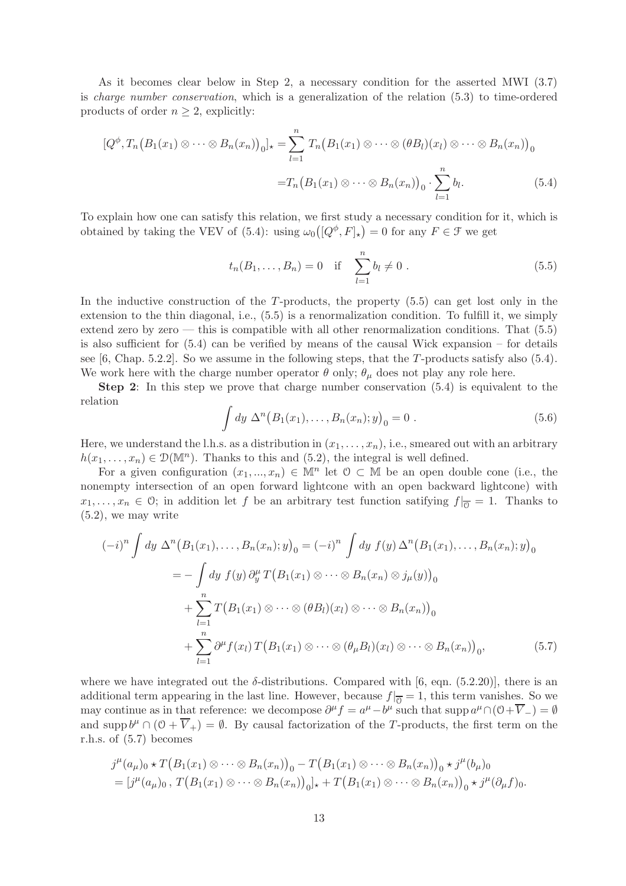As it becomes clear below in Step 2, a necessary condition for the asserted MWI (3.7) is *charge number conservation*, which is a generalization of the relation (5.3) to time-ordered products of order  $n \geq 2$ , explicitly:

$$
[Q^{\phi}, T_n (B_1(x_1) \otimes \cdots \otimes B_n(x_n))_0]_{\star} = \sum_{l=1}^n T_n (B_1(x_1) \otimes \cdots \otimes (b)l_n(x_l) \otimes \cdots \otimes B_n(x_n))_0
$$

$$
= T_n (B_1(x_1) \otimes \cdots \otimes B_n(x_n))_0 \cdot \sum_{l=1}^n b_l.
$$
(5.4)

To explain how one can satisfy this relation, we first study a necessary condition for it, which is obtained by taking the VEV of (5.4): using  $\omega_0([Q^{\phi}, F]_{\star}) = 0$  for any  $F \in \mathcal{F}$  we get

$$
t_n(B_1,...,B_n) = 0
$$
 if  $\sum_{l=1}^n b_l \neq 0$ . (5.5)

In the inductive construction of the  $T$ -products, the property  $(5.5)$  can get lost only in the extension to the thin diagonal, i.e., (5.5) is a renormalization condition. To fulfill it, we simply extend zero by zero — this is compatible with all other renormalization conditions. That  $(5.5)$ is also sufficient for  $(5.4)$  can be verified by means of the causal Wick expansion – for details see [6, Chap. 5.2.2]. So we assume in the following steps, that the T-products satisfy also (5.4). We work here with the charge number operator  $\theta$  only;  $\theta_{\mu}$  does not play any role here.

Step 2: In this step we prove that charge number conservation (5.4) is equivalent to the relation

$$
\int dy \, \Delta^n (B_1(x_1), \dots, B_n(x_n); y)_0 = 0 \; . \tag{5.6}
$$

Here, we understand the l.h.s. as a distribution in  $(x_1, \ldots, x_n)$ , i.e., smeared out with an arbitrary  $h(x_1,...,x_n) \in \mathcal{D}(\mathbb{M}^n)$ . Thanks to this and  $(5.2)$ , the integral is well defined.

For a given configuration  $(x_1, ..., x_n) \in \mathbb{M}^n$  let  $\mathcal{O} \subset \mathbb{M}$  be an open double cone (i.e., the nonempty intersection of an open forward lightcone with an open backward lightcone) with  $x_1, \ldots, x_n \in \mathcal{O}$ ; in addition let f be an arbitrary test function satifying  $f|_{\overline{0}} = 1$ . Thanks to (5.2), we may write

$$
(-i)^n \int dy \ \Delta^n (B_1(x_1), \dots, B_n(x_n); y)_0 = (-i)^n \int dy \ f(y) \ \Delta^n (B_1(x_1), \dots, B_n(x_n); y)_0
$$
  

$$
= - \int dy \ f(y) \ \partial_y^n T (B_1(x_1) \otimes \dots \otimes B_n(x_n) \otimes j_\mu(y))_0
$$
  

$$
+ \sum_{l=1}^n T (B_1(x_1) \otimes \dots \otimes (\theta B_l)(x_l) \otimes \dots \otimes B_n(x_n))_0
$$
  

$$
+ \sum_{l=1}^n \partial^\mu f(x_l) T (B_1(x_1) \otimes \dots \otimes (\theta_\mu B_l)(x_l) \otimes \dots \otimes B_n(x_n))_0,
$$
 (5.7)

where we have integrated out the  $\delta$ -distributions. Compared with [6, eqn. (5.2.20)], there is an additional term appearing in the last line. However, because  $f|_{\overline{0}} = 1$ , this term vanishes. So we may continue as in that reference: we decompose  $\partial^{\mu} f = a^{\mu} - b^{\mu}$  such that supp  $a^{\mu} \cap (\partial + \overline{V}_{-}) = \emptyset$ and supp  $b^{\mu} \cap (\mathcal{O} + \overline{V}_{+}) = \emptyset$ . By causal factorization of the T-products, the first term on the r.h.s. of (5.7) becomes

$$
j^{\mu}(a_{\mu})_0 \star T(B_1(x_1) \otimes \cdots \otimes B_n(x_n))_0 - T(B_1(x_1) \otimes \cdots \otimes B_n(x_n))_0 \star j^{\mu}(b_{\mu})_0
$$
  
= 
$$
[j^{\mu}(a_{\mu})_0, T(B_1(x_1) \otimes \cdots \otimes B_n(x_n))_0]_{\star} + T(B_1(x_1) \otimes \cdots \otimes B_n(x_n))_0 \star j^{\mu}(\partial_{\mu}f)_{0}.
$$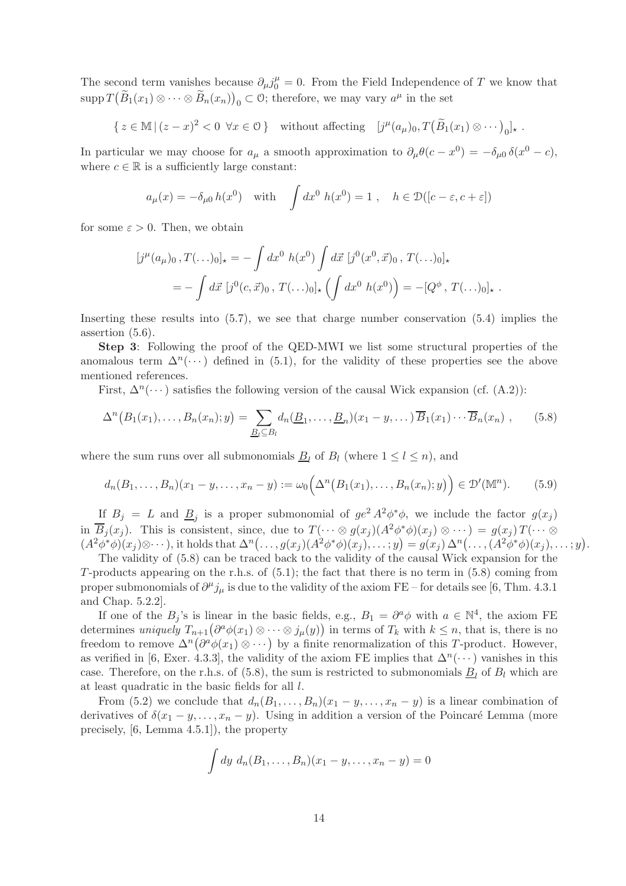The second term vanishes because  $\partial_{\mu} j_{0}^{\mu} = 0$ . From the Field Independence of T we know that  $\text{supp } T(\widetilde{B}_1(x_1) \otimes \cdots \otimes \widetilde{B}_n(x_n))_0 \subset \mathcal{O}$ ; therefore, we may vary  $a^{\mu}$  in the set

$$
\{ z \in \mathbb{M} \mid (z - x)^2 < 0 \ \forall x \in \mathcal{O} \} \quad \text{without affecting} \quad [j^{\mu}(a_{\mu})_0, T(\widetilde{B}_1(x_1) \otimes \cdots)_0]_{\star} \ .
$$

In particular we may choose for  $a_{\mu}$  a smooth approximation to  $\partial_{\mu}\theta(c-x^0) = -\delta_{\mu 0}\delta(x^0-c)$ , where  $c \in \mathbb{R}$  is a sufficiently large constant:

$$
a_{\mu}(x) = -\delta_{\mu 0} h(x^0)
$$
 with  $\int dx^0 h(x^0) = 1$ ,  $h \in \mathcal{D}([c - \varepsilon, c + \varepsilon])$ 

for some  $\varepsilon > 0$ . Then, we obtain

$$
[j^{\mu}(a_{\mu})_0, T(\ldots)_{0}]_{\star} = -\int dx^{0} h(x^{0}) \int d\vec{x} [j^{0}(x^{0}, \vec{x})_0, T(\ldots)_{0}]_{\star}
$$
  
=  $-\int d\vec{x} [j^{0}(c, \vec{x})_0, T(\ldots)_{0}]_{\star} (\int dx^{0} h(x^{0})) = -[Q^{\phi}, T(\ldots)_{0}]_{\star}.$ 

Inserting these results into (5.7), we see that charge number conservation (5.4) implies the assertion (5.6).

Step 3: Following the proof of the QED-MWI we list some structural properties of the anomalous term  $\Delta^n(\cdots)$  defined in (5.1), for the validity of these properties see the above mentioned references.

First,  $\Delta^{n}(\cdots)$  satisfies the following version of the causal Wick expansion (cf. (A.2)):

$$
\Delta^{n}\big(B_1(x_1),\ldots,B_n(x_n);y\big)=\sum_{\underline{B}_1\subseteq B_l}d_n(\underline{B}_1,\ldots,\underline{B}_n)(x_1-y,\ldots)\,\overline{B}_1(x_1)\cdots\overline{B}_n(x_n)\,,\qquad(5.8)
$$

where the sum runs over all submonomials  $B_l$  of  $B_l$  (where  $1 \leq l \leq n$ ), and

$$
d_n(B_1, ..., B_n)(x_1 - y, ..., x_n - y) := \omega_0\Big(\Delta^n\big(B_1(x_1), ..., B_n(x_n); y\big)\Big) \in \mathcal{D}'(\mathbb{M}^n). \tag{5.9}
$$

If  $B_j = L$  and  $\underline{B}_j$  is a proper submonomial of  $ge^2 A^2 \phi^* \phi$ , we include the factor  $g(x_j)$ in  $\overline{B}_j(x_j)$ . This is consistent, since, due to  $T(\cdots \otimes g(x_j)(A^2\phi^*\phi)(x_j) \otimes \cdots) = g(x_j)T(\cdots \otimes g(x_j))$  $(A^2\phi^*\phi)(x_j)\otimes\cdots),$  it holds that  $\Delta^n(\ldots,g(x_j)(A^2\phi^*\phi)(x_j),\ldots,y)=g(x_j)\Delta^n(\ldots,(A^2\phi^*\phi)(x_j),\ldots,y).$ 

The validity of (5.8) can be traced back to the validity of the causal Wick expansion for the T-products appearing on the r.h.s. of  $(5.1)$ ; the fact that there is no term in  $(5.8)$  coming from proper submonomials of  $\partial^{\mu} j_{\mu}$  is due to the validity of the axiom FE – for details see [6, Thm. 4.3.1] and Chap. 5.2.2].

If one of the  $B_j$ 's is linear in the basic fields, e.g.,  $B_1 = \partial^a \phi$  with  $a \in \mathbb{N}^4$ , the axiom FE determines *uniquely*  $T_{n+1}(\partial^a \phi(x_1) \otimes \cdots \otimes j_\mu(y))$  in terms of  $T_k$  with  $k \leq n$ , that is, there is no freedom to remove  $\Delta^n(\partial^a \phi(x_1) \otimes \cdots)$  by a finite renormalization of this T-product. However, as verified in [6, Exer. 4.3.3], the validity of the axiom FE implies that  $\Delta^{n}(\cdots)$  vanishes in this case. Therefore, on the r.h.s. of  $(5.8)$ , the sum is restricted to submonomials  $\underline{B}_l$  of  $B_l$  which are at least quadratic in the basic fields for all l.

From (5.2) we conclude that  $d_n(B_1, \ldots, B_n)(x_1 - y, \ldots, x_n - y)$  is a linear combination of derivatives of  $\delta(x_1 - y, \ldots, x_n - y)$ . Using in addition a version of the Poincaré Lemma (more precisely, [6, Lemma 4.5.1]), the property

$$
\int dy d_n(B_1,\ldots,B_n)(x_1-y,\ldots,x_n-y)=0
$$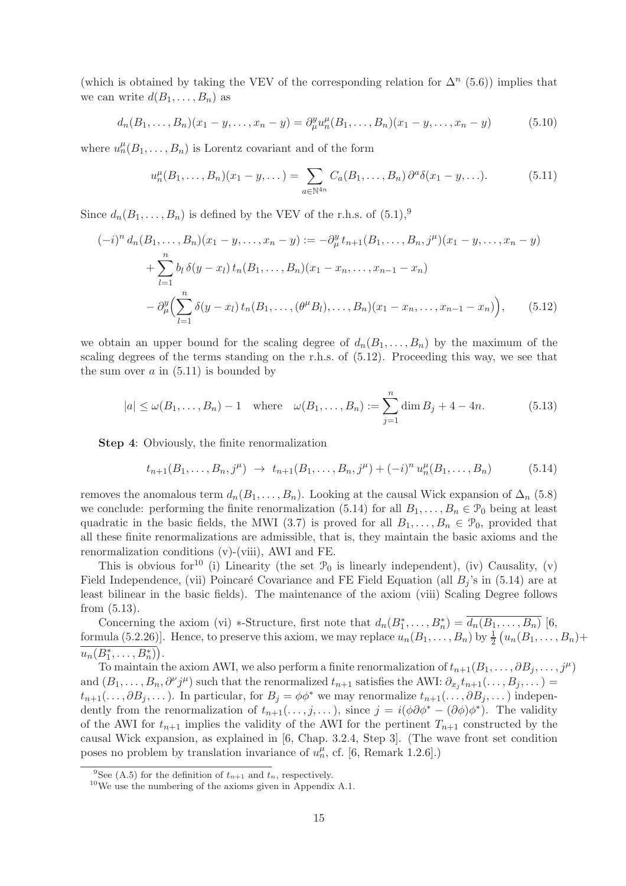(which is obtained by taking the VEV of the corresponding relation for  $\Delta^n$  (5.6)) implies that we can write  $d(B_1, \ldots, B_n)$  as

$$
d_n(B_1, \ldots, B_n)(x_1 - y, \ldots, x_n - y) = \partial_{\mu}^y u_n^{\mu}(B_1, \ldots, B_n)(x_1 - y, \ldots, x_n - y)
$$
(5.10)

where  $u_n^{\mu}(B_1,\ldots,B_n)$  is Lorentz covariant and of the form

$$
u_n^{\mu}(B_1, ..., B_n)(x_1 - y, ...) = \sum_{a \in \mathbb{N}^{4n}} C_a(B_1, ..., B_n) \partial^a \delta(x_1 - y, ...).
$$
 (5.11)

Since  $d_n(B_1,\ldots,B_n)$  is defined by the VEV of the r.h.s. of  $(5.1)$ ,<sup>9</sup>

$$
(-i)^{n} d_{n}(B_{1},...,B_{n})(x_{1}-y,...,x_{n}-y) := -\partial_{\mu}^{y} t_{n+1}(B_{1},...,B_{n},j^{\mu})(x_{1}-y,...,x_{n}-y)
$$
  
+ 
$$
\sum_{l=1}^{n} b_{l} \delta(y-x_{l}) t_{n}(B_{1},...,B_{n})(x_{1}-x_{n},...,x_{n-1}-x_{n})
$$
  
- 
$$
\partial_{\mu}^{y} \Biggl(\sum_{l=1}^{n} \delta(y-x_{l}) t_{n}(B_{1},...,(\theta^{\mu}B_{l}),...,B_{n})(x_{1}-x_{n},...,x_{n-1}-x_{n})\Biggr), \qquad (5.12)
$$

we obtain an upper bound for the scaling degree of  $d_n(B_1, \ldots, B_n)$  by the maximum of the scaling degrees of the terms standing on the r.h.s. of (5.12). Proceeding this way, we see that the sum over  $a$  in  $(5.11)$  is bounded by

$$
|a| \le \omega(B_1, ..., B_n) - 1
$$
 where  $\omega(B_1, ..., B_n) := \sum_{j=1}^n \dim B_j + 4 - 4n.$  (5.13)

Step 4: Obviously, the finite renormalization

$$
t_{n+1}(B_1,\ldots,B_n,j^{\mu}) \rightarrow t_{n+1}(B_1,\ldots,B_n,j^{\mu}) + (-i)^n u_n^{\mu}(B_1,\ldots,B_n)
$$
(5.14)

removes the anomalous term  $d_n(B_1, \ldots, B_n)$ . Looking at the causal Wick expansion of  $\Delta_n$  (5.8) we conclude: performing the finite renormalization (5.14) for all  $B_1, \ldots, B_n \in \mathcal{P}_0$  being at least quadratic in the basic fields, the MWI (3.7) is proved for all  $B_1, \ldots, B_n \in \mathcal{P}_0$ , provided that all these finite renormalizations are admissible, that is, they maintain the basic axioms and the renormalization conditions (v)-(viii), AWI and FE.

This is obvious for<sup>10</sup> (i) Linearity (the set  $\mathcal{P}_0$  is linearly independent), (iv) Causality, (v) Field Independence, (vii) Poincaré Covariance and FE Field Equation (all  $B_i$ 's in (5.14) are at least bilinear in the basic fields). The maintenance of the axiom (viii) Scaling Degree follows from (5.13).

Concerning the axiom (vi) \*-Structure, first note that  $d_n(B_1^*, \ldots, B_n^*) = \overline{d_n(B_1, \ldots, B_n)}$  [6, formula (5.2.26)]. Hence, to preserve this axiom, we may replace  $u_n(B_1, \ldots, B_n)$  by  $\frac{1}{2}(u_n(B_1, \ldots, B_n)+$  $u_n(B_1^*,\ldots,B_n^*)$ .

To maintain the axiom AWI, we also perform a finite renormalization of  $t_{n+1}(B_1, \ldots, \partial B_j, \ldots, j^{\mu})$ and  $(B_1,\ldots,B_n,\partial^\nu j^\mu)$  such that the renormalized  $t_{n+1}$  satisfies the AWI:  $\partial_{x_j}t_{n+1}(\ldots,B_j,\ldots)=$  $t_{n+1}(\ldots,\partial B_i,\ldots)$ . In particular, for  $B_i = \phi \phi^*$  we may renormalize  $t_{n+1}(\ldots,\partial B_i,\ldots)$  independently from the renormalization of  $t_{n+1}(\ldots,j,\ldots)$ , since  $j = i(\phi \partial \phi^* - (\partial \phi)\phi^*)$ . The validity of the AWI for  $t_{n+1}$  implies the validity of the AWI for the pertinent  $T_{n+1}$  constructed by the causal Wick expansion, as explained in [6, Chap. 3.2.4, Step 3]. (The wave front set condition poses no problem by translation invariance of  $u_n^{\mu}$ , cf. [6, Remark 1.2.6].)

<sup>&</sup>lt;sup>9</sup>See (A.5) for the definition of  $t_{n+1}$  and  $t_n$ , respectively.

 $10$ We use the numbering of the axioms given in Appendix A.1.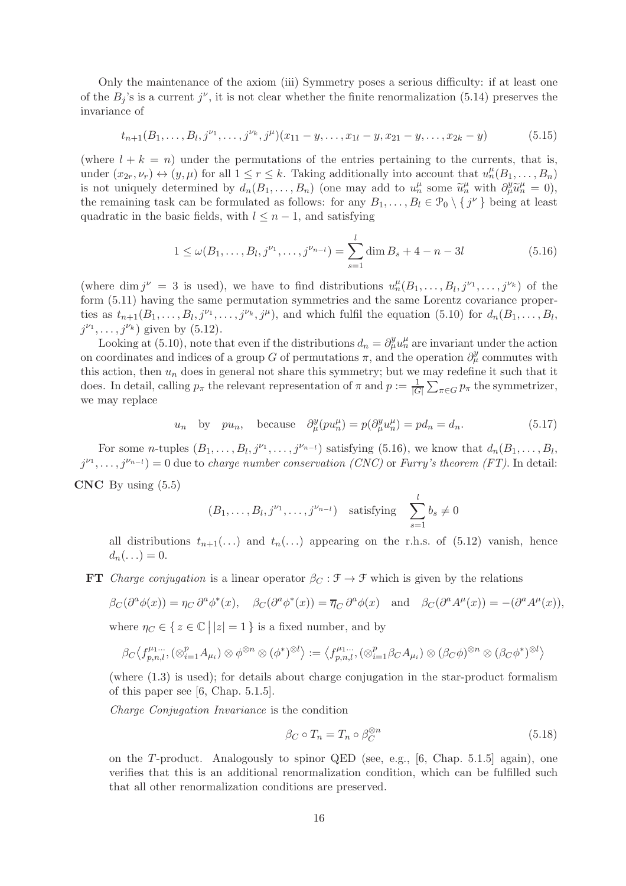Only the maintenance of the axiom (iii) Symmetry poses a serious difficulty: if at least one of the  $B_j$ 's is a current  $j^{\nu}$ , it is not clear whether the finite renormalization (5.14) preserves the invariance of

$$
t_{n+1}(B_1,\ldots,B_l,j^{\nu_1},\ldots,j^{\nu_k},j^{\mu})(x_{11}-y,\ldots,x_{1l}-y,x_{21}-y,\ldots,x_{2k}-y) \qquad (5.15)
$$

(where  $l + k = n$ ) under the permutations of the entries pertaining to the currents, that is, under  $(x_{2r}, \nu_r) \leftrightarrow (y, \mu)$  for all  $1 \leq r \leq k$ . Taking additionally into account that  $u_n^{\mu}(B_1, \ldots, B_n)$ is not uniquely determined by  $d_n(B_1, \ldots, B_n)$  (one may add to  $u_n^{\mu}$  some  $\tilde{u}_n^{\mu}$  with  $\partial_{\mu}^y \tilde{u}_n^{\mu} = 0$ ), the remaining task can be formulated as follows: for any  $B_1, \ldots, B_l \in \mathcal{P}_0 \setminus \{j^\nu\}$  being at least quadratic in the basic fields, with  $l \leq n-1$ , and satisfying

$$
1 \le \omega(B_1, \dots, B_l, j^{\nu_1}, \dots, j^{\nu_{n-l}}) = \sum_{s=1}^l \dim B_s + 4 - n - 3l \tag{5.16}
$$

(where dim  $j^{\nu} = 3$  is used), we have to find distributions  $u_n^{\mu}(B_1,\ldots,B_l,j^{\nu_1},\ldots,j^{\nu_k})$  of the form (5.11) having the same permutation symmetries and the same Lorentz covariance properties as  $t_{n+1}(B_1,\ldots,B_l,j^{\nu_1},\ldots,j^{\nu_k},j^{\mu})$ , and which fulfil the equation (5.10) for  $d_n(B_1,\ldots,B_l,j^{\nu_k},j^{\mu})$  $j^{\nu_1}, \ldots, j^{\nu_k}$  given by  $(5.12)$ .

Looking at (5.10), note that even if the distributions  $d_n = \partial_\mu^y u_n^\mu$  are invariant under the action on coordinates and indices of a group G of permutations  $\pi$ , and the operation  $\partial_{\mu}^{y}$  commutes with this action, then  $u_n$  does in general not share this symmetry; but we may redefine it such that it does. In detail, calling  $p_{\pi}$  the relevant representation of  $\pi$  and  $p := \frac{1}{|G|} \sum_{\pi \in G} p_{\pi}$  the symmetrizer, we may replace

$$
u_n
$$
 by  $pu_n$ , because  $\partial_{\mu}^{y}(pu_n^{\mu}) = p(\partial_{\mu}^{y}u_n^{\mu}) = pd_n = d_n.$  (5.17)

For some *n*-tuples  $(B_1, \ldots, B_l, j^{\nu_1}, \ldots, j^{\nu_{n-l}})$  satisfying (5.16), we know that  $d_n(B_1, \ldots, B_l)$  $j^{\nu_1}, \ldots, j^{\nu_{n-l}}$  = 0 due to *charge number conservation (CNC)* or *Furry's theorem (FT)*. In detail:  $CNC$  By using  $(5.5)$ 

> $(B_1, \ldots, B_l, j^{\nu_1}, \ldots, j^{\nu_{n-l}})$  satisfying  $\sum_l$  $s=1$  $b_s \neq 0$

all distributions  $t_{n+1}(\ldots)$  and  $t_n(\ldots)$  appearing on the r.h.s. of (5.12) vanish, hence  $d_n(\ldots)=0.$ 

**FT** *Charge conjugation* is a linear operator  $\beta_C : \mathcal{F} \to \mathcal{F}$  which is given by the relations

$$
\beta_C(\partial^a \phi(x)) = \eta_C \partial^a \phi^*(x), \quad \beta_C(\partial^a \phi^*(x)) = \overline{\eta}_C \partial^a \phi(x) \quad \text{and} \quad \beta_C(\partial^a A^\mu(x)) = -(\partial^a A^\mu(x)),
$$

where  $\eta_C \in \{ z \in \mathbb{C} \mid |z| = 1 \}$  is a fixed number, and by

$$
\beta_C \langle f_{p,n,l}^{\mu_1\dots}, (\otimes_{i=1}^p A_{\mu_i}) \otimes \phi^{\otimes n} \otimes (\phi^*)^{\otimes l} \rangle := \langle f_{p,n,l}^{\mu_1\dots}, (\otimes_{i=1}^p \beta_C A_{\mu_i}) \otimes (\beta_C \phi)^{\otimes n} \otimes (\beta_C \phi^*)^{\otimes l} \rangle
$$

(where (1.3) is used); for details about charge conjugation in the star-product formalism of this paper see [6, Chap. 5.1.5].

*Charge Conjugation Invariance* is the condition

$$
\beta_C \circ T_n = T_n \circ \beta_C^{\otimes n} \tag{5.18}
$$

on the T-product. Analogously to spinor QED (see, e.g.,  $[6,$  Chap. 5.1.5] again), one verifies that this is an additional renormalization condition, which can be fulfilled such that all other renormalization conditions are preserved.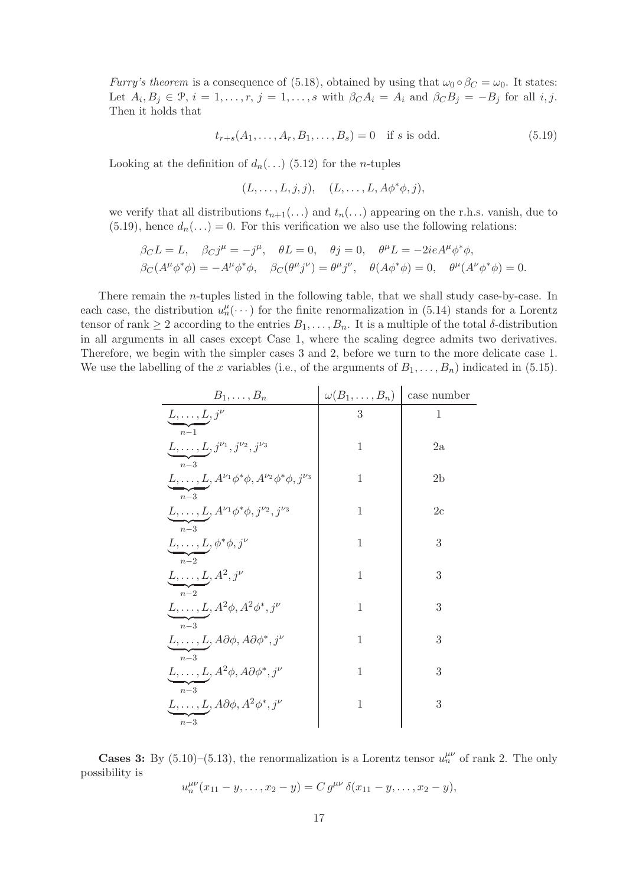*Furry's theorem* is a consequence of (5.18), obtained by using that  $\omega_0 \circ \beta_C = \omega_0$ . It states: Let  $A_i, B_j \in \mathcal{P}, i = 1, \ldots, r, j = 1, \ldots, s$  with  $\beta_C A_i = A_i$  and  $\beta_C B_j = -B_j$  for all i, j. Then it holds that

$$
t_{r+s}(A_1, \dots, A_r, B_1, \dots, B_s) = 0 \quad \text{if } s \text{ is odd.} \tag{5.19}
$$

Looking at the definition of  $d_n(\ldots)$  (5.12) for the *n*-tuples

$$
(L,\ldots,L,j,j),\quad (L,\ldots,L,A\phi^*\phi,j),
$$

we verify that all distributions  $t_{n+1}(\ldots)$  and  $t_n(\ldots)$  appearing on the r.h.s. vanish, due to (5.19), hence  $d_n(\ldots) = 0$ . For this verification we also use the following relations:

$$
\beta_C L = L, \quad \beta_C j^{\mu} = -j^{\mu}, \quad \theta L = 0, \quad \theta j = 0, \quad \theta^{\mu} L = -2ieA^{\mu} \phi^* \phi,
$$
  

$$
\beta_C (A^{\mu} \phi^* \phi) = -A^{\mu} \phi^* \phi, \quad \beta_C (\theta^{\mu} j^{\nu}) = \theta^{\mu} j^{\nu}, \quad \theta (A \phi^* \phi) = 0, \quad \theta^{\mu} (A^{\nu} \phi^* \phi) = 0.
$$

There remain the n-tuples listed in the following table, that we shall study case-by-case. In each case, the distribution  $u_n^{\mu}(\cdots)$  for the finite renormalization in (5.14) stands for a Lorentz tensor of rank  $\geq 2$  according to the entries  $B_1, \ldots, B_n$ . It is a multiple of the total  $\delta$ -distribution in all arguments in all cases except Case 1, where the scaling degree admits two derivatives. Therefore, we begin with the simpler cases 3 and 2, before we turn to the more delicate case 1. We use the labelling of the x variables (i.e., of the arguments of  $B_1, \ldots, B_n$ ) indicated in (5.15).

| $B_1,\ldots,B_n$                                                                                        | $\omega(B_1,\ldots,B_n)$ | case number    |
|---------------------------------------------------------------------------------------------------------|--------------------------|----------------|
| $\underline{L}, \dots, \underline{L}, j^{\nu}$                                                          | 3                        | 1              |
| $n-1$<br>$\underline{L},\dots,\underline{L},j^{\nu_1},j^{\nu_2},j^{\nu_3}$                              | 1                        | 2a             |
| $n-3$<br>$\underline{L}, \dots, \underline{L}, A^{\nu_1} \phi^* \phi, A^{\nu_2} \phi^* \phi, j^{\nu_3}$ | 1                        | 2 <sub>b</sub> |
| $n-3$<br>$\underline{L}, \dots, \underline{L}, A^{\nu_1} \phi^* \phi, j^{\nu_2}, j^{\nu_3}$             | 1                        | 2c             |
| $n-3$<br>$\underline{L}, \ldots, \underline{L}, \phi^* \phi, j^\nu$                                     | 1                        | 3              |
| $n-2$<br>$\underline{L, \ldots, L}, A^2, j^\nu$                                                         | 1                        | 3              |
| $n-2$<br>$\underline{L, \ldots, L}, A^2\phi, A^2\phi^*, j^\nu$                                          | 1                        | 3              |
| $n-3$<br>$\underline{L, \ldots, L}, A \partial \phi, A \partial \phi^*, j^\nu$                          | 1                        | 3              |
| $n-3$<br>$\underline{L, \ldots, L}, A^2\phi, A\partial\phi^*, j^\nu$                                    | 1                        | 3              |
| $n-3$<br>$L, \ldots, L, A\partial\phi, A^2\phi^*, j^\nu$                                                | 1                        | 3              |
| $n\!-\!3$                                                                                               |                          |                |

**Cases 3:** By (5.10)–(5.13), the renormalization is a Lorentz tensor  $u_n^{\mu\nu}$  of rank 2. The only possibility is

$$
u_n^{\mu\nu}(x_{11}-y,\ldots,x_2-y)=C\,g^{\mu\nu}\,\delta(x_{11}-y,\ldots,x_2-y),
$$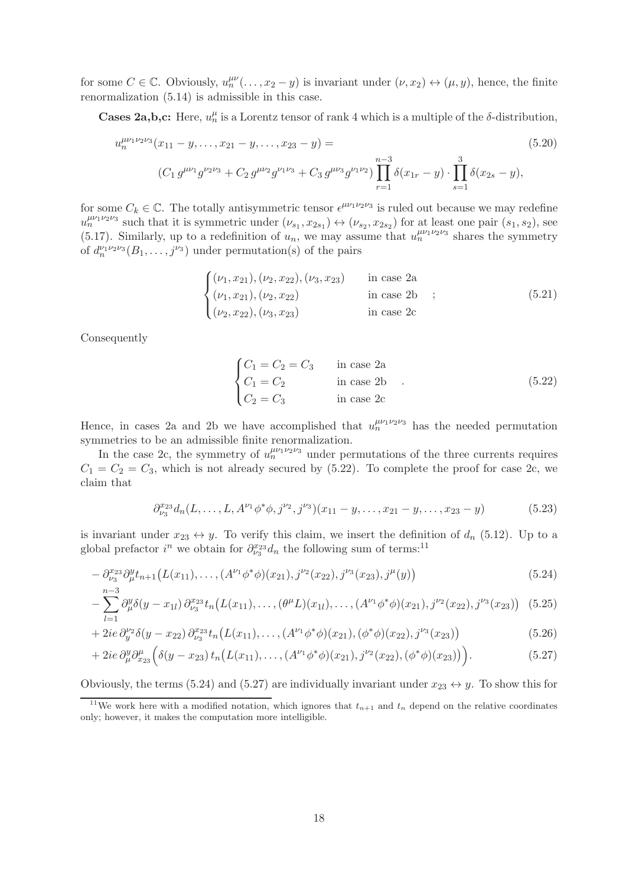for some  $C \in \mathbb{C}$ . Obviously,  $u_n^{\mu\nu}(\ldots, x_2 - y)$  is invariant under  $(\nu, x_2) \leftrightarrow (\mu, y)$ , hence, the finite renormalization (5.14) is admissible in this case.

**Cases 2a,b,c:** Here,  $u_n^{\mu}$  is a Lorentz tensor of rank 4 which is a multiple of the  $\delta$ -distribution,

$$
u_n^{\mu\nu_1\nu_2\nu_3}(x_{11} - y, \dots, x_{21} - y, \dots, x_{23} - y) =
$$
\n
$$
(C_1 g^{\mu\nu_1} g^{\nu_2\nu_3} + C_2 g^{\mu\nu_2} g^{\nu_1\nu_3} + C_3 g^{\mu\nu_3} g^{\nu_1\nu_2}) \prod_{r=1}^{n-3} \delta(x_{1r} - y) \cdot \prod_{s=1}^3 \delta(x_{2s} - y),
$$
\n(5.20)

for some  $C_k \in \mathbb{C}$ . The totally antisymmetric tensor  $e^{\mu\nu_1\nu_2\nu_3}$  is ruled out because we may redefine  $u_n^{\mu\nu_1\nu_2\nu_3}$  such that it is symmetric under  $(\nu_{s_1}, x_{2s_1}) \leftrightarrow (\nu_{s_2}, x_{2s_2})$  for at least one pair  $(s_1, s_2)$ , see (5.17). Similarly, up to a redefinition of  $u_n$ , we may assume that  $u_n^{\mu\nu_1\nu_2\nu_3}$  shares the symmetry of  $d_n^{\nu_1 \nu_2 \nu_3}(B_1, \ldots, j^{\nu_3})$  under permutation(s) of the pairs

$$
\begin{cases}\n(\nu_1, x_{21}), (\nu_2, x_{22}), (\nu_3, x_{23}) & \text{in case } 2a \\
(\nu_1, x_{21}), (\nu_2, x_{22}) & \text{in case } 2b \\
(\nu_2, x_{22}), (\nu_3, x_{23}) & \text{in case } 2c\n\end{cases}
$$
\n(5.21)

Consequently

$$
\begin{cases}\nC_1 = C_2 = C_3 & \text{in case 2a} \\
C_1 = C_2 & \text{in case 2b} \\
C_2 = C_3 & \text{in case 2c}\n\end{cases}
$$
\n(5.22)

Hence, in cases 2a and 2b we have accomplished that  $u_n^{\mu\nu_1\nu_2\nu_3}$  has the needed permutation symmetries to be an admissible finite renormalization.

In the case 2c, the symmetry of  $u_n^{\mu\nu_1\nu_2\nu_3}$  under permutations of the three currents requires  $C_1 = C_2 = C_3$ , which is not already secured by (5.22). To complete the proof for case 2c, we claim that

$$
\partial_{\nu_3}^{x_{23}} d_n(L, \dots, L, A^{\nu_1} \phi^* \phi, j^{\nu_2}, j^{\nu_3}) (x_{11} - y, \dots, x_{21} - y, \dots, x_{23} - y) \tag{5.23}
$$

is invariant under  $x_{23} \leftrightarrow y$ . To verify this claim, we insert the definition of  $d_n$  (5.12). Up to a global prefactor  $i^n$  we obtain for  $\partial_{\nu_3}^{x_{23}}d_n$  the following sum of terms:<sup>11</sup>

$$
-\partial_{\nu_3}^{x_{23}} \partial_{\mu}^{y} t_{n+1} \big( L(x_{11}), \dots, (A^{\nu_1} \phi^* \phi)(x_{21}), j^{\nu_2}(x_{22}), j^{\nu_3}(x_{23}), j^{\mu}(y) \big)
$$
(5.24)

$$
-\sum_{l=1}^{n-3} \partial_{\mu}^{y} \delta(y-x_{1l}) \partial_{\nu_{3}}^{x_{23}} t_{n}(L(x_{11}),\ldots,(\theta^{\mu} L)(x_{1l}),\ldots,(A^{\nu_{1}} \phi^{*} \phi)(x_{21}),j^{\nu_{2}}(x_{22}),j^{\nu_{3}}(x_{23})) \quad (5.25)
$$

+ 2*ie* 
$$
\partial_y^{\nu_2} \delta(y - x_{22}) \partial_{\nu_3}^{x_{23}} t_n \big( L(x_{11}), \dots, (A^{\nu_1} \phi^* \phi)(x_{21}), (\phi^* \phi)(x_{22}), j^{\nu_3}(x_{23}) \big)
$$
 (5.26)

+ 2*ie* 
$$
\partial_{\mu}^{y} \partial_{x_{23}}^{\mu} \Big( \delta(y - x_{23}) t_n \big( L(x_{11}), \dots, (A^{\nu_1} \phi^* \phi)(x_{21}), j^{\nu_2}(x_{22}), (\phi^* \phi)(x_{23}) \big) \Big).
$$
 (5.27)

Obviously, the terms (5.24) and (5.27) are individually invariant under  $x_{23} \leftrightarrow y$ . To show this for

<sup>&</sup>lt;sup>11</sup>We work here with a modified notation, which ignores that  $t_{n+1}$  and  $t_n$  depend on the relative coordinates only; however, it makes the computation more intelligible.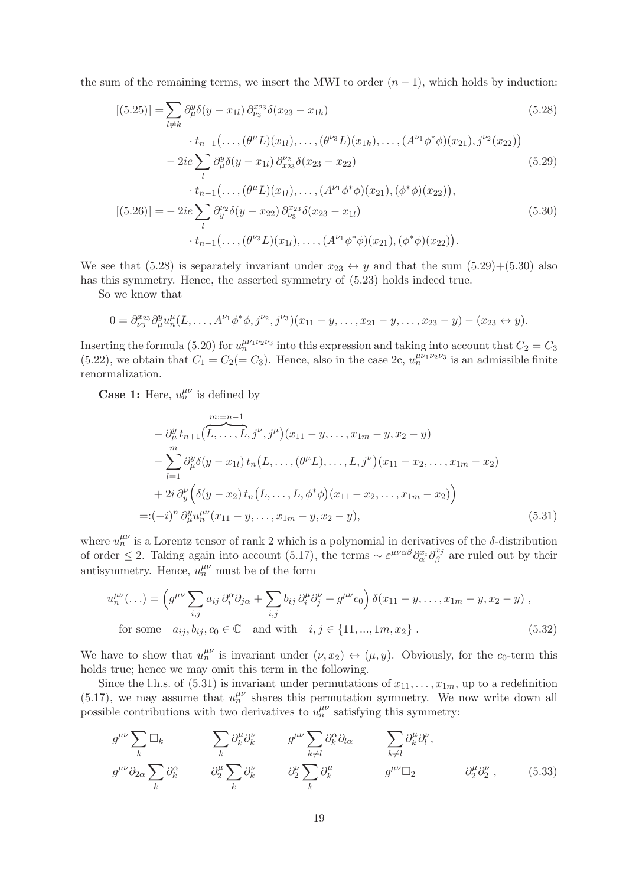the sum of the remaining terms, we insert the MWI to order  $(n - 1)$ , which holds by induction:

$$
[(5.25)] = \sum_{l \neq k} \partial_{\mu}^{y} \delta(y - x_{1l}) \partial_{\nu_{3}}^{x_{23}} \delta(x_{23} - x_{1k})
$$
  
 
$$
\cdot t_{n-1}(\dots, (\theta^{\mu} L)(x_{1l}), \dots, (\theta^{\nu_{3}} L)(x_{1k}), \dots, (A^{\nu_{1}} \phi^{*} \phi)(x_{21}), j^{\nu_{2}}(x_{22}))
$$
 (5.28)

$$
-2ie\sum_{l}\partial_{\mu}^{y}\delta(y-x_{1l})\partial_{x_{23}}^{y_{2}}\delta(x_{23}-x_{22})
$$
\n(5.29)

$$
t_{n-1}(\ldots, (\theta^{\mu}L)(x_{1l}), \ldots, (A^{\nu_1}\phi^*\phi)(x_{21}), (\phi^*\phi)(x_{22})),
$$
  
\n
$$
[(5.26)] = -2ie \sum_{l} \partial_{y}^{\nu_2} \delta(y - x_{22}) \partial_{\nu_3}^{x_{23}} \delta(x_{23} - x_{1l})
$$
  
\n
$$
\cdot t_{n-1}(\ldots, (\theta^{\nu_3}L)(x_{1l}), \ldots, (A^{\nu_1}\phi^*\phi)(x_{21}), (\phi^*\phi)(x_{22})).
$$
\n(5.30)

We see that (5.28) is separately invariant under  $x_{23} \leftrightarrow y$  and that the sum (5.29)+(5.30) also has this symmetry. Hence, the asserted symmetry of (5.23) holds indeed true.

So we know that

$$
0 = \partial_{\nu_3}^{x_{23}} \partial_{\mu}^{y} u_n^{\mu}(L, \ldots, A^{\nu_1} \phi^* \phi, j^{\nu_2}, j^{\nu_3})(x_{11} - y, \ldots, x_{21} - y, \ldots, x_{23} - y) - (x_{23} \leftrightarrow y).
$$

Inserting the formula (5.20) for  $u_n^{\mu\nu_1\nu_2\nu_3}$  into this expression and taking into account that  $C_2 = C_3$  $(5.22)$ , we obtain that  $C_1 = C_2 (= C_3)$ . Hence, also in the case 2c,  $u_n^{\mu\nu_1\nu_2\nu_3}$  is an admissible finite renormalization.

**Case 1:** Here,  $u_n^{\mu\nu}$  is defined by

$$
- \frac{\partial_y^y}{\partial_\mu^y} t_{n+1} \left( \overbrace{L, \ldots, L}^{m:=n-1}, j^\nu, j^\mu \right) (x_{11} - y, \ldots, x_{1m} - y, x_2 - y)
$$
  
\n
$$
- \sum_{l=1}^m \frac{\partial_y^y}{\partial y} (y - x_{1l}) t_n \left( L, \ldots, (\theta^\mu L), \ldots, L, j^\nu \right) (x_{11} - x_2, \ldots, x_{1m} - x_2)
$$
  
\n
$$
+ 2i \frac{\partial_y^y}{\partial y} \left( \delta(y - x_2) t_n \left( L, \ldots, L, \phi^* \phi \right) (x_{11} - x_2, \ldots, x_{1m} - x_2) \right)
$$
  
\n
$$
=: (-i)^n \frac{\partial_y^y}{\partial n} u_n^{\mu \nu} (x_{11} - y, \ldots, x_{1m} - y, x_2 - y), \tag{5.31}
$$

where  $u_n^{\mu\nu}$  is a Lorentz tensor of rank 2 which is a polynomial in derivatives of the  $\delta$ -distribution of order  $\leq$  2. Taking again into account (5.17), the terms  $\sim \varepsilon^{\mu\nu\alpha\beta}\partial_{\alpha}^{x_i}\partial_{\beta}^{x_j}$  $\int_{\beta}^{\mu_j}$  are ruled out by their antisymmetry. Hence,  $u_n^{\mu\nu}$  must be of the form

$$
u_n^{\mu\nu}(\ldots) = \left(g^{\mu\nu}\sum_{i,j} a_{ij}\,\partial_i^{\alpha}\partial_j^{\alpha} + \sum_{i,j} b_{ij}\,\partial_i^{\mu}\partial_j^{\nu} + g^{\mu\nu}c_0\right)\delta(x_{11} - y, \ldots, x_{1m} - y, x_2 - y),
$$
  
for some  $a_{ij}, b_{ij}, c_0 \in \mathbb{C}$  and with  $i, j \in \{11, ..., 1m, x_2\}$ . (5.32)

We have to show that  $u_n^{\mu\nu}$  is invariant under  $(\nu, x_2) \leftrightarrow (\mu, y)$ . Obviously, for the c<sub>0</sub>-term this holds true; hence we may omit this term in the following.

Since the l.h.s. of (5.31) is invariant under permutations of  $x_{11}, \ldots, x_{1m}$ , up to a redefinition (5.17), we may assume that  $u_n^{\mu\nu}$  shares this permutation symmetry. We now write down all possible contributions with two derivatives to  $u_n^{\mu\nu}$  satisfying this symmetry:

$$
g^{\mu\nu}\sum_{k}\Box_{k} \qquad \qquad \sum_{k}\partial_{k}^{\mu}\partial_{k}^{\nu} \qquad \qquad g^{\mu\nu}\sum_{k\neq l}\partial_{k}^{\alpha}\partial_{l\alpha} \qquad \qquad \sum_{k\neq l}\partial_{k}^{\mu}\partial_{l}^{\nu},
$$

$$
g^{\mu\nu}\partial_{2\alpha}\sum_{k}\partial_{k}^{\alpha} \qquad \qquad \partial_{2}^{\mu}\sum_{k}\partial_{k}^{\nu} \qquad \qquad \partial_{2}^{\nu}\sum_{k}\partial_{k}^{\mu} \qquad \qquad g^{\mu\nu}\Box_{2} \qquad \qquad \partial_{2}^{\mu}\partial_{2}^{\nu} \qquad \qquad (5.33)
$$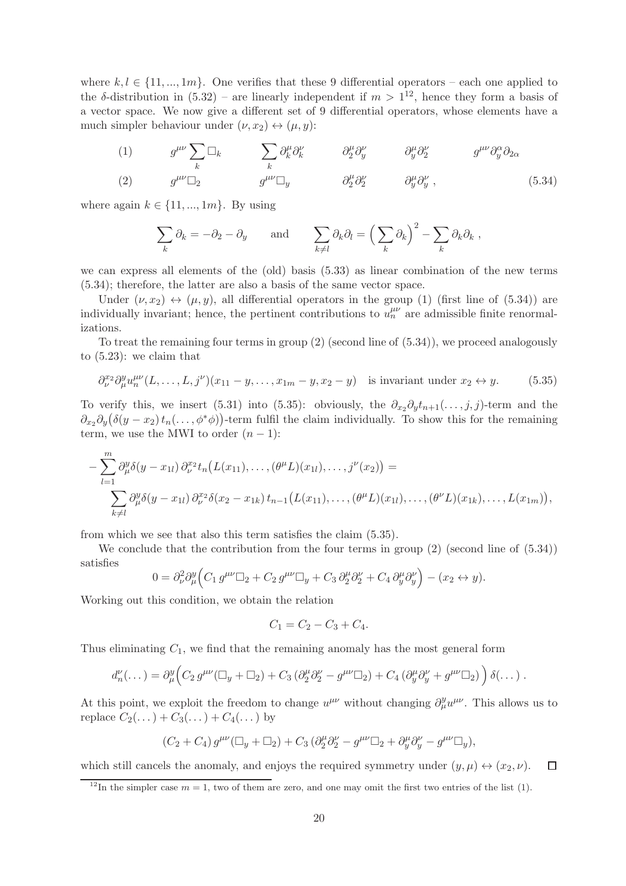where  $k, l \in \{11, ..., 1m\}$ . One verifies that these 9 differential operators – each one applied to the  $\delta$ -distribution in  $(5.32)$  – are linearly independent if  $m > 1^{12}$ , hence they form a basis of a vector space. We now give a different set of 9 differential operators, whose elements have a much simpler behaviour under  $(\nu, x_2) \leftrightarrow (\mu, y)$ :

(1) 
$$
g^{\mu\nu}\sum_{k}\Box_{k}
$$
  $\sum_{k}\partial_{k}^{\mu}\partial_{k}^{\nu}$   $\partial_{2}^{\mu}\partial_{y}^{\nu}$   $\partial_{y}^{\mu}\partial_{2}^{\nu}$   $g^{\mu\nu}\partial_{y}^{\alpha}\partial_{2\alpha}$   
(2)  $g^{\mu\nu}\Box_{2}$   $g^{\mu\nu}\Box_{y}$   $\partial_{2}^{\mu}\partial_{2}^{\nu}$   $\partial_{y}^{\mu}\partial_{y}^{\nu}$ , (5.34)

where again  $k \in \{11, ..., 1m\}$ . By using

$$
\sum_{k} \partial_{k} = -\partial_{2} - \partial_{y} \quad \text{and} \quad \sum_{k \neq l} \partial_{k} \partial_{l} = \left(\sum_{k} \partial_{k}\right)^{2} - \sum_{k} \partial_{k} \partial_{k} ,
$$

we can express all elements of the (old) basis (5.33) as linear combination of the new terms (5.34); therefore, the latter are also a basis of the same vector space.

Under  $(\nu, x_2) \leftrightarrow (\mu, y)$ , all differential operators in the group (1) (first line of (5.34)) are individually invariant; hence, the pertinent contributions to  $u_n^{\mu\nu}$  are admissible finite renormalizations.

To treat the remaining four terms in group (2) (second line of (5.34)), we proceed analogously to (5.23): we claim that

$$
\partial_{\nu}^{x_2} \partial_{\mu}^{y} u_n^{\mu \nu}(L, \dots, L, j^{\nu})(x_{11} - y, \dots, x_{1m} - y, x_2 - y) \text{ is invariant under } x_2 \leftrightarrow y. \tag{5.35}
$$

To verify this, we insert (5.31) into (5.35): obviously, the  $\partial_{x_2} \partial_y t_{n+1}(\ldots, j, j)$ -term and the  $\partial_{x_2}\partial_y(\delta(y-x_2)t_n(\ldots,\phi^*\phi))$ -term fulfil the claim individually. To show this for the remaining term, we use the MWI to order  $(n - 1)$ :

$$
- \sum_{l=1}^{m} \partial_{\mu}^{y} \delta(y - x_{1l}) \partial_{\nu}^{x_{2}} t_{n} (L(x_{11}), \ldots, (\theta^{\mu} L)(x_{1l}), \ldots, j^{\nu}(x_{2})) =
$$
  

$$
\sum_{k \neq l} \partial_{\mu}^{y} \delta(y - x_{1l}) \partial_{\nu}^{x_{2}} \delta(x_{2} - x_{1k}) t_{n-1} (L(x_{11}), \ldots, (\theta^{\mu} L)(x_{1l}), \ldots, (\theta^{\nu} L)(x_{1k}), \ldots, L(x_{1m})),
$$

from which we see that also this term satisfies the claim (5.35).

We conclude that the contribution from the four terms in group (2) (second line of (5.34)) satisfies

$$
0 = \partial^2_\nu \partial^y_\mu \Big( C_1 g^{\mu\nu} \Box_2 + C_2 g^{\mu\nu} \Box_y + C_3 \partial^{\mu}_2 \partial^{\nu}_2 + C_4 \partial^{\mu}_y \partial^{\nu}_y \Big) - (x_2 \leftrightarrow y).
$$

Working out this condition, we obtain the relation

$$
C_1 = C_2 - C_3 + C_4.
$$

Thus eliminating  $C_1$ , we find that the remaining anomaly has the most general form

$$
d_n^{\nu}(\dots) = \partial_{\mu}^y \Big( C_2 g^{\mu\nu}(\square_y + \square_2) + C_3 \left( \partial_2^{\mu} \partial_2^{\nu} - g^{\mu\nu} \square_2 \right) + C_4 \left( \partial_y^{\mu} \partial_y^{\nu} + g^{\mu\nu} \square_2 \right) \Big) \delta(\dots) .
$$

At this point, we exploit the freedom to change  $u^{\mu\nu}$  without changing  $\partial_{\mu}^{y}u^{\mu\nu}$ . This allows us to replace  $C_2(\dots) + C_3(\dots) + C_4(\dots)$  by

$$
(C_2 + C_4) g^{\mu\nu} (\square_y + \square_2) + C_3 \left( \partial_2^{\mu} \partial_2^{\nu} - g^{\mu\nu} \square_2 + \partial_y^{\mu} \partial_y^{\nu} - g^{\mu\nu} \square_y \right),
$$

which still cancels the anomaly, and enjoys the required symmetry under  $(y, \mu) \leftrightarrow (x_2, \nu)$ .  $\Box$ 

<sup>&</sup>lt;sup>12</sup>In the simpler case  $m = 1$ , two of them are zero, and one may omit the first two entries of the list (1).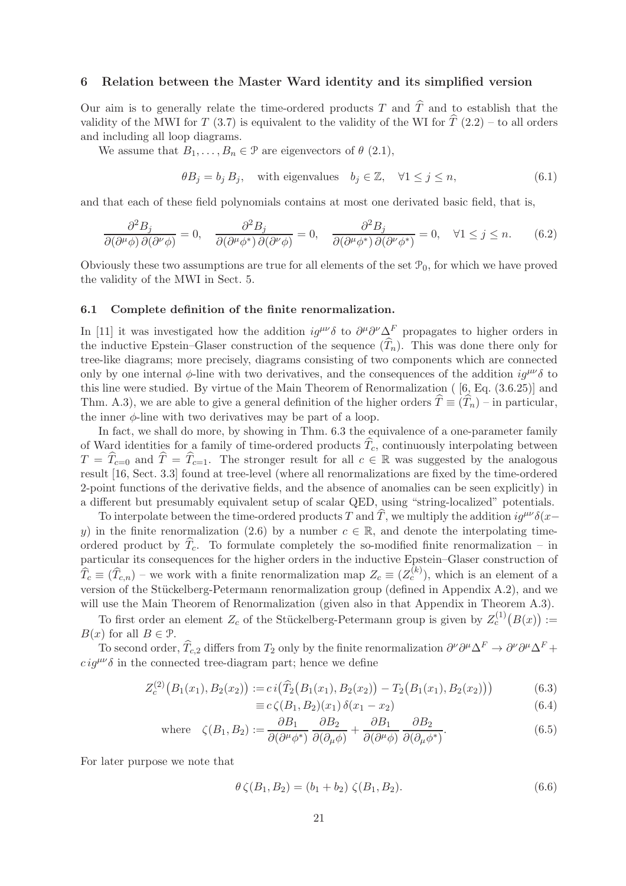#### 6 Relation between the Master Ward identity and its simplified version

Our aim is to generally relate the time-ordered products T and  $\hat{T}$  and to establish that the validity of the MWI for T (3.7) is equivalent to the validity of the WI for  $\hat{T}(2.2)$  – to all orders and including all loop diagrams.

We assume that  $B_1, \ldots, B_n \in \mathcal{P}$  are eigenvectors of  $\theta$  (2.1),

$$
\theta B_j = b_j B_j, \quad \text{with eigenvalues} \quad b_j \in \mathbb{Z}, \quad \forall 1 \le j \le n,
$$
\n
$$
(6.1)
$$

and that each of these field polynomials contains at most one derivated basic field, that is,

$$
\frac{\partial^2 B_j}{\partial(\partial^\mu \phi) \,\partial(\partial^\nu \phi)} = 0, \quad \frac{\partial^2 B_j}{\partial(\partial^\mu \phi^*) \,\partial(\partial^\nu \phi)} = 0, \quad \frac{\partial^2 B_j}{\partial(\partial^\mu \phi^*) \,\partial(\partial^\nu \phi^*)} = 0, \quad \forall 1 \le j \le n. \tag{6.2}
$$

Obviously these two assumptions are true for all elements of the set  $\mathcal{P}_0$ , for which we have proved the validity of the MWI in Sect. 5.

#### 6.1 Complete definition of the finite renormalization.

In [11] it was investigated how the addition  $ig^{\mu\nu}\delta$  to  $\partial^{\mu}\partial^{\nu}\Delta^F$  propagates to higher orders in the inductive Epstein–Glaser construction of the sequence  $(\widehat{T}_n)$ . This was done there only for tree-like diagrams; more precisely, diagrams consisting of two components which are connected only by one internal  $\phi$ -line with two derivatives, and the consequences of the addition  $iq^{\mu\nu}\delta$  to this line were studied. By virtue of the Main Theorem of Renormalization ( [6, Eq. (3.6.25)] and Thm. A.3), we are able to give a general definition of the higher orders  $\hat{T} \equiv (\hat{T}_n)$  – in particular, the inner  $\phi$ -line with two derivatives may be part of a loop.

In fact, we shall do more, by showing in Thm. 6.3 the equivalence of a one-parameter family of Ward identities for a family of time-ordered products  $\hat{T}_c$ , continuously interpolating between  $T = \hat{T}_{c=0}$  and  $\hat{T} = \hat{T}_{c=1}$ . The stronger result for all  $c \in \mathbb{R}$  was suggested by the analogous result [16, Sect. 3.3] found at tree-level (where all renormalizations are fixed by the time-ordered 2-point functions of the derivative fields, and the absence of anomalies can be seen explicitly) in a different but presumably equivalent setup of scalar QED, using "string-localized" potentials.

To interpolate between the time-ordered products T and T, we multiply the addition  $ig^{\mu\nu}\delta(x-\vec{x})$ y) in the finite renormalization (2.6) by a number  $c \in \mathbb{R}$ , and denote the interpolating timeordered product by  $T_c$ . To formulate completely the so-modified finite renormalization – in particular its consequences for the higher orders in the inductive Epstein–Glaser construction of  $\widehat{T}_c \equiv (\widehat{T}_{c,n})$  – we work with a finite renormalization map  $Z_c \equiv (Z_c^{(k)})$ , which is an element of a version of the Stückelberg-Petermann renormalization group (defined in Appendix A.2), and we will use the Main Theorem of Renormalization (given also in that Appendix in Theorem A.3).

To first order an element  $Z_c$  of the Stückelberg-Petermann group is given by  $Z_c^{(1)}(B(x)) :=$  $B(x)$  for all  $B \in \mathcal{P}$ .

To second order,  $\hat{T}_{c,2}$  differs from  $T_2$  only by the finite renormalization  $\partial^{\nu}\partial^{\mu}\Delta^F \to \partial^{\nu}\partial^{\mu}\Delta^F +$  $ciq^{\mu\nu}\delta$  in the connected tree-diagram part; hence we define

$$
Z_c^{(2)}(B_1(x_1), B_2(x_2)) := c i(\widehat{T}_2(B_1(x_1), B_2(x_2)) - T_2(B_1(x_1), B_2(x_2)))
$$
\n(6.3)

$$
\equiv c\,\zeta(B_1, B_2)(x_1)\,\delta(x_1 - x_2) \tag{6.4}
$$

where 
$$
\zeta(B_1, B_2) := \frac{\partial B_1}{\partial(\partial^{\mu}\phi^*)} \frac{\partial B_2}{\partial(\partial_{\mu}\phi)} + \frac{\partial B_1}{\partial(\partial^{\mu}\phi)} \frac{\partial B_2}{\partial(\partial_{\mu}\phi^*)}
$$
. (6.5)

For later purpose we note that

$$
\theta \zeta(B_1, B_2) = (b_1 + b_2) \zeta(B_1, B_2). \tag{6.6}
$$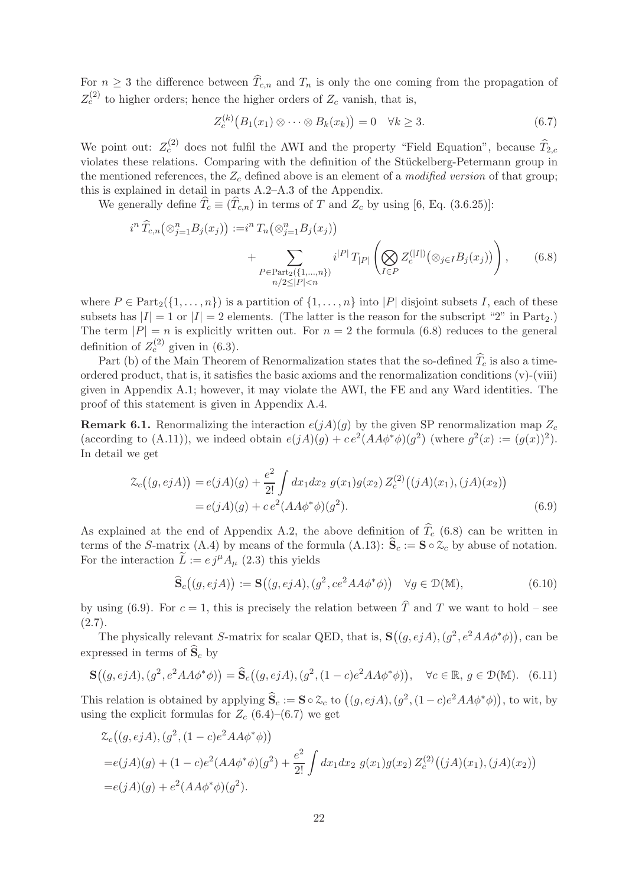For  $n \geq 3$  the difference between  $\widehat{T}_{c,n}$  and  $T_n$  is only the one coming from the propagation of  $Z_c^{(2)}$  to higher orders; hence the higher orders of  $Z_c$  vanish, that is,

$$
Z_c^{(k)}(B_1(x_1) \otimes \cdots \otimes B_k(x_k)) = 0 \quad \forall k \ge 3. \tag{6.7}
$$

We point out:  $Z_c^{(2)}$  does not fulfil the AWI and the property "Field Equation", because  $\widehat{T}_{2,c}$ violates these relations. Comparing with the definition of the Stückelberg-Petermann group in the mentioned references, the  $Z_c$  defined above is an element of a *modified version* of that group; this is explained in detail in parts A.2–A.3 of the Appendix.

We generally define  $\widehat{T}_c \equiv (\widehat{T}_{c,n})$  in terms of T and  $Z_c$  by using [6, Eq. (3.6.25)]:

$$
i^{n} \widehat{T}_{c,n}(\otimes_{j=1}^{n} B_{j}(x_{j})) := i^{n} T_{n}(\otimes_{j=1}^{n} B_{j}(x_{j})) + \sum_{\substack{P \in \text{Part}_{2}(\{1,\ldots,n\}) \\ n/2 \leq |P| < n}} i^{|P|} T_{|P|} \left( \bigotimes_{I \in P} Z_{c}^{(|I|)}(\otimes_{j \in I} B_{j}(x_{j})) \right), \tag{6.8}
$$

where  $P \in Part_2({1, \ldots, n})$  is a partition of  ${1, \ldots, n}$  into  $|P|$  disjoint subsets I, each of these subsets has  $|I| = 1$  or  $|I| = 2$  elements. (The latter is the reason for the subscript "2" in Part<sub>2</sub>.) The term  $|P| = n$  is explicitly written out. For  $n = 2$  the formula (6.8) reduces to the general definition of  $Z_c^{(2)}$  given in (6.3).

Part (b) of the Main Theorem of Renormalization states that the so-defined  $\hat{T}_c$  is also a timeordered product, that is, it satisfies the basic axioms and the renormalization conditions (v)-(viii) given in Appendix A.1; however, it may violate the AWI, the FE and any Ward identities. The proof of this statement is given in Appendix A.4.

**Remark 6.1.** Renormalizing the interaction  $e(jA)(q)$  by the given SP renormalization map  $Z_c$ (according to (A.11)), we indeed obtain  $e(jA)(g) + ce^2(AA\phi^*\phi)(g^2)$  (where  $g^2(x) := (g(x))^2$ ). In detail we get

$$
\mathcal{Z}_c((g,ejA)) = e(jA)(g) + \frac{e^2}{2!} \int dx_1 dx_2 \ g(x_1)g(x_2) \ Z_c^{(2)}((jA)(x_1), (jA)(x_2))
$$
  
=  $e(jA)(g) + ce^2(AA\phi^*\phi)(g^2).$  (6.9)

As explained at the end of Appendix A.2, the above definition of  $\hat{T}_c$  (6.8) can be written in terms of the S-matrix (A.4) by means of the formula (A.13):  $\hat{\mathbf{S}}_c := \mathbf{S} \circ \mathcal{Z}_c$  by abuse of notation. For the interaction  $\tilde{L} := e j^{\mu} A_{\mu}$  (2.3) this yields

$$
\widehat{\mathbf{S}}_c((g,ejA)) := \mathbf{S}((g,ejA), (g^2, ce^2AA\phi^*\phi)) \quad \forall g \in \mathcal{D}(\mathbb{M}),\tag{6.10}
$$

by using (6.9). For  $c = 1$ , this is precisely the relation between  $\hat{T}$  and T we want to hold – see  $(2.7).$ 

The physically relevant S-matrix for scalar QED, that is,  $\mathbf{S}((g,ejA),(g^2,e^2AA\phi^*\phi))$ , can be expressed in terms of  $\hat{S}_c$  by

$$
\mathbf{S}\big((g,ejA),(g^2,e^2AA\phi^*\phi)\big)=\widehat{\mathbf{S}}_c\big((g,ejA),(g^2,(1-c)e^2AA\phi^*\phi)\big),\quad\forall c\in\mathbb{R},\,g\in\mathcal{D}(\mathbb{M}).\tag{6.11}
$$

This relation is obtained by applying  $\hat{\mathbf{S}}_c := \mathbf{S} \circ \mathcal{Z}_c$  to  $((g, ejA), (g^2, (1-c)e^2AA\phi^*\phi))$ , to wit, by using the explicit formulas for  $Z_c$  (6.4)–(6.7) we get

$$
\mathcal{Z}_c((g,ejA), (g^2, (1-c)e^2AA\phi^*\phi))
$$
  
= $e(jA)(g) + (1-c)e^2(AA\phi^*\phi)(g^2) + \frac{e^2}{2!} \int dx_1 dx_2 g(x_1)g(x_2) Z_c^{(2)}((jA)(x_1), (jA)(x_2))$   
= $e(jA)(g) + e^2(AA\phi^*\phi)(g^2).$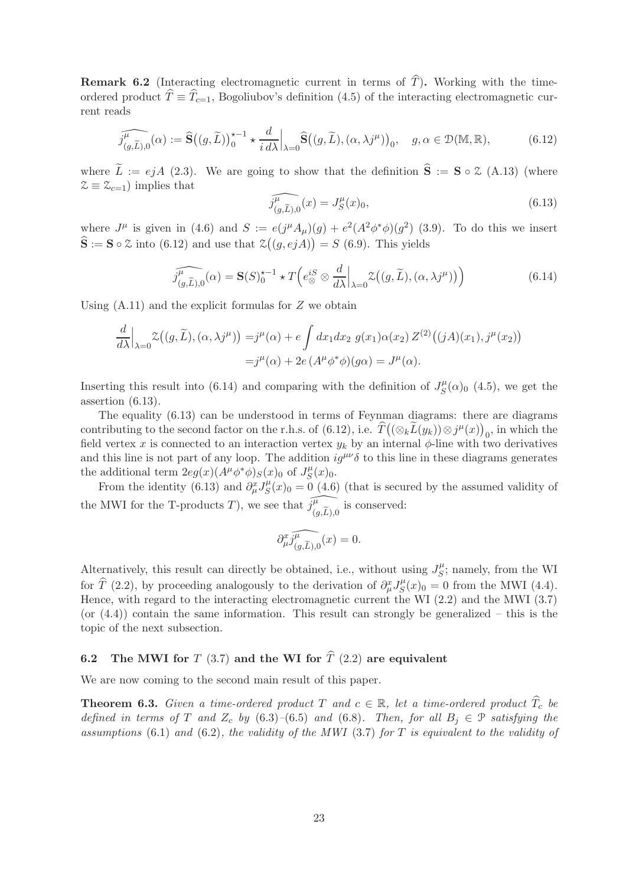**Remark 6.2** (Interacting electromagnetic current in terms of  $\hat{T}$ ). Working with the timeordered product  $\hat{T} \equiv \hat{T}_{c=1}$ , Bogoliubov's definition (4.5) of the interacting electromagnetic current reads

$$
\widehat{j_{(g,\widetilde{L}),0}^{\mu}}(\alpha) := \widehat{\mathbf{S}}\big((g,\widetilde{L})\big)_{0}^{\star -1} \star \frac{d}{i\,d\lambda}\Big|_{\lambda=0} \widehat{\mathbf{S}}\big((g,\widetilde{L}),(\alpha,\lambda j^{\mu})\big)_{0}, \quad g, \alpha \in \mathcal{D}(\mathbb{M},\mathbb{R}),\tag{6.12}
$$

where  $\tilde{L} := ejA$  (2.3). We are going to show that the definition  $\hat{S} := S \circ \mathcal{Z}$  (A.13) (where  $\mathcal{Z} \equiv \mathcal{Z}_{c=1}$ ) implies that

$$
\widehat{j_{(g,\widetilde{L}),0}^{\mu}}(x) = J_{S}^{\mu}(x)_0,
$$
\n(6.13)

where  $J^{\mu}$  is given in (4.6) and  $S := e(j^{\mu}A_{\mu})(g) + e^{2}(A^{2}\phi^{*}\phi)(g^{2})$  (3.9). To do this we insert  $\hat{\mathbf{S}} := \mathbf{S} \circ \mathcal{Z}$  into (6.12) and use that  $\mathcal{Z}((g,ejA)) = S$  (6.9). This yields

$$
\widehat{j_{(g,\widetilde{L}),0}^{\mu}(\alpha)} = \mathbf{S}(S)_{0}^{\star -1} \star T \left( e_{\otimes}^{iS} \otimes \frac{d}{d\lambda} \Big|_{\lambda=0} \mathcal{Z} \left( (g,\widetilde{L}), (\alpha, \lambda j^{\mu}) \right) \right)
$$
(6.14)

Using  $(A.11)$  and the explicit formulas for  $Z$  we obtain

$$
\frac{d}{d\lambda}\Big|_{\lambda=0}\mathcal{Z}\big((g,\widetilde{L}),(\alpha,\lambda j^{\mu})\big) = j^{\mu}(\alpha) + e \int dx_1 dx_2 \ g(x_1)\alpha(x_2) Z^{(2)}\big((jA)(x_1),j^{\mu}(x_2)\big)
$$

$$
= j^{\mu}(\alpha) + 2e \left(A^{\mu}\phi^*\phi\right)(g\alpha) = J^{\mu}(\alpha).
$$

Inserting this result into (6.14) and comparing with the definition of  $J_S^{\mu}$  $S^{(\mu)}(x)_0$  (4.5), we get the assertion (6.13).

The equality (6.13) can be understood in terms of Feynman diagrams: there are diagrams contributing to the second factor on the r.h.s. of  $(6.12)$ , i.e.  $\hat{T}((\otimes_k \tilde{L}(y_k)) \otimes j^{\mu}(x))_0$ , in which the field vertex x is connected to an interaction vertex  $y_k$  by an internal  $\phi$ -line with two derivatives and this line is not part of any loop. The addition  $ig^{\mu\nu}\delta$  to this line in these diagrams generates the additional term  $2eg(x)(\overline{A^{\mu}}\phi^*\phi)_{S}(x)_{0}$  of  $J_S^{\mu}$  $\int_S^{\mu} (x)_0.$ 

From the identity (6.13) and  $\partial^x_\mu J_S^\mu$  $S(S(x))_0 = 0$  (4.6) (that is secured by the assumed validity of the MWI for the T-products T), we see that  $\widehat{j_{(g,\widetilde{L}),0}^{\mu}}$  is conserved:

$$
\partial_\mu^x\widehat{j_{(g,\widetilde{L}),0}^{\mu}}(x)=0.
$$

Alternatively, this result can directly be obtained, i.e., without using  $J_S^{\mu}$  $S<sub>S</sub>$ ; namely, from the WI for  $\widehat{T}$  (2.2), by proceeding analogously to the derivation of  $\partial^x_\mu J_S^\mu$  $S(S(x)_0 = 0$  from the MWI (4.4). Hence, with regard to the interacting electromagnetic current the WI (2.2) and the MWI (3.7) (or  $(4.4)$ ) contain the same information. This result can strongly be generalized – this is the topic of the next subsection.

## 6.2 The MWI for T (3.7) and the WI for  $\hat{T}$  (2.2) are equivalent

We are now coming to the second main result of this paper.

**Theorem 6.3.** Given a time-ordered product T and  $c \in \mathbb{R}$ , let a time-ordered product  $\hat{T}_c$  be *defined in terms of* T *and*  $Z_c$  *by* (6.3)–(6.5) *and* (6.8)*. Then, for all*  $B_i \in \mathcal{P}$  *satisfying the assumptions* (6.1) *and* (6.2)*, the validity of the MWI* (3.7) *for* T *is equivalent to the validity of*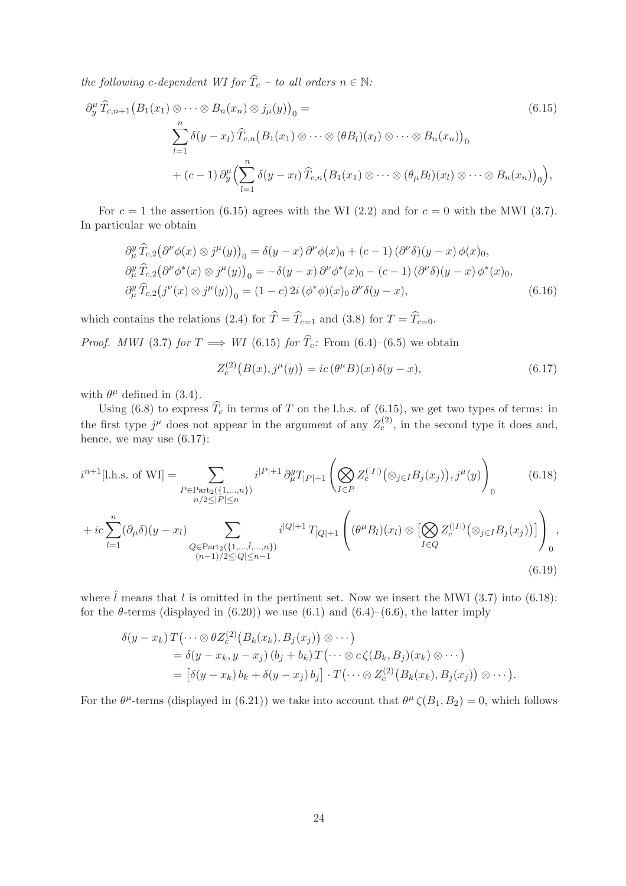*the following c-dependent WI for*  $\widehat{T}_c$  *– to all orders*  $n \in \mathbb{N}$ *:* 

$$
\partial_y^{\mu} \widehat{T}_{c,n+1} \big( B_1(x_1) \otimes \cdots \otimes B_n(x_n) \otimes j_{\mu}(y) \big) \big) \big) =
$$
\n
$$
\sum_{l=1}^n \delta(y - x_l) \widehat{T}_{c,n} \big( B_1(x_1) \otimes \cdots \otimes (\theta B_l)(x_l) \otimes \cdots \otimes B_n(x_n) \big) \big) \big) \big) \big) \big) \big) \big) \big( \theta + (c-1) \partial_y^{\mu} \big( \sum_{l=1}^n \delta(y - x_l) \widehat{T}_{c,n} \big( B_1(x_1) \otimes \cdots \otimes (\theta_{\mu} B_l)(x_l) \otimes \cdots \otimes B_n(x_n) \big) \big) \big) \big) \big) \big) \big) \big) \big( \theta + (c-1) \partial_y^{\mu} \big( \sum_{l=1}^n \delta(y - x_l) \widehat{T}_{c,n} \big( B_1(x_1) \otimes \cdots \otimes (\theta_{\mu} B_l)(x_l) \otimes \cdots \otimes B_n(x_n) \big) \big) \big) \big) \big) \big) \big) \big) \big( \theta + (c-1) \partial_y^{\mu} \big( \sum_{l=1}^n \delta(y - x_l) \widehat{T}_{c,n} \big( B_1(x_1) \otimes \cdots \otimes (B_n(x_n) \big) \big) \big) \big) \big) \big) \big) \big) \big( \theta + (c-1) \partial_y^{\mu} \big( \sum_{l=1}^n \delta(y - x_l) \widehat{T}_{c,n} \big( B_1(x_1) \otimes \cdots \otimes (B_n(x_n) \big) \big) \big) \big) \big) \big) \big) \big) \big) \big( \theta + (c-1) \partial_y^{\mu} \big( \sum_{l=1}^n \delta(y - x_l) \widehat{T}_{c,n} \big( B_1(x_1) \otimes \cdots \otimes (B_n(x_n) \big) \big) \big) \big) \big) \big) \big) \big( \theta + (c-1) \partial_y^{\mu} \big( \sum_{l=1}^n \delta(y - x_l) \widehat{T}_{c,n} \big( B_1(x_1) \otimes \cdots \otimes (B_n(x_n) \big) \big) \big) \big) \big) \big) \big)
$$

For  $c = 1$  the assertion (6.15) agrees with the WI (2.2) and for  $c = 0$  with the MWI (3.7). In particular we obtain

$$
\partial_{\mu}^{y} \widehat{T}_{c,2} (\partial^{\nu} \phi(x) \otimes j^{\mu}(y))_{0} = \delta(y-x) \partial^{\nu} \phi(x)_{0} + (c-1) (\partial^{\nu} \delta)(y-x) \phi(x)_{0},
$$
  
\n
$$
\partial_{\mu}^{y} \widehat{T}_{c,2} (\partial^{\nu} \phi^{*}(x) \otimes j^{\mu}(y))_{0} = -\delta(y-x) \partial^{\nu} \phi^{*}(x)_{0} - (c-1) (\partial^{\nu} \delta)(y-x) \phi^{*}(x)_{0},
$$
  
\n
$$
\partial_{\mu}^{y} \widehat{T}_{c,2} (j^{\nu}(x) \otimes j^{\mu}(y))_{0} = (1-c) 2i (\phi^{*} \phi)(x)_{0} \partial^{\nu} \delta(y-x), \qquad (6.16)
$$

which contains the relations (2.4) for  $\hat{T} = \hat{T}_{c=1}$  and (3.8) for  $T = \hat{T}_{c=0}$ .

*Proof. MWI* (3.7) *for*  $T \implies WI$  (6.15) *for*  $\hat{T}_c$ *:* From (6.4)–(6.5) we obtain

$$
Z_c^{(2)}(B(x), j^{\mu}(y)) = ic (\theta^{\mu} B)(x) \delta(y - x), \qquad (6.17)
$$

with  $\theta^{\mu}$  defined in (3.4).

Using (6.8) to express  $T_c$  in terms of T on the l.h.s. of (6.15), we get two types of terms: in the first type  $j^{\mu}$  does not appear in the argument of any  $Z_c^{(2)}$ , in the second type it does and, hence, we may use (6.17):

$$
i^{n+1}[\text{l.h.s. of WI}] = \sum_{\substack{P \in \text{Part}_2(\{1, \ldots, n\}) \\ n/2 \le |P| \le n}} i^{|P|+1} \partial_{\mu}^y T_{|P|+1} \left( \bigotimes_{I \in P} Z_c^{(|I|)}(\otimes_{j \in I} B_j(x_j)), j^{\mu}(y) \right)_0 \tag{6.18}
$$

$$
+ ic \sum_{l=1}^{n} (\partial_{\mu} \delta)(y - x_{l}) \sum_{\substack{Q \in \text{Part}_2(\{1, \dots, \hat{l}, \dots, n\}) \\ (n-1)/2 \le |Q| \le n-1}} i^{|Q|+1} T_{|Q|+1} \left( (\theta^{\mu} B_{l})(x_{l}) \otimes \left[ \bigotimes_{I \in Q} Z_{c}^{(|I|)}(\otimes_{j \in I} B_{j}(x_{j})) \right] \right)_{0},
$$
\n(6.19)

where  $\hat{l}$  means that l is omitted in the pertinent set. Now we insert the MWI (3.7) into (6.18): for the  $\theta$ -terms (displayed in (6.20)) we use (6.1) and (6.4)–(6.6), the latter imply

$$
\delta(y-x_k) T(\cdots \otimes \theta Z_c^{(2)}(B_k(x_k), B_j(x_j)) \otimes \cdots)
$$
  
=  $\delta(y-x_k, y-x_j) (b_j+b_k) T(\cdots \otimes c \zeta(B_k, B_j)(x_k) \otimes \cdots)$   
=  $[\delta(y-x_k) b_k + \delta(y-x_j) b_j] \cdot T(\cdots \otimes Z_c^{(2)}(B_k(x_k), B_j(x_j)) \otimes \cdots).$ 

For the  $\theta^{\mu}$ -terms (displayed in (6.21)) we take into account that  $\theta^{\mu} \zeta(B_1, B_2) = 0$ , which follows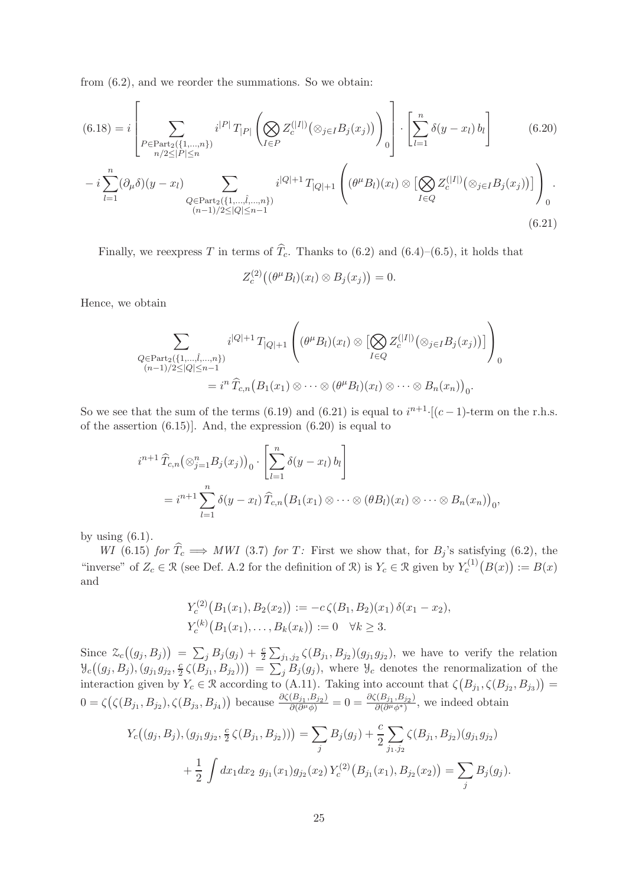from (6.2), and we reorder the summations. So we obtain:

$$
(6.18) = i \left[ \sum_{P \in \text{Part}_2(\{1, \ldots, n\})} i^{|P|} T_{|P|} \left( \bigotimes_{I \in P} Z_c^{(|I|)} (\otimes_{j \in I} B_j(x_j)) \right) \right] \cdot \left[ \sum_{l=1}^n \delta(y - x_l) b_l \right] \tag{6.20}
$$

$$
- i \sum_{l=1}^n (\partial_\mu \delta)(y - x_l) \sum_{\substack{Q \in \text{Part}_2(\{1, \ldots, \hat{l}, \ldots, n\})} i^{|Q|+1} T_{|Q|+1} \left( (\theta^\mu B_l)(x_l) \otimes \left[ \bigotimes_{I \in Q} Z_c^{(|I|)} (\otimes_{j \in I} B_j(x_j)) \right] \right) \right).
$$

$$
(6.21)
$$

Finally, we reexpress T in terms of  $\widehat{T}_c$ . Thanks to (6.2) and (6.4)–(6.5), it holds that

$$
Z_c^{(2)}((\theta^{\mu}B_l)(x_l)\otimes B_j(x_j))=0.
$$

Hence, we obtain

$$
\sum_{\substack{Q \in \text{Part}_2(\{1,\ldots,\hat{l},\ldots,n\}) \\ (n-1)/2 \le |Q| \le n-1}} i^{|Q|+1} T_{|Q|+1} \left( (\theta^{\mu} B_l)(x_l) \otimes \left[ \bigotimes_{I \in Q} Z_c^{(|I|)}(\otimes_{j \in I} B_j(x_j)) \right] \right) \right) \ 0
$$
\n
$$
= i^n \widehat{T}_{c,n} (B_1(x_1) \otimes \cdots \otimes (\theta^{\mu} B_l)(x_l) \otimes \cdots \otimes B_n(x_n)) \_0.
$$

So we see that the sum of the terms (6.19) and (6.21) is equal to  $i^{n+1}$  [(c-1)-term on the r.h.s. of the assertion (6.15)]. And, the expression (6.20) is equal to

$$
i^{n+1} \widehat{T}_{c,n}(\otimes_{j=1}^{n} B_j(x_j))_0 \cdot \left[ \sum_{l=1}^{n} \delta(y-x_l) b_l \right]
$$
  
=  $i^{n+1} \sum_{l=1}^{n} \delta(y-x_l) \widehat{T}_{c,n} (B_1(x_1) \otimes \cdots \otimes (b_1)(x_l) \otimes \cdots \otimes B_n(x_n))_0$ ,

by using  $(6.1)$ .

*WI* (6.15) *for*  $T_c \implies MWI$  (3.7) *for*  $T$ : First we show that, for  $B_j$ 's satisfying (6.2), the "inverse" of  $Z_c \in \mathcal{R}$  (see Def. A.2 for the definition of  $\mathcal{R}$ ) is  $Y_c \in \mathcal{R}$  given by  $Y_c^{(1)}(B(x)) := B(x)$ and

$$
Y_c^{(2)}(B_1(x_1), B_2(x_2)) := -c\zeta(B_1, B_2)(x_1)\,\delta(x_1 - x_2),
$$
  

$$
Y_c^{(k)}(B_1(x_1), \ldots, B_k(x_k)) := 0 \quad \forall k \ge 3.
$$

Since  $\mathcal{Z}_c((g_j, B_j)) = \sum_j B_j(g_j) + \frac{c}{2} \sum_{j_1, j_2} \zeta(B_{j_1}, B_{j_2})(g_{j_1}g_{j_2}),$  we have to verify the relation  $\mathcal{Y}_c((g_j, B_j), (g_{j_1}g_{j_2}, \frac{c}{2}))$  $(\frac{c}{2}\zeta(B_{j_1},B_{j_2}))$  =  $\sum_j B_j(g_j)$ , where  $\mathcal{Y}_c$  denotes the renormalization of the interaction given by  $Y_c \in \mathcal{R}$  according to (A.11). Taking into account that  $\zeta(B_{j_1}, \zeta(B_{j_2}, B_{j_3})) =$  $0 = \zeta(\zeta(B_{j_1}, B_{j_2}), \zeta(B_{j_3}, B_{j_4}))$  because  $\frac{\partial \zeta(B_{j_1}, B_{j_2})}{\partial (\partial^{\mu} \phi)}$  $\frac{(\overline{B}_{j_1},B_{j_2})}{\partial(\partial^\mu\phi)}=0=\frac{\partial\zeta(B_{j_1},B_{j_2})}{\partial(\partial^\mu\phi^*)}$  $\frac{\partial \overline{\partial}(\partial^{\mu}\phi^{*})}{\partial (\partial^{\mu}\phi^{*})}$ , we indeed obtain

$$
Y_c((g_j, B_j), (g_{j_1}g_{j_2}, \frac{c}{2}\zeta(B_{j_1}, B_{j_2}))) = \sum_j B_j(g_j) + \frac{c}{2} \sum_{j_1, j_2} \zeta(B_{j_1}, B_{j_2})(g_{j_1}g_{j_2}) + \frac{1}{2} \int dx_1 dx_2 \ g_{j_1}(x_1)g_{j_2}(x_2) Y_c^{(2)}(B_{j_1}(x_1), B_{j_2}(x_2)) = \sum_j B_j(g_j).
$$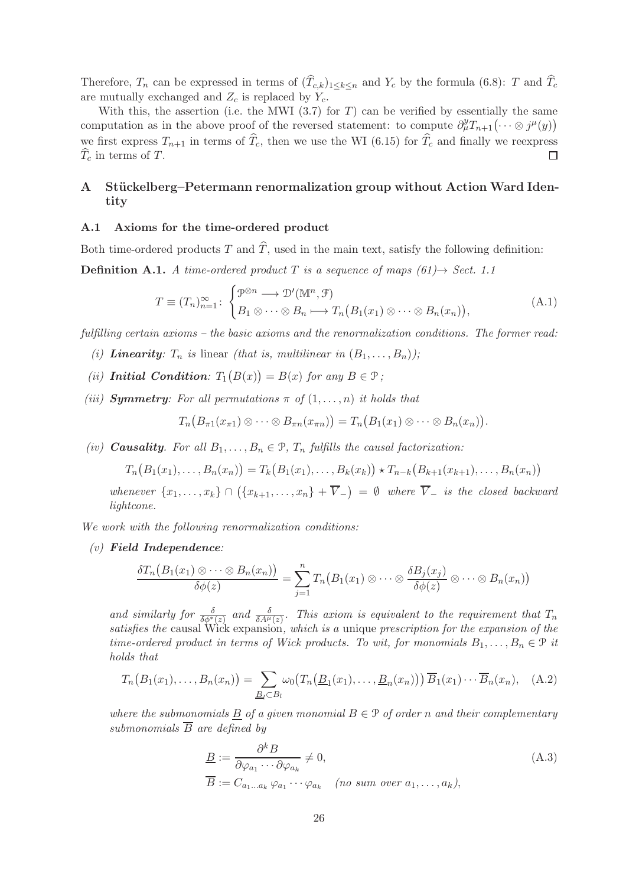Therefore,  $T_n$  can be expressed in terms of  $(T_{c,k})_{1\leq k\leq n}$  and  $Y_c$  by the formula (6.8): T and  $T_c$ are mutually exchanged and  $Z_c$  is replaced by  $Y_c$ .

With this, the assertion (i.e. the MWI  $(3.7)$  for T) can be verified by essentially the same computation as in the above proof of the reversed statement: to compute  $\partial_{\mu}^{y}T_{n+1}(\cdots \otimes j^{\mu}(y))$ we first express  $T_{n+1}$  in terms of  $\widehat{T}_c$ , then we use the WI (6.15) for  $\widehat{T}_c$  and finally we reexpress  $\widehat{T}_c$  in terms of T.  $\Box$ 

### A Stückelberg–Petermann renormalization group without Action Ward Identity

#### A.1 Axioms for the time-ordered product

Both time-ordered products T and  $\hat{T}$ , used in the main text, satisfy the following definition:

**Definition A.1.** *A time-ordered product* T *is a sequence of maps*  $(61) \rightarrow Sect. 1.1$ 

$$
T \equiv (T_n)_{n=1}^{\infty} : \begin{cases} \mathcal{P}^{\otimes n} \longrightarrow \mathcal{D}'(\mathbb{M}^n, \mathcal{F}) \\ B_1 \otimes \cdots \otimes B_n \longmapsto T_n(B_1(x_1) \otimes \cdots \otimes B_n(x_n)), \end{cases} (A.1)
$$

*fulfilling certain axioms – the basic axioms and the renormalization conditions. The former read:*

- *(i)* Linearity:  $T_n$  is linear *(that is, multilinear in*  $(B_1, \ldots, B_n)$ *)*;
- *(ii)* **Initial Condition:**  $T_1(B(x)) = B(x)$  *for any*  $B \in \mathcal{P}$ *;*
- *(iii)* **Symmetry**: For all permutations  $\pi$  of  $(1, \ldots, n)$  *it holds that*

$$
T_n\big(B_{\pi 1}(x_{\pi 1})\otimes\cdots\otimes B_{\pi n}(x_{\pi n})\big)=T_n\big(B_1(x_1)\otimes\cdots\otimes B_n(x_n)\big).
$$

*(iv)* **Causality**. For all  $B_1, \ldots, B_n \in \mathcal{P}$ ,  $T_n$  *fulfills the causal factorization:* 

$$
T_n(B_1(x_1),...,B_n(x_n)) = T_k(B_1(x_1),...,B_k(x_k)) \star T_{n-k}(B_{k+1}(x_{k+1}),...,B_n(x_n))
$$

 $wherever \{x_1, \ldots, x_k\} \cap (\{x_{k+1}, \ldots, x_n\} + \overline{V}_-) = \emptyset$  where  $\overline{V}_-$  *is the closed backward lightcone.*

*We work with the following renormalization conditions:*

*(v)* Field Independence*:*

$$
\frac{\delta T_n\big(B_1(x_1)\otimes\cdots\otimes B_n(x_n)\big)}{\delta\phi(z)}=\sum_{j=1}^n T_n\big(B_1(x_1)\otimes\cdots\otimes\frac{\delta B_j(x_j)}{\delta\phi(z)}\otimes\cdots\otimes B_n(x_n)\big)
$$

and similarly for  $\frac{\delta}{\delta \phi^*(z)}$  and  $\frac{\delta}{\delta A^{\mu}(z)}$ . This axiom is equivalent to the requirement that  $T_n$ *satisfies the* causal Wick expansion*, which is a* unique *prescription for the expansion of the time-ordered product in terms of Wick products. To wit, for monomials*  $B_1, \ldots, B_n \in \mathcal{P}$  *it holds that*

$$
T_n\big(B_1(x_1),\ldots,B_n(x_n)\big)=\sum_{\underline{B}_l\subset B_l}\omega_0\big(T_n\big(\underline{B}_1(x_1),\ldots,\underline{B}_n(x_n)\big)\big)\overline{B}_1(x_1)\cdots\overline{B}_n(x_n),\quad\text{(A.2)}
$$

*where the submonomials*  $\underline{B}$  *of a given monomial*  $B \in \mathcal{P}$  *of order n and their complementary submonomials*  $\overline{B}$  *are defined by* 

$$
\underline{B} := \frac{\partial^k B}{\partial \varphi_{a_1} \cdots \partial \varphi_{a_k}} \neq 0,
$$
\n
$$
\overline{B} := C_{a_1 \ldots a_k} \varphi_{a_1} \cdots \varphi_{a_k} \quad (no \ sum \ over \ a_1, \ldots, a_k),
$$
\n(A.3)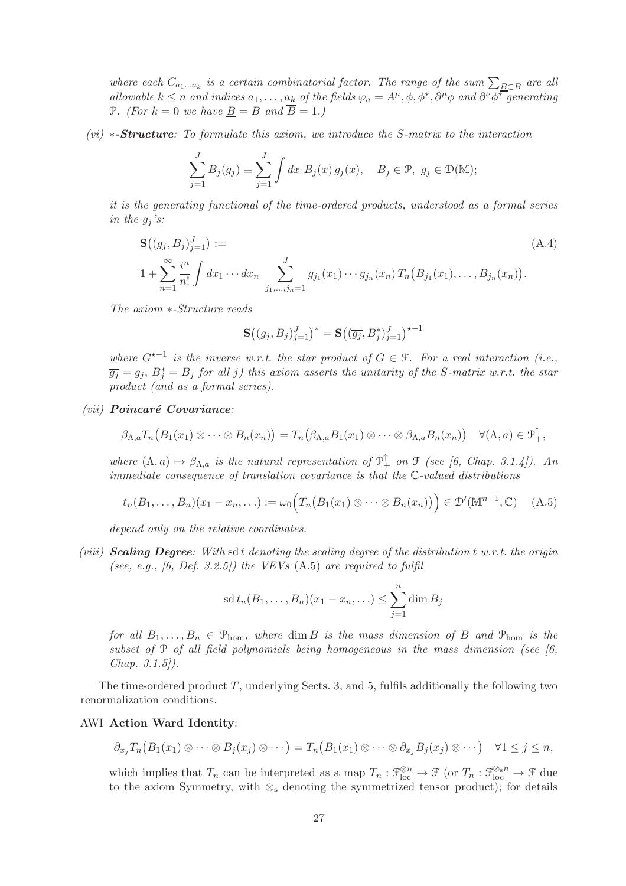where each  $C_{a_1...a_k}$  is a certain combinatorial factor. The range of the sum  $\sum_{B \subset B}$  are all *allowable*  $k \leq n$  *and indices*  $a_1, \ldots, a_k$  *of the fields*  $\varphi_a = A^{\mu}, \varphi, \varphi^*, \partial^{\mu} \varphi$  *and*  $\partial^{\nu} \varphi^*$  *generating* P. (For  $k = 0$  we have <u>B</u> = B and  $\overline{B} = 1$ .)

*(vi)* ∗-Structure*: To formulate this axiom, we introduce the* S*-matrix to the interaction*

$$
\sum_{j=1}^{J} B_j(g_j) \equiv \sum_{j=1}^{J} \int dx \ B_j(x) \, g_j(x), \quad B_j \in \mathcal{P}, \ g_j \in \mathcal{D}(\mathbb{M});
$$

*it is the generating functional of the time-ordered products, understood as a formal series in the*  $g_j$ *'s:* 

$$
\mathbf{S}((g_j, B_j)_{j=1}^J) :=
$$
\n
$$
1 + \sum_{n=1}^{\infty} \frac{i^n}{n!} \int dx_1 \cdots dx_n \sum_{j_1, \dots, j_n=1}^J g_{j_1}(x_1) \cdots g_{j_n}(x_n) T_n(B_{j_1}(x_1), \dots, B_{j_n}(x_n)).
$$
\n(A.4)

*The axiom* ∗*-Structure reads*

$$
\mathbf{S}\big((g_j,B_j)_{j=1}^J\big)^* = \mathbf{S}\big((\overline{g_j},B_j^*)_{j=1}^J\big)^{\star-1}
$$

*where*  $G^{\star-1}$  *is the inverse w.r.t. the star product of*  $G \in \mathcal{F}$ *. For a real interaction (i.e.,*  $\overline{g_j} = g_j$ ,  $B_j^* = B_j$  for all *j*) this axiom asserts the unitarity of the S-matrix w.r.t. the star *product (and as a formal series).*

#### *(vii)* Poincaré Covariance:

$$
\beta_{\Lambda,a}T_n\big(B_1(x_1)\otimes\cdots\otimes B_n(x_n)\big)=T_n\big(\beta_{\Lambda,a}B_1(x_1)\otimes\cdots\otimes\beta_{\Lambda,a}B_n(x_n)\big)\quad\forall(\Lambda,a)\in\mathfrak{P}_+^{\uparrow},
$$

where  $(\Lambda, a) \mapsto \beta_{\Lambda,a}$  *is the natural representation of*  $\mathcal{P}_+^{\uparrow}$  *on*  $\mathcal{F}$  *(see [6, Chap. 3.1.4]). An immediate consequence of translation covariance is that the* C*-valued distributions*

$$
t_n(B_1,\ldots,B_n)(x_1-x_n,\ldots):=\omega_0\Big(T_n\big(B_1(x_1)\otimes\cdots\otimes B_n(x_n)\big)\Big)\in\mathcal{D}'(\mathbb{M}^{n-1},\mathbb{C})\quad \, (A.5)
$$

*depend only on the relative coordinates.*

*(viii)* **Scaling Degree**: With sd t denoting the scaling degree of the distribution t w.r.t. the origin *(see, e.g., [6, Def. 3.2.5]) the VEVs* (A.5) *are required to fulfil*

sd 
$$
t_n(B_1,\ldots,B_n)(x_1-x_n,\ldots) \leq \sum_{j=1}^n \dim B_j
$$

*for all*  $B_1, \ldots, B_n \in \mathcal{P}_{\text{hom}}$ , where  $\dim B$  *is the mass dimension of* B and  $\mathcal{P}_{\text{hom}}$  *is the subset of* P *of all field polynomials being homogeneous in the mass dimension (see [6, Chap. 3.1.5]).*

The time-ordered product  $T$ , underlying Sects. 3, and 5, fulfils additionally the following two renormalization conditions.

#### AWI Action Ward Identity:

$$
\partial_{x_j}T_n\big(B_1(x_1)\otimes\cdots\otimes B_j(x_j)\otimes\cdots\big)=T_n\big(B_1(x_1)\otimes\cdots\otimes\partial_{x_j}B_j(x_j)\otimes\cdots\big)\quad\forall 1\leq j\leq n,
$$

which implies that  $T_n$  can be interpreted as a map  $T_n : \mathfrak{F}_{loc}^{\otimes n} \to \mathfrak{F}$  (or  $T_n : \mathfrak{F}_{loc}^{\otimes s} \to \mathfrak{F}$  due to the axiom Symmetry, with  $\otimes_s$  denoting the symmetrized tensor product); for details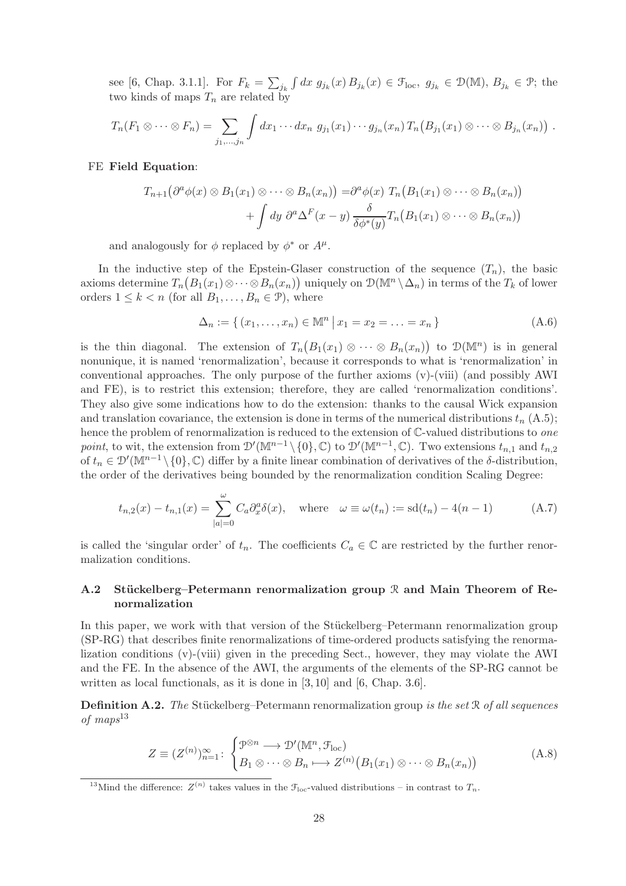see [6, Chap. 3.1.1]. For  $F_k = \sum_{j_k} \int dx g_{j_k}(x) B_{j_k}(x) \in \mathcal{F}_{loc}, g_{j_k} \in \mathcal{D}(\mathbb{M}), B_{j_k} \in \mathcal{P}$ ; the two kinds of maps  $T_n$  are related by

$$
T_n(F_1\otimes\cdots\otimes F_n)=\sum_{j_1,\ldots,j_n}\int dx_1\cdots dx_n\; g_{j_1}(x_1)\cdots g_{j_n}(x_n)\,T_n\big(B_{j_1}(x_1)\otimes\cdots\otimes B_{j_n}(x_n)\big)\;.
$$

#### FE Field Equation:

$$
T_{n+1}(\partial^a \phi(x) \otimes B_1(x_1) \otimes \cdots \otimes B_n(x_n)) = \partial^a \phi(x) T_n(B_1(x_1) \otimes \cdots \otimes B_n(x_n)) + \int dy \ \partial^a \Delta^F(x-y) \frac{\delta}{\delta \phi^*(y)} T_n(B_1(x_1) \otimes \cdots \otimes B_n(x_n))
$$

and analogously for  $\phi$  replaced by  $\phi^*$  or  $A^{\mu}$ .

In the inductive step of the Epstein-Glaser construction of the sequence  $(T_n)$ , the basic axioms determine  $T_n(B_1(x_1)\otimes\cdots\otimes B_n(x_n))$  uniquely on  $\mathcal{D}(\mathbb{M}^n\setminus\Delta_n)$  in terms of the  $T_k$  of lower orders  $1 \leq k < n$  (for all  $B_1, \ldots, B_n \in \mathcal{P}$ ), where

$$
\Delta_n := \{ (x_1, \dots, x_n) \in \mathbb{M}^n \, \big| \, x_1 = x_2 = \dots = x_n \}
$$
\n(A.6)

is the thin diagonal. The extension of  $T_n(B_1(x_1) \otimes \cdots \otimes B_n(x_n))$  to  $\mathcal{D}(\mathbb{M}^n)$  is in general nonunique, it is named 'renormalization', because it corresponds to what is 'renormalization' in conventional approaches. The only purpose of the further axioms (v)-(viii) (and possibly AWI and FE), is to restrict this extension; therefore, they are called 'renormalization conditions'. They also give some indications how to do the extension: thanks to the causal Wick expansion and translation covariance, the extension is done in terms of the numerical distributions  $t_n$  (A.5); hence the problem of renormalization is reduced to the extension of C-valued distributions to *one* point, to wit, the extension from  $\mathcal{D}'(\mathbb{M}^{n-1}\setminus\{0\},\mathbb{C})$  to  $\mathcal{D}'(\mathbb{M}^{n-1},\mathbb{C})$ . Two extensions  $t_{n,1}$  and  $t_{n,2}$ of  $t_n \in \mathcal{D}'(\mathbb{M}^{n-1}\setminus\{0\}, \mathbb{C})$  differ by a finite linear combination of derivatives of the  $\delta$ -distribution, the order of the derivatives being bounded by the renormalization condition Scaling Degree:

$$
t_{n,2}(x) - t_{n,1}(x) = \sum_{|a|=0}^{\omega} C_a \partial_x^a \delta(x), \quad \text{where} \quad \omega \equiv \omega(t_n) := \text{sd}(t_n) - 4(n-1) \tag{A.7}
$$

is called the 'singular order' of  $t_n$ . The coefficients  $C_a \in \mathbb{C}$  are restricted by the further renormalization conditions.

### A.2 Stückelberg–Petermann renormalization group  $\mathcal R$  and Main Theorem of Renormalization

In this paper, we work with that version of the Stückelberg–Petermann renormalization group (SP-RG) that describes finite renormalizations of time-ordered products satisfying the renormalization conditions (v)-(viii) given in the preceding Sect., however, they may violate the AWI and the FE. In the absence of the AWI, the arguments of the elements of the SP-RG cannot be written as local functionals, as it is done in [3,10] and [6, Chap. 3.6].

**Definition A.2.** *The* Stückelberg–Petermann renormalization group *is the set* R *of all sequences of maps*<sup>13</sup>

$$
Z \equiv (Z^{(n)})_{n=1}^{\infty} : \begin{cases} \mathcal{P}^{\otimes n} \longrightarrow \mathcal{D}'(\mathbb{M}^n, \mathcal{F}_{\text{loc}}) \\ B_1 \otimes \cdots \otimes B_n \longmapsto Z^{(n)}(B_1(x_1) \otimes \cdots \otimes B_n(x_n)) \end{cases} (A.8)
$$

<sup>&</sup>lt;sup>13</sup>Mind the difference:  $Z^{(n)}$  takes values in the  $\mathcal{F}_{loc}$ -valued distributions – in contrast to  $T_n$ .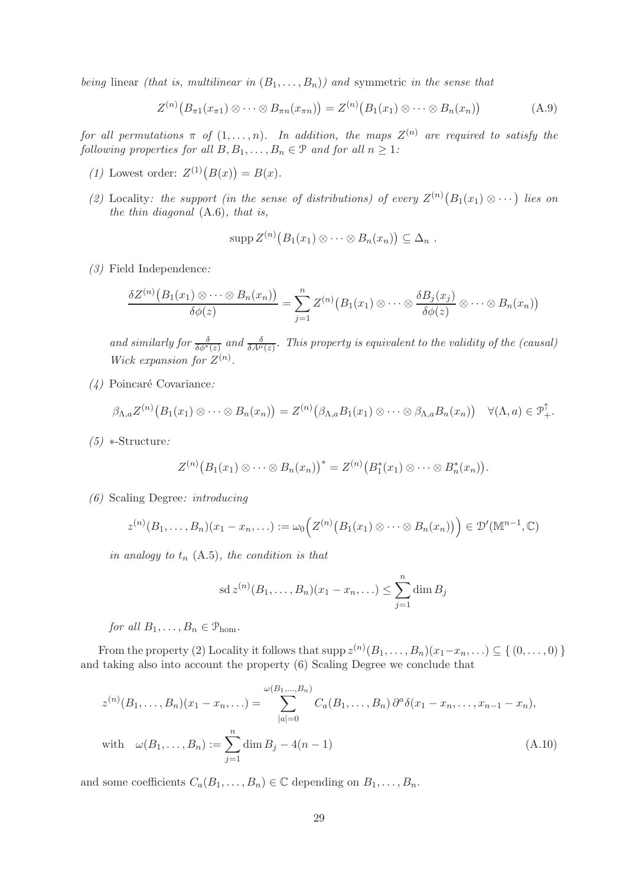*being* linear *(that is, multilinear in*  $(B_1, \ldots, B_n)$ *)* and symmetric *in the sense that* 

$$
Z^{(n)}(B_{\pi 1}(x_{\pi 1}) \otimes \cdots \otimes B_{\pi n}(x_{\pi n})) = Z^{(n)}(B_1(x_1) \otimes \cdots \otimes B_n(x_n))
$$
(A.9)

*for all permutations*  $\pi$  *of*  $(1, \ldots, n)$ *. In addition, the maps*  $Z^{(n)}$  *are required to satisfy the following properties for all*  $B, B_1, \ldots, B_n \in \mathcal{P}$  *and for all*  $n \geq 1$ *:* 

- (1) Lowest order:  $Z^{(1)}(B(x)) = B(x)$ .
- (2) Locality: the support (in the sense of distributions) of every  $Z^{(n)}(B_1(x_1) \otimes \cdots)$  lies on *the thin diagonal* (A.6)*, that is,*

$$
\mathrm{supp} Z^{(n)}(B_1(x_1)\otimes\cdots\otimes B_n(x_n))\subseteq\Delta_n.
$$

*(3)* Field Independence*:*

$$
\frac{\delta Z^{(n)}(B_1(x_1)\otimes\cdots\otimes B_n(x_n))}{\delta\phi(z)}=\sum_{j=1}^n Z^{(n)}(B_1(x_1)\otimes\cdots\otimes \frac{\delta B_j(x_j)}{\delta\phi(z)}\otimes\cdots\otimes B_n(x_n))
$$

and similarly for  $\frac{\delta}{\delta \phi^*(z)}$  and  $\frac{\delta}{\delta A^{\mu}(z)}$ . This property is equivalent to the validity of the (causal) *Wick expansion for*  $Z^{(n)}$ *.* 

*(4)* Poincar´e Covariance*:*

$$
\beta_{\Lambda,a}Z^{(n)}(B_1(x_1)\otimes\cdots\otimes B_n(x_n))=Z^{(n)}(\beta_{\Lambda,a}B_1(x_1)\otimes\cdots\otimes\beta_{\Lambda,a}B_n(x_n))\quad\forall(\Lambda,a)\in\mathfrak{P}_+^{\uparrow}.
$$

*(5)* ∗-Structure*:*

$$
Z^{(n)}(B_1(x_1)\otimes\cdots\otimes B_n(x_n))^* = Z^{(n)}(B_1^*(x_1)\otimes\cdots\otimes B_n^*(x_n)).
$$

*(6)* Scaling Degree*: introducing*

$$
z^{(n)}(B_1,\ldots,B_n)(x_1-x_n,\ldots):=\omega_0\Big(Z^{(n)}\big(B_1(x_1)\otimes\cdots\otimes B_n(x_n)\big)\Big)\in\mathcal{D}'(\mathbb{M}^{n-1},\mathbb{C})
$$

*in analogy to*  $t_n$  (A.5)*, the condition is that* 

sd 
$$
z^{(n)}(B_1,\ldots,B_n)(x_1-x_n,\ldots) \leq \sum_{j=1}^n \dim B_j
$$

*for all*  $B_1, \ldots, B_n \in \mathcal{P}_{\text{hom}}$ .

From the property (2) Locality it follows that  $\text{supp } z^{(n)}(B_1,\ldots,B_n)(x_1-x_n,\ldots) \subseteq \{ (0,\ldots,0) \}$ and taking also into account the property (6) Scaling Degree we conclude that

$$
z^{(n)}(B_1, ..., B_n)(x_1 - x_n, ...)=\sum_{|a|=0}^{\omega(B_1, ..., B_n)} C_a(B_1, ..., B_n) \partial^a \delta(x_1 - x_n, ..., x_{n-1} - x_n),
$$
  
with  $\omega(B_1, ..., B_n) := \sum_{j=1}^n \dim B_j - 4(n-1)$  (A.10)

and some coefficients  $C_a(B_1, \ldots, B_n) \in \mathbb{C}$  depending on  $B_1, \ldots, B_n$ .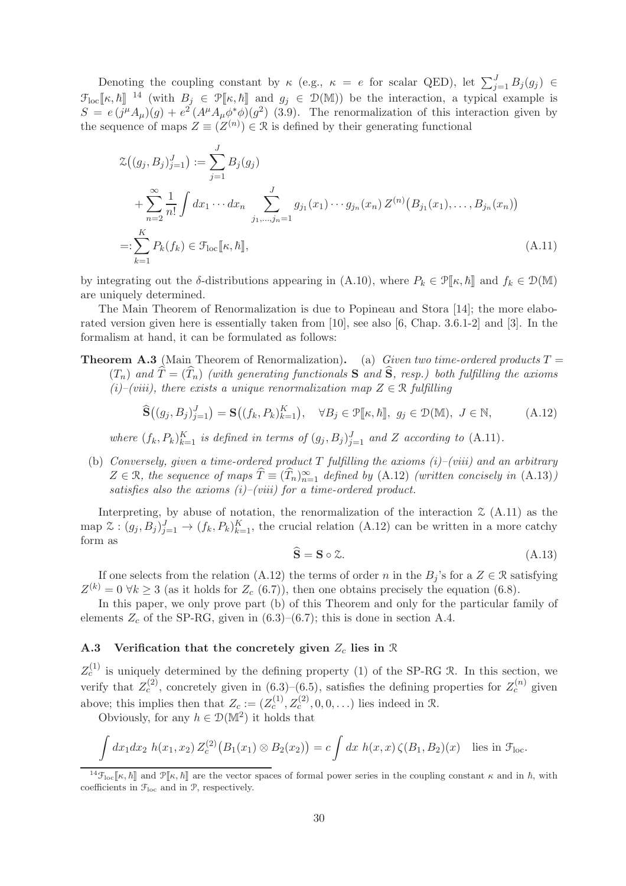Denoting the coupling constant by  $\kappa$  (e.g.,  $\kappa = e$  for scalar QED), let  $\sum_{j=1}^{J} B_j(g_j) \in$  $\mathfrak{F}_{\text{loc}}[\![\kappa,\hbar]\!]$  <sup>14</sup> (with  $B_j \in \mathfrak{P}[\![\kappa,\hbar]\!]$  and  $g_j \in \mathfrak{D}(\mathbb{M})$ ) be the interaction, a typical example is  $S = e(j^{\mu}A_{\mu})(g) + e^{2}(A^{\mu}A_{\mu}\phi^{*}\phi)(g^{2})$  (3.9). The renormalization of this interaction given by the sequence of maps  $Z \equiv (Z^{(n)}) \in \mathcal{R}$  is defined by their generating functional

$$
\mathcal{Z}\big((g_j, B_j)_{j=1}^J\big) := \sum_{j=1}^J B_j(g_j)
$$
  
+ 
$$
\sum_{n=2}^\infty \frac{1}{n!} \int dx_1 \cdots dx_n \sum_{j_1, \dots, j_n=1}^J g_{j_1}(x_1) \cdots g_{j_n}(x_n) Z^{(n)}\big(B_{j_1}(x_1), \dots, B_{j_n}(x_n)\big)
$$
  
=: 
$$
\sum_{k=1}^K P_k(f_k) \in \mathcal{F}_{\text{loc}}[\![\kappa, \hbar]\!],
$$
 (A.11)

by integrating out the δ-distributions appearing in (A.10), where  $P_k \in \mathcal{P}[\![\kappa,\hbar]\!]$  and  $f_k \in \mathcal{D}(\mathbb{M})$ are uniquely determined.

The Main Theorem of Renormalization is due to Popineau and Stora [14]; the more elaborated version given here is essentially taken from [10], see also [6, Chap. 3.6.1-2] and [3]. In the formalism at hand, it can be formulated as follows:

**Theorem A.3** (Main Theorem of Renormalization). (a) *Given two time-ordered products*  $T =$  $(T_n)$  and  $\hat{T} = (\hat{T}_n)$  *(with generating functionals* S and  $\hat{S}$ *, resp.) both fulfilling the axioms (i)–(viii), there exists a unique renormalization map*  $Z \in \mathbb{R}$  *fulfilling* 

$$
\widehat{\mathbf{S}}\big((g_j, B_j)_{j=1}^J\big) = \mathbf{S}\big((f_k, P_k)_{k=1}^K\big), \quad \forall B_j \in \mathcal{P}[\![\kappa, \hbar]\!], \ g_j \in \mathcal{D}(\mathbb{M}), \ J \in \mathbb{N}, \tag{A.12}
$$

where  $(f_k, P_k)_{k=1}^K$  is defined in terms of  $(g_j, B_j)_{j=1}^J$  and Z according to  $(A.11)$ *.* 

(b) *Conversely, given a time-ordered product* T *fulfilling the axioms (i)–(viii) and an arbitrary*  $Z \in \mathcal{R}$ , the sequence of maps  $\hat{T} \equiv (\hat{T}_n)_{n=1}^{\infty}$  defined by (A.12) *(written concisely in* (A.13)*) satisfies also the axioms (i)–(viii) for a time-ordered product.*

Interpreting, by abuse of notation, the renormalization of the interaction  $\mathfrak{X}(A.11)$  as the map  $\mathfrak{X}:(g_j, B_j)_{j=1}^J \to (f_k, P_k)_{k=1}^K$ , the crucial relation  $(A.12)$  can be written in a more catchy form as

$$
\hat{\mathbf{S}} = \mathbf{S} \circ \mathcal{Z}.\tag{A.13}
$$

If one selects from the relation (A.12) the terms of order n in the  $B_j$ 's for a  $Z \in \mathcal{R}$  satisfying  $Z^{(k)} = 0 \ \forall k \geq 3$  (as it holds for  $Z_c$  (6.7)), then one obtains precisely the equation (6.8).

In this paper, we only prove part (b) of this Theorem and only for the particular family of elements  $Z_c$  of the SP-RG, given in  $(6.3)$ – $(6.7)$ ; this is done in section A.4.

#### A.3 Verification that the concretely given  $Z_c$  lies in  $\Re$

 $Z_c^{(1)}$  is uniquely determined by the defining property (1) of the SP-RG R. In this section, we verify that  $Z_c^{(2)}$ , concretely given in (6.3)–(6.5), satisfies the defining properties for  $Z_c^{(n)}$  given above; this implies then that  $Z_c := (Z_c^{(1)}, Z_c^{(2)}, 0, 0, \ldots)$  lies indeed in  $\Re$ .

Obviously, for any  $h \in \mathcal{D}(\mathbb{M}^2)$  it holds that

$$
\int dx_1 dx_2 h(x_1, x_2) Z_c^{(2)}(B_1(x_1) \otimes B_2(x_2)) = c \int dx h(x, x) \zeta(B_1, B_2)(x) \text{ lies in } \mathcal{F}_{loc}.
$$

 $^{14}F_{\text{loc}}[\kappa, \hbar]$  and  $\mathcal{P}[\kappa, \hbar]$  are the vector spaces of formal power series in the coupling constant  $\kappa$  and in  $\hbar$ , with coefficients in  $\mathcal{F}_{loc}$  and in  $\mathcal{P}$ , respectively.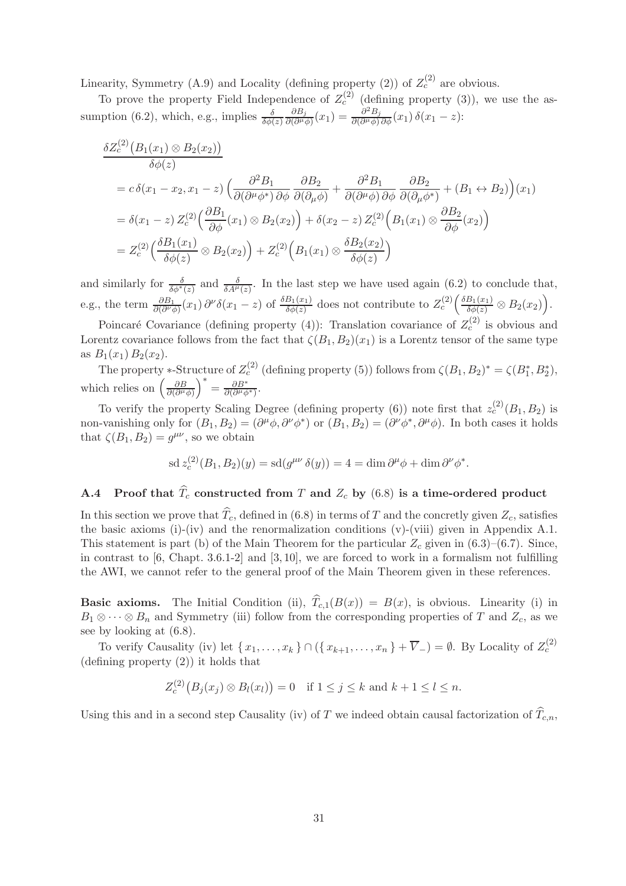Linearity, Symmetry (A.9) and Locality (defining property (2)) of  $Z_c^{(2)}$  are obvious.

To prove the property Field Independence of  $Z_c^{(2)}$  (defining property (3)), we use the assumption (6.2), which, e.g., implies  $\frac{\delta}{\delta \phi(z)}$  $\partial B_j$  $\frac{\partial B_j}{\partial(\partial^\mu\phi)}(x_1)=\frac{\partial^2 B_j}{\partial(\partial^\mu\phi)}$  $\frac{\partial^2 D_j}{\partial (\partial^\mu \phi) \partial \phi}(x_1) \, \delta(x_1-z)$ :

$$
\delta Z_c^{(2)}(B_1(x_1) \otimes B_2(x_2))
$$
\n
$$
\delta \phi(z)
$$
\n
$$
= c \delta(x_1 - x_2, x_1 - z) \left( \frac{\partial^2 B_1}{\partial(\partial^{\mu} \phi^*) \partial \phi} \frac{\partial B_2}{\partial(\partial_{\mu} \phi)} + \frac{\partial^2 B_1}{\partial(\partial^{\mu} \phi) \partial \phi} \frac{\partial B_2}{\partial(\partial_{\mu} \phi^*)} + (B_1 \leftrightarrow B_2) \right)(x_1)
$$
\n
$$
= \delta(x_1 - z) Z_c^{(2)} \left( \frac{\partial B_1}{\partial \phi}(x_1) \otimes B_2(x_2) \right) + \delta(x_2 - z) Z_c^{(2)} \left( B_1(x_1) \otimes \frac{\partial B_2}{\partial \phi}(x_2) \right)
$$
\n
$$
= Z_c^{(2)} \left( \frac{\delta B_1(x_1)}{\delta \phi(z)} \otimes B_2(x_2) \right) + Z_c^{(2)} \left( B_1(x_1) \otimes \frac{\delta B_2(x_2)}{\delta \phi(z)} \right)
$$

and similarly for  $\frac{\delta}{\delta \phi^*(z)}$  and  $\frac{\delta}{\delta A^{\mu}(z)}$ . In the last step we have used again (6.2) to conclude that, e.g., the term  $\frac{\partial B_1}{\partial (\partial^{\nu} \phi)}(x_1) \partial^{\nu} \delta(x_1 - z)$  of  $\frac{\delta B_1(x_1)}{\delta \phi(z)}$  does not contribute to  $Z_c^{(2)}\left(\frac{\delta B_1(x_1)}{\delta \phi(z)} \otimes B_2(x_2)\right)$ .

Poincaré Covariance (defining property (4)): Translation covariance of  $Z_c^{(2)}$  is obvious and Lorentz covariance follows from the fact that  $\zeta(B_1, B_2)(x_1)$  is a Lorentz tensor of the same type as  $B_1(x_1) B_2(x_2)$ .

The property \*-Structure of  $Z_c^{(2)}$  (defining property (5)) follows from  $\zeta(B_1, B_2)^* = \zeta(B_1^*, B_2^*),$ which relies on  $\left(\frac{\partial B}{\partial (\partial \mu)}\right)$  $\partial (\partial^\mu \phi)$  $\bigg)^{*} = \frac{\partial B^{*}}{\partial (\partial^{\mu} A)}$  $\frac{\partial B^{\circ}}{\partial(\partial^{\mu}\phi^{*})}$ .

To verify the property Scaling Degree (defining property (6)) note first that  $z_c^{(2)}(B_1, B_2)$  is non-vanishing only for  $(B_1, B_2) = (\partial^{\mu} \phi, \partial^{\nu} \phi^*)$  or  $(B_1, B_2) = (\partial^{\nu} \phi^*, \partial^{\mu} \phi)$ . In both cases it holds that  $\zeta(B_1, B_2) = g^{\mu\nu}$ , so we obtain

$$
\operatorname{sd} z_c^{(2)}(B_1, B_2)(y) = \operatorname{sd}(g^{\mu\nu} \delta(y)) = 4 = \dim \partial^{\mu} \phi + \dim \partial^{\nu} \phi^*.
$$

## A.4 Proof that  $\widehat{T}_c$  constructed from T and  $Z_c$  by (6.8) is a time-ordered product

In this section we prove that  $\widehat{T}_c$ , defined in (6.8) in terms of T and the concretly given  $Z_c$ , satisfies the basic axioms (i)-(iv) and the renormalization conditions (v)-(viii) given in Appendix A.1. This statement is part (b) of the Main Theorem for the particular  $Z_c$  given in (6.3)–(6.7). Since, in contrast to  $[6, Chapt. 3.6.1-2]$  and  $[3, 10]$ , we are forced to work in a formalism not fulfilling the AWI, we cannot refer to the general proof of the Main Theorem given in these references.

**Basic axioms.** The Initial Condition (ii),  $\hat{T}_{c,1}(B(x)) = B(x)$ , is obvious. Linearity (i) in  $B_1 \otimes \cdots \otimes B_n$  and Symmetry (iii) follow from the corresponding properties of T and  $Z_c$ , as we see by looking at (6.8).

To verify Causality (iv) let  $\{x_1, \ldots, x_k\} \cap (\{x_{k+1}, \ldots, x_n\} + \overline{V}_-) = \emptyset$ . By Locality of  $Z_c^{(2)}$ (defining property (2)) it holds that

$$
Z_c^{(2)}(B_j(x_j)\otimes B_l(x_l))=0 \quad \text{if } 1\leq j\leq k \text{ and } k+1\leq l\leq n.
$$

Using this and in a second step Causality (iv) of T we indeed obtain causal factorization of  $\widehat{T}_{c,n}$ ,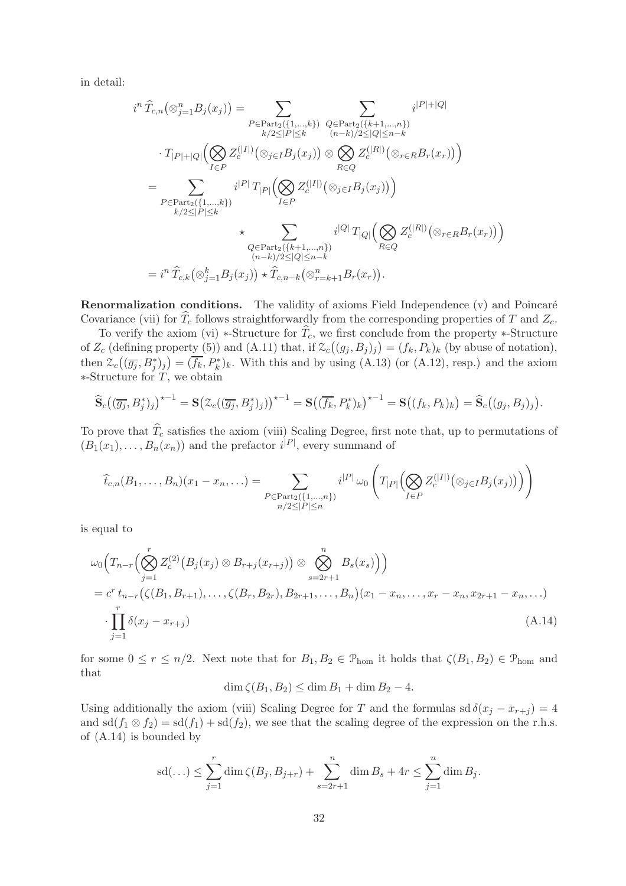in detail:

$$
i^{n} \hat{T}_{c,n}(\otimes_{j=1}^{n} B_{j}(x_{j})) = \sum_{\substack{P \in Part_{2}(\{1,\ldots,k\}) \\ k/2 \leq |P| \leq k}} \sum_{\substack{Q \in Part_{2}(\{k+1,\ldots,n\}) \\ (n-k)/2 \leq |Q| \leq n-k}} i^{|P|+|Q|
$$
  

$$
\cdot T_{|P|+|Q|}(\bigotimes_{I \in P} Z_{c}^{(|I|)}(\otimes_{j \in I} B_{j}(x_{j})) \otimes \bigotimes_{R \in Q} Z_{c}^{(|R|)}(\otimes_{r \in R} B_{r}(x_{r}))\big)
$$
  

$$
= \sum_{\substack{P \in Part_{2}(\{1,\ldots,k\}) \\ k/2 \leq |P| \leq k}} i^{|P|} T_{|P|}(\bigotimes_{I \in P} Z_{c}^{(|I|)}(\otimes_{j \in I} B_{j}(x_{j}))\big)
$$
  

$$
\times \sum_{\substack{Q \in Part_{2}(\{k+1,\ldots,n\}) \\ (n-k)/2 \leq |Q| \leq n-k}} i^{|Q|} T_{|Q|}(\bigotimes_{R \in Q} Z_{c}^{(|R|)}(\otimes_{r \in R} B_{r}(x_{r}))\big)
$$
  

$$
= i^{n} \hat{T}_{c,k}(\otimes_{j=1}^{k} B_{j}(x_{j})) \times \hat{T}_{c,n-k}(\otimes_{r=k+1}^{n} B_{r}(x_{r})).
$$

**Renormalization conditions.** The validity of axioms Field Independence  $(v)$  and Poincaré Covariance (vii) for  $\widehat{T}_c$  follows straightforwardly from the corresponding properties of T and  $Z_c$ .

To verify the axiom (vi) \*-Structure for  $\widehat{T}_c$ , we first conclude from the property \*-Structure of  $Z_c$  (defining property (5)) and (A.11) that, if  $\mathcal{Z}_c((g_j, B_j)_j) = (f_k, P_k)_k$  (by abuse of notation), then  $\mathcal{Z}_c((\overline{g_j}, B_j^*)_j) = (\overline{f_k}, P_k^*)_k$ . With this and by using (A.13) (or (A.12), resp.) and the axiom  $*$ -Structure for  $\overline{T}$ , we obtain

$$
\widehat{\mathbf{S}}_c\big((\overline{g_j},B_j^*)_j\big)^{\star-1}=\mathbf{S}\big(\mathcal{Z}_c\big((\overline{g_j},B_j^*)_j\big)\big)^{\star-1}=\mathbf{S}\big((\overline{f_k},P_k^*)_k\big)^{\star-1}=\mathbf{S}\big((f_k,P_k)_k\big)=\widehat{\mathbf{S}}_c\big((g_j,B_j)_j\big).
$$

To prove that  $\widehat{T}_c$  satisfies the axiom (viii) Scaling Degree, first note that, up to permutations of  $(B_1(x_1),...,B_n(x_n))$  and the prefactor  $i^{|P|}$ , every summand of

$$
\hat{t}_{c,n}(B_1,\ldots,B_n)(x_1-x_n,\ldots)=\sum_{\substack{P\in \text{Part}_2(\{1,\ldots,n\})\\ n/2\leq |P|\leq n}}i^{|P|}\,\omega_0\left(T_{|P|}\left(\bigotimes_{I\in P}Z_c^{(|I|)}\big(\otimes_{j\in I}B_j(x_j)\big)\right)\right)
$$

is equal to

$$
\omega_0\Big(T_{n-r}\Big(\bigotimes_{j=1}^r Z_c^{(2)}\big(B_j(x_j)\otimes B_{r+j}(x_{r+j})\big)\otimes \bigotimes_{s=2r+1}^n B_s(x_s)\Big)\Big)
$$
  
=  $c^r t_{n-r}\big(\zeta(B_1,B_{r+1}),\ldots,\zeta(B_r,B_{2r}),B_{2r+1},\ldots,B_n\big)(x_1-x_n,\ldots,x_r-x_n,x_{2r+1}-x_n,\ldots)$   

$$
\cdot \prod_{j=1}^r \delta(x_j-x_{r+j})
$$
 (A.14)

for some  $0 \le r \le n/2$ . Next note that for  $B_1, B_2 \in \mathcal{P}_{\text{hom}}$  it holds that  $\zeta(B_1, B_2) \in \mathcal{P}_{\text{hom}}$  and that

$$
\dim \zeta(B_1, B_2) \le \dim B_1 + \dim B_2 - 4.
$$

Using additionally the axiom (viii) Scaling Degree for T and the formulas sd  $\delta(x_j - x_{r+j}) = 4$ and  $sd(f_1 \otimes f_2) = sd(f_1) + sd(f_2)$ , we see that the scaling degree of the expression on the r.h.s. of (A.14) is bounded by

$$
sd(...) \leq \sum_{j=1}^{r} \dim \zeta(B_j, B_{j+r}) + \sum_{s=2r+1}^{n} \dim B_s + 4r \leq \sum_{j=1}^{n} \dim B_j.
$$